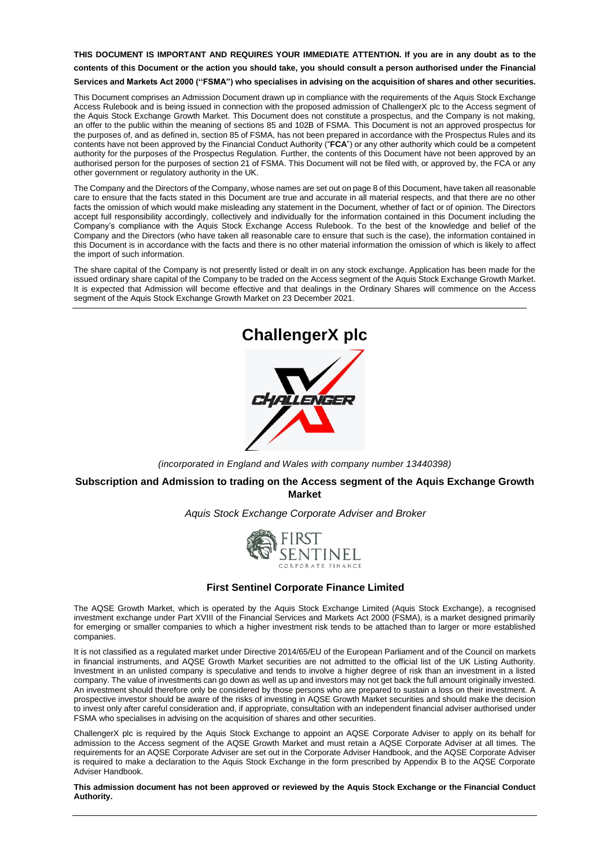**THIS DOCUMENT IS IMPORTANT AND REQUIRES YOUR IMMEDIATE ATTENTION. If you are in any doubt as to the contents of this Document or the action you should take, you should consult a person authorised under the Financial Services and Markets Act 2000 (''FSMA") who specialises in advising on the acquisition of shares and other securities.**

This Document comprises an Admission Document drawn up in compliance with the requirements of the Aquis Stock Exchange Access Rulebook and is being issued in connection with the proposed admission of ChallengerX plc to the Access segment of the Aquis Stock Exchange Growth Market. This Document does not constitute a prospectus, and the Company is not making, an offer to the public within the meaning of sections 85 and 102B of FSMA. This Document is not an approved prospectus for the purposes of, and as defined in, section 85 of FSMA, has not been prepared in accordance with the Prospectus Rules and its contents have not been approved by the Financial Conduct Authority ("**FCA**") or any other authority which could be a competent authority for the purposes of the Prospectus Regulation. Further, the contents of this Document have not been approved by an authorised person for the purposes of section 21 of FSMA. This Document will not be filed with, or approved by, the FCA or any other government or regulatory authority in the UK.

The Company and the Directors of the Company, whose names are set out on page 8 of this Document, have taken all reasonable care to ensure that the facts stated in this Document are true and accurate in all material respects, and that there are no other facts the omission of which would make misleading any statement in the Document, whether of fact or of opinion. The Directors accept full responsibility accordingly, collectively and individually for the information contained in this Document including the Company's compliance with the Aquis Stock Exchange Access Rulebook. To the best of the knowledge and belief of the Company and the Directors (who have taken all reasonable care to ensure that such is the case), the information contained in this Document is in accordance with the facts and there is no other material information the omission of which is likely to affect the import of such information.

The share capital of the Company is not presently listed or dealt in on any stock exchange. Application has been made for the issued ordinary share capital of the Company to be traded on the Access segment of the Aquis Stock Exchange Growth Market. It is expected that Admission will become effective and that dealings in the Ordinary Shares will commence on the Access segment of the Aquis Stock Exchange Growth Market on 23 December 2021.



*(incorporated in England and Wales with company number 13440398)*

## **Subscription and Admission to trading on the Access segment of the Aquis Exchange Growth Market**

#### *Aquis Stock Exchange Corporate Adviser and Broker*



#### **First Sentinel Corporate Finance Limited**

The AQSE Growth Market, which is operated by the Aquis Stock Exchange Limited (Aquis Stock Exchange), a recognised investment exchange under Part XVIII of the Financial Services and Markets Act 2000 (FSMA), is a market designed primarily for emerging or smaller companies to which a higher investment risk tends to be attached than to larger or more established companies.

It is not classified as a regulated market under Directive 2014/65/EU of the European Parliament and of the Council on markets in financial instruments, and AQSE Growth Market securities are not admitted to the official list of the UK Listing Authority. Investment in an unlisted company is speculative and tends to involve a higher degree of risk than an investment in a listed company. The value of investments can go down as well as up and investors may not get back the full amount originally invested. An investment should therefore only be considered by those persons who are prepared to sustain a loss on their investment. A prospective investor should be aware of the risks of investing in AQSE Growth Market securities and should make the decision to invest only after careful consideration and, if appropriate, consultation with an independent financial adviser authorised under FSMA who specialises in advising on the acquisition of shares and other securities.

ChallengerX plc is required by the Aquis Stock Exchange to appoint an AQSE Corporate Adviser to apply on its behalf for admission to the Access segment of the AQSE Growth Market and must retain a AQSE Corporate Adviser at all times. The requirements for an AQSE Corporate Adviser are set out in the Corporate Adviser Handbook, and the AQSE Corporate Adviser is required to make a declaration to the Aquis Stock Exchange in the form prescribed by Appendix B to the AQSE Corporate Adviser Handbook.

**This admission document has not been approved or reviewed by the Aquis Stock Exchange or the Financial Conduct Authority.**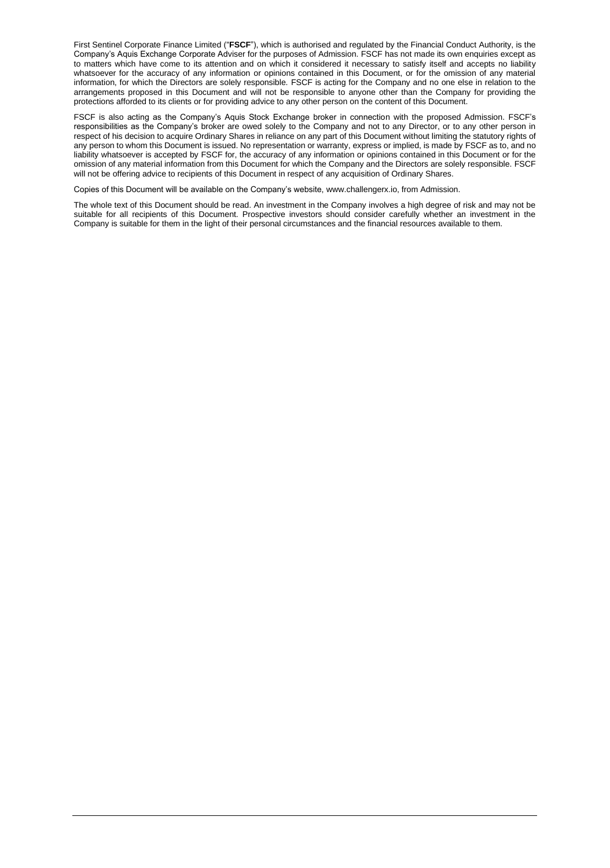First Sentinel Corporate Finance Limited ("**FSCF**"), which is authorised and regulated by the Financial Conduct Authority, is the Company's Aquis Exchange Corporate Adviser for the purposes of Admission. FSCF has not made its own enquiries except as to matters which have come to its attention and on which it considered it necessary to satisfy itself and accepts no liability whatsoever for the accuracy of any information or opinions contained in this Document, or for the omission of any material information, for which the Directors are solely responsible. FSCF is acting for the Company and no one else in relation to the arrangements proposed in this Document and will not be responsible to anyone other than the Company for providing the protections afforded to its clients or for providing advice to any other person on the content of this Document.

FSCF is also acting as the Company's Aquis Stock Exchange broker in connection with the proposed Admission. FSCF's responsibilities as the Company's broker are owed solely to the Company and not to any Director, or to any other person in respect of his decision to acquire Ordinary Shares in reliance on any part of this Document without limiting the statutory rights of any person to whom this Document is issued. No representation or warranty, express or implied, is made by FSCF as to, and no liability whatsoever is accepted by FSCF for, the accuracy of any information or opinions contained in this Document or for the omission of any material information from this Document for which the Company and the Directors are solely responsible. FSCF will not be offering advice to recipients of this Document in respect of any acquisition of Ordinary Shares.

Copies of this Document will be available on the Company's website, www.challengerx.io, from Admission.

The whole text of this Document should be read. An investment in the Company involves a high degree of risk and may not be suitable for all recipients of this Document. Prospective investors should consider carefully whether an investment in the Company is suitable for them in the light of their personal circumstances and the financial resources available to them.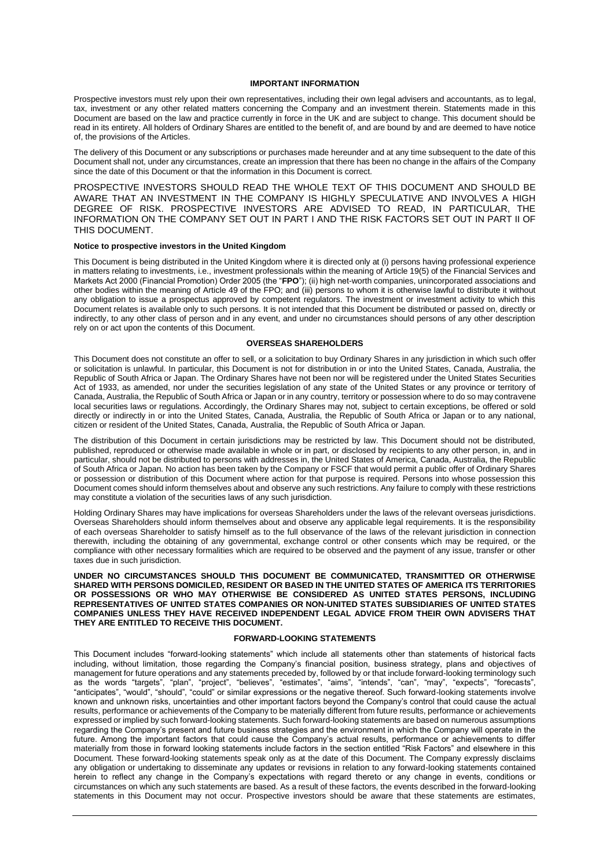#### **IMPORTANT INFORMATION**

Prospective investors must rely upon their own representatives, including their own legal advisers and accountants, as to legal, tax, investment or any other related matters concerning the Company and an investment therein. Statements made in this Document are based on the law and practice currently in force in the UK and are subject to change. This document should be read in its entirety. All holders of Ordinary Shares are entitled to the benefit of, and are bound by and are deemed to have notice of, the provisions of the Articles.

The delivery of this Document or any subscriptions or purchases made hereunder and at any time subsequent to the date of this Document shall not, under any circumstances, create an impression that there has been no change in the affairs of the Company since the date of this Document or that the information in this Document is correct.

PROSPECTIVE INVESTORS SHOULD READ THE WHOLE TEXT OF THIS DOCUMENT AND SHOULD BE AWARE THAT AN INVESTMENT IN THE COMPANY IS HIGHLY SPECULATIVE AND INVOLVES A HIGH DEGREE OF RISK. PROSPECTIVE INVESTORS ARE ADVISED TO READ, IN PARTICULAR, THE INFORMATION ON THE COMPANY SET OUT IN PART I AND THE RISK FACTORS SET OUT IN PART II OF THIS DOCUMENT.

#### **Notice to prospective investors in the United Kingdom**

This Document is being distributed in the United Kingdom where it is directed only at (i) persons having professional experience in matters relating to investments, i.e., investment professionals within the meaning of Article 19(5) of the Financial Services and Markets Act 2000 (Financial Promotion) Order 2005 (the "**FPO**"); (ii) high net-worth companies, unincorporated associations and other bodies within the meaning of Article 49 of the FPO; and (iii) persons to whom it is otherwise lawful to distribute it without any obligation to issue a prospectus approved by competent regulators. The investment or investment activity to which this Document relates is available only to such persons. It is not intended that this Document be distributed or passed on, directly or indirectly, to any other class of person and in any event, and under no circumstances should persons of any other description rely on or act upon the contents of this Document.

#### **OVERSEAS SHAREHOLDERS**

This Document does not constitute an offer to sell, or a solicitation to buy Ordinary Shares in any jurisdiction in which such offer or solicitation is unlawful. In particular, this Document is not for distribution in or into the United States, Canada, Australia, the Republic of South Africa or Japan. The Ordinary Shares have not been nor will be registered under the United States Securities Act of 1933, as amended, nor under the securities legislation of any state of the United States or any province or territory of Canada, Australia, the Republic of South Africa or Japan or in any country, territory or possession where to do so may contravene local securities laws or regulations. Accordingly, the Ordinary Shares may not, subject to certain exceptions, be offered or sold directly or indirectly in or into the United States, Canada, Australia, the Republic of South Africa or Japan or to any national, citizen or resident of the United States, Canada, Australia, the Republic of South Africa or Japan.

The distribution of this Document in certain jurisdictions may be restricted by law. This Document should not be distributed, published, reproduced or otherwise made available in whole or in part, or disclosed by recipients to any other person, in, and in particular, should not be distributed to persons with addresses in, the United States of America, Canada, Australia, the Republic of South Africa or Japan. No action has been taken by the Company or FSCF that would permit a public offer of Ordinary Shares or possession or distribution of this Document where action for that purpose is required. Persons into whose possession this Document comes should inform themselves about and observe any such restrictions. Any failure to comply with these restrictions may constitute a violation of the securities laws of any such jurisdiction.

Holding Ordinary Shares may have implications for overseas Shareholders under the laws of the relevant overseas jurisdictions. Overseas Shareholders should inform themselves about and observe any applicable legal requirements. It is the responsibility of each overseas Shareholder to satisfy himself as to the full observance of the laws of the relevant jurisdiction in connection therewith, including the obtaining of any governmental, exchange control or other consents which may be required, or the compliance with other necessary formalities which are required to be observed and the payment of any issue, transfer or other taxes due in such jurisdiction.

**UNDER NO CIRCUMSTANCES SHOULD THIS DOCUMENT BE COMMUNICATED, TRANSMITTED OR OTHERWISE SHARED WITH PERSONS DOMICILED, RESIDENT OR BASED IN THE UNITED STATES OF AMERICA ITS TERRITORIES OR POSSESSIONS OR WHO MAY OTHERWISE BE CONSIDERED AS UNITED STATES PERSONS, INCLUDING REPRESENTATIVES OF UNITED STATES COMPANIES OR NON-UNITED STATES SUBSIDIARIES OF UNITED STATES COMPANIES UNLESS THEY HAVE RECEIVED INDEPENDENT LEGAL ADVICE FROM THEIR OWN ADVISERS THAT THEY ARE ENTITLED TO RECEIVE THIS DOCUMENT.**

#### **FORWARD-LOOKING STATEMENTS**

This Document includes "forward-looking statements" which include all statements other than statements of historical facts including, without limitation, those regarding the Company's financial position, business strategy, plans and objectives of management for future operations and any statements preceded by, followed by or that include forward-looking terminology such as the words "targets", "plan", "project", "believes", "estimates", "aims", "intends", "can", "may", "expects", "forecasts", "anticipates", "would", "should", "could" or similar expressions or the negative thereof. Such forward-looking statements involve known and unknown risks, uncertainties and other important factors beyond the Company's control that could cause the actual results, performance or achievements of the Company to be materially different from future results, performance or achievements expressed or implied by such forward-looking statements. Such forward-looking statements are based on numerous assumptions regarding the Company's present and future business strategies and the environment in which the Company will operate in the future. Among the important factors that could cause the Company's actual results, performance or achievements to differ materially from those in forward looking statements include factors in the section entitled "Risk Factors" and elsewhere in this Document. These forward-looking statements speak only as at the date of this Document. The Company expressly disclaims any obligation or undertaking to disseminate any updates or revisions in relation to any forward-looking statements contained herein to reflect any change in the Company's expectations with regard thereto or any change in events, conditions or circumstances on which any such statements are based. As a result of these factors, the events described in the forward-looking statements in this Document may not occur. Prospective investors should be aware that these statements are estimates,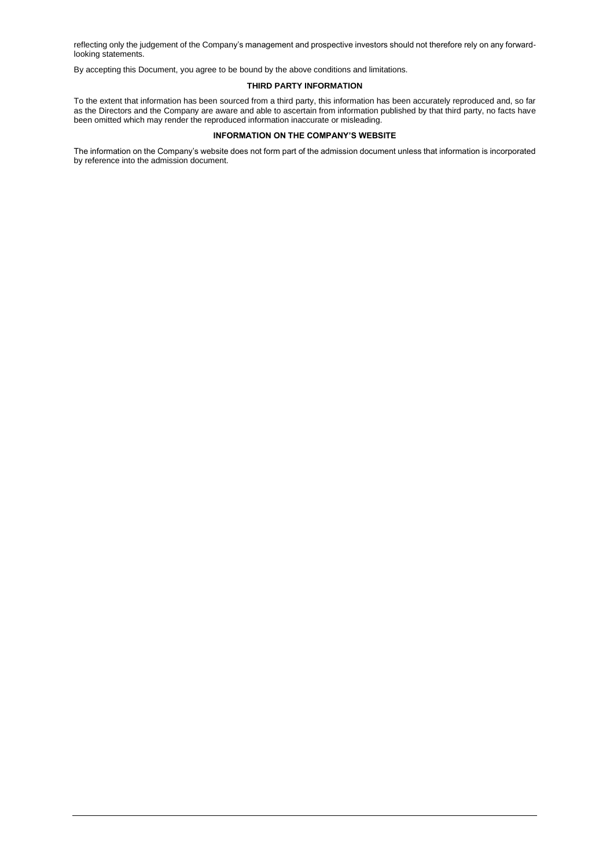reflecting only the judgement of the Company's management and prospective investors should not therefore rely on any forwardlooking statements.

By accepting this Document, you agree to be bound by the above conditions and limitations.

#### **THIRD PARTY INFORMATION**

To the extent that information has been sourced from a third party, this information has been accurately reproduced and, so far as the Directors and the Company are aware and able to ascertain from information published by that third party, no facts have been omitted which may render the reproduced information inaccurate or misleading.

#### **INFORMATION ON THE COMPANY'S WEBSITE**

The information on the Company's website does not form part of the admission document unless that information is incorporated by reference into the admission document.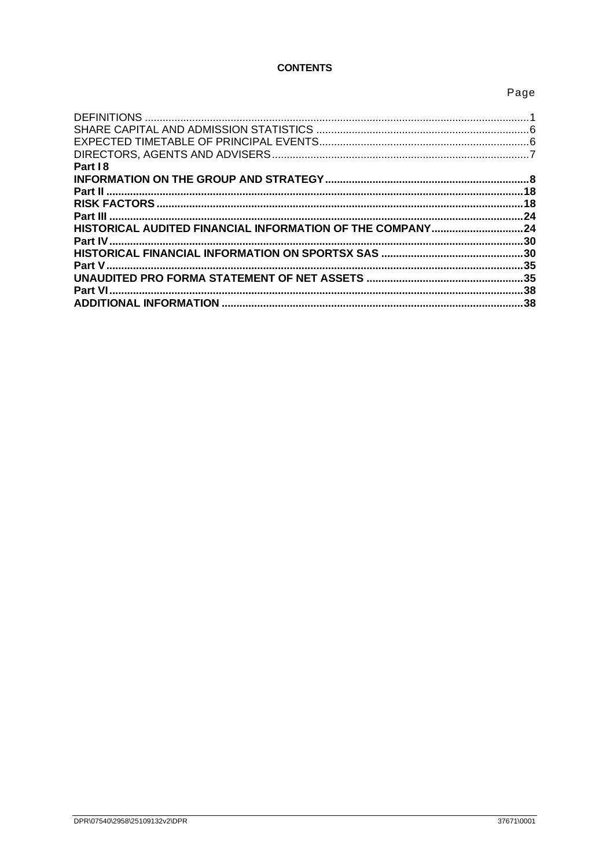# **CONTENTS**

# Page

| Part 18                                                   |     |
|-----------------------------------------------------------|-----|
|                                                           |     |
|                                                           |     |
|                                                           |     |
|                                                           | 24  |
| HISTORICAL AUDITED FINANCIAL INFORMATION OF THE COMPANY24 |     |
|                                                           |     |
|                                                           |     |
|                                                           |     |
|                                                           |     |
| <b>Part VI</b>                                            |     |
|                                                           | .38 |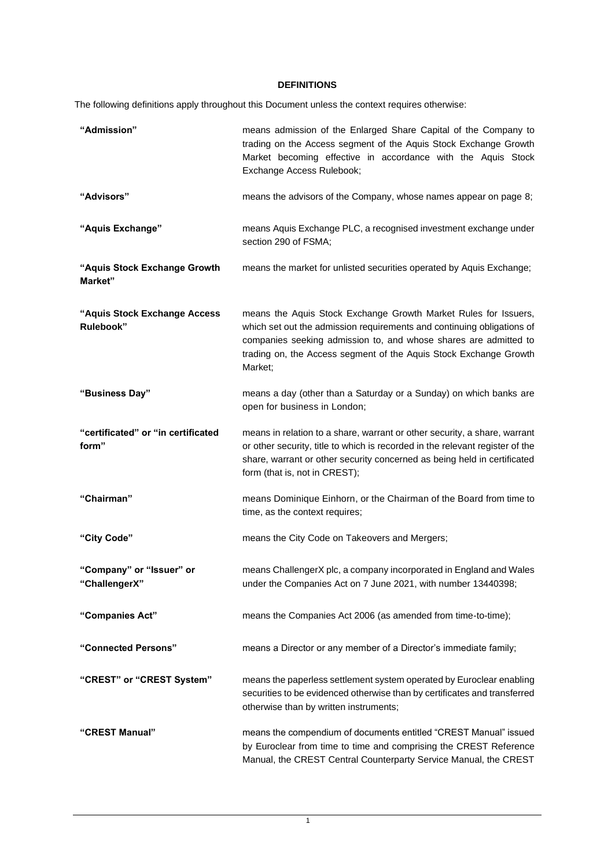# **DEFINITIONS**

<span id="page-5-0"></span>The following definitions apply throughout this Document unless the context requires otherwise:

| "Admission"                                 | means admission of the Enlarged Share Capital of the Company to<br>trading on the Access segment of the Aquis Stock Exchange Growth<br>Market becoming effective in accordance with the Aquis Stock<br>Exchange Access Rulebook;                                                              |
|---------------------------------------------|-----------------------------------------------------------------------------------------------------------------------------------------------------------------------------------------------------------------------------------------------------------------------------------------------|
| "Advisors"                                  | means the advisors of the Company, whose names appear on page 8;                                                                                                                                                                                                                              |
| "Aquis Exchange"                            | means Aquis Exchange PLC, a recognised investment exchange under<br>section 290 of FSMA;                                                                                                                                                                                                      |
| "Aquis Stock Exchange Growth<br>Market"     | means the market for unlisted securities operated by Aquis Exchange;                                                                                                                                                                                                                          |
| "Aquis Stock Exchange Access<br>Rulebook"   | means the Aquis Stock Exchange Growth Market Rules for Issuers,<br>which set out the admission requirements and continuing obligations of<br>companies seeking admission to, and whose shares are admitted to<br>trading on, the Access segment of the Aquis Stock Exchange Growth<br>Market; |
| "Business Day"                              | means a day (other than a Saturday or a Sunday) on which banks are<br>open for business in London;                                                                                                                                                                                            |
| "certificated" or "in certificated<br>form" | means in relation to a share, warrant or other security, a share, warrant<br>or other security, title to which is recorded in the relevant register of the<br>share, warrant or other security concerned as being held in certificated<br>form (that is, not in CREST);                       |
| "Chairman"                                  | means Dominique Einhorn, or the Chairman of the Board from time to<br>time, as the context requires;                                                                                                                                                                                          |
| "City Code"                                 | means the City Code on Takeovers and Mergers;                                                                                                                                                                                                                                                 |
| "Company" or "Issuer" or<br>"ChallengerX"   | means ChallengerX plc, a company incorporated in England and Wales<br>under the Companies Act on 7 June 2021, with number 13440398;                                                                                                                                                           |
| "Companies Act"                             | means the Companies Act 2006 (as amended from time-to-time);                                                                                                                                                                                                                                  |
| "Connected Persons"                         | means a Director or any member of a Director's immediate family;                                                                                                                                                                                                                              |
| "CREST" or "CREST System"                   | means the paperless settlement system operated by Euroclear enabling<br>securities to be evidenced otherwise than by certificates and transferred<br>otherwise than by written instruments;                                                                                                   |
| "CREST Manual"                              | means the compendium of documents entitled "CREST Manual" issued<br>by Euroclear from time to time and comprising the CREST Reference<br>Manual, the CREST Central Counterparty Service Manual, the CREST                                                                                     |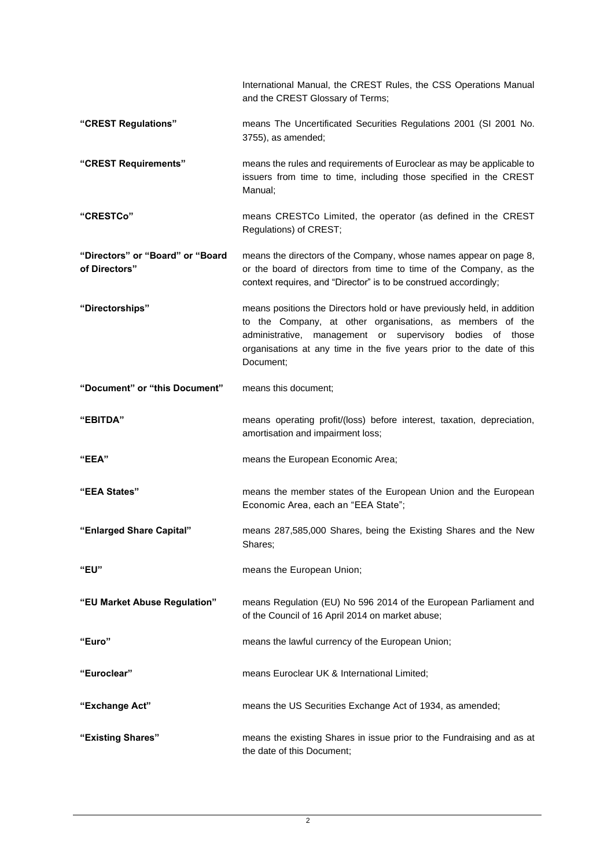|                                                   | International Manual, the CREST Rules, the CSS Operations Manual<br>and the CREST Glossary of Terms;                                                                                                                                                                                       |
|---------------------------------------------------|--------------------------------------------------------------------------------------------------------------------------------------------------------------------------------------------------------------------------------------------------------------------------------------------|
| "CREST Regulations"                               | means The Uncertificated Securities Regulations 2001 (SI 2001 No.<br>3755), as amended;                                                                                                                                                                                                    |
| "CREST Requirements"                              | means the rules and requirements of Euroclear as may be applicable to<br>issuers from time to time, including those specified in the CREST<br>Manual:                                                                                                                                      |
| "CRESTCo"                                         | means CRESTCo Limited, the operator (as defined in the CREST<br>Regulations) of CREST;                                                                                                                                                                                                     |
| "Directors" or "Board" or "Board<br>of Directors" | means the directors of the Company, whose names appear on page 8,<br>or the board of directors from time to time of the Company, as the<br>context requires, and "Director" is to be construed accordingly;                                                                                |
| "Directorships"                                   | means positions the Directors hold or have previously held, in addition<br>to the Company, at other organisations, as members of the<br>administrative, management or supervisory<br>bodies of those<br>organisations at any time in the five years prior to the date of this<br>Document; |
| "Document" or "this Document"                     | means this document;                                                                                                                                                                                                                                                                       |
| "EBITDA"                                          | means operating profit/(loss) before interest, taxation, depreciation,<br>amortisation and impairment loss;                                                                                                                                                                                |
| "EEA"                                             | means the European Economic Area;                                                                                                                                                                                                                                                          |
| "EEA States"                                      | means the member states of the European Union and the European<br>Economic Area, each an "EEA State";                                                                                                                                                                                      |
| "Enlarged Share Capital"                          | means 287,585,000 Shares, being the Existing Shares and the New<br>Shares;                                                                                                                                                                                                                 |
| "EU"                                              | means the European Union;                                                                                                                                                                                                                                                                  |
| "EU Market Abuse Regulation"                      | means Regulation (EU) No 596 2014 of the European Parliament and<br>of the Council of 16 April 2014 on market abuse;                                                                                                                                                                       |
| "Euro"                                            | means the lawful currency of the European Union;                                                                                                                                                                                                                                           |
| "Euroclear"                                       | means Euroclear UK & International Limited;                                                                                                                                                                                                                                                |
| "Exchange Act"                                    | means the US Securities Exchange Act of 1934, as amended;                                                                                                                                                                                                                                  |
| "Existing Shares"                                 | means the existing Shares in issue prior to the Fundraising and as at<br>the date of this Document;                                                                                                                                                                                        |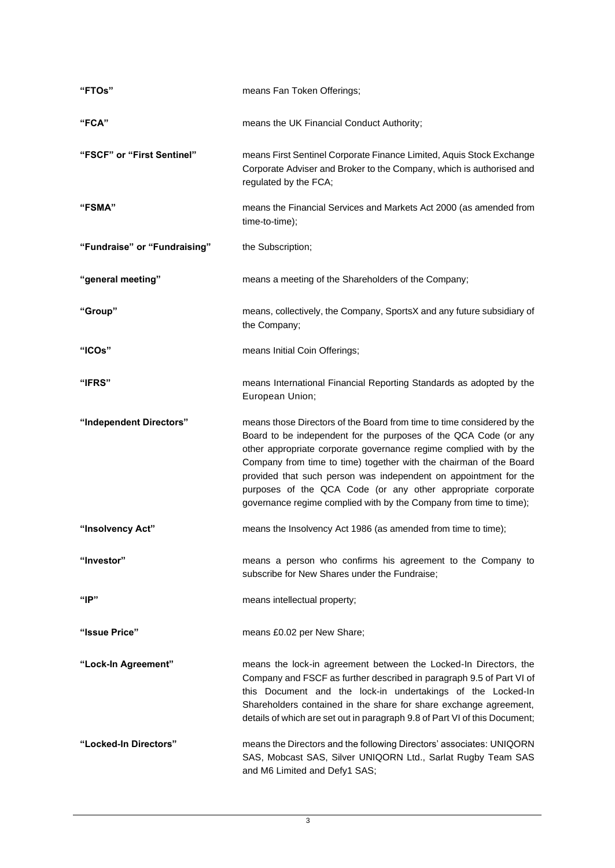| "FTOs"                       | means Fan Token Offerings;                                                                                                                                                                                                                                                                                                                                                                                                                                                                       |
|------------------------------|--------------------------------------------------------------------------------------------------------------------------------------------------------------------------------------------------------------------------------------------------------------------------------------------------------------------------------------------------------------------------------------------------------------------------------------------------------------------------------------------------|
| "FCA"                        | means the UK Financial Conduct Authority;                                                                                                                                                                                                                                                                                                                                                                                                                                                        |
| "FSCF" or "First Sentinel"   | means First Sentinel Corporate Finance Limited, Aquis Stock Exchange<br>Corporate Adviser and Broker to the Company, which is authorised and<br>regulated by the FCA;                                                                                                                                                                                                                                                                                                                            |
| "FSMA"                       | means the Financial Services and Markets Act 2000 (as amended from<br>time-to-time);                                                                                                                                                                                                                                                                                                                                                                                                             |
| "Fundraise" or "Fundraising" | the Subscription;                                                                                                                                                                                                                                                                                                                                                                                                                                                                                |
| "general meeting"            | means a meeting of the Shareholders of the Company;                                                                                                                                                                                                                                                                                                                                                                                                                                              |
| "Group"                      | means, collectively, the Company, SportsX and any future subsidiary of<br>the Company;                                                                                                                                                                                                                                                                                                                                                                                                           |
| "ICOs"                       | means Initial Coin Offerings;                                                                                                                                                                                                                                                                                                                                                                                                                                                                    |
| <b>"IFRS"</b>                | means International Financial Reporting Standards as adopted by the<br>European Union;                                                                                                                                                                                                                                                                                                                                                                                                           |
| "Independent Directors"      | means those Directors of the Board from time to time considered by the<br>Board to be independent for the purposes of the QCA Code (or any<br>other appropriate corporate governance regime complied with by the<br>Company from time to time) together with the chairman of the Board<br>provided that such person was independent on appointment for the<br>purposes of the QCA Code (or any other appropriate corporate<br>governance regime complied with by the Company from time to time); |
| "Insolvency Act"             | means the Insolvency Act 1986 (as amended from time to time);                                                                                                                                                                                                                                                                                                                                                                                                                                    |
| "Investor"                   | means a person who confirms his agreement to the Company to<br>subscribe for New Shares under the Fundraise;                                                                                                                                                                                                                                                                                                                                                                                     |
| "P"                          | means intellectual property;                                                                                                                                                                                                                                                                                                                                                                                                                                                                     |
| "Issue Price"                | means £0.02 per New Share;                                                                                                                                                                                                                                                                                                                                                                                                                                                                       |
| "Lock-In Agreement"          | means the lock-in agreement between the Locked-In Directors, the<br>Company and FSCF as further described in paragraph 9.5 of Part VI of<br>this Document and the lock-in undertakings of the Locked-In<br>Shareholders contained in the share for share exchange agreement,<br>details of which are set out in paragraph 9.8 of Part VI of this Document;                                                                                                                                       |
| "Locked-In Directors"        | means the Directors and the following Directors' associates: UNIQORN<br>SAS, Mobcast SAS, Silver UNIQORN Ltd., Sarlat Rugby Team SAS<br>and M6 Limited and Defy1 SAS;                                                                                                                                                                                                                                                                                                                            |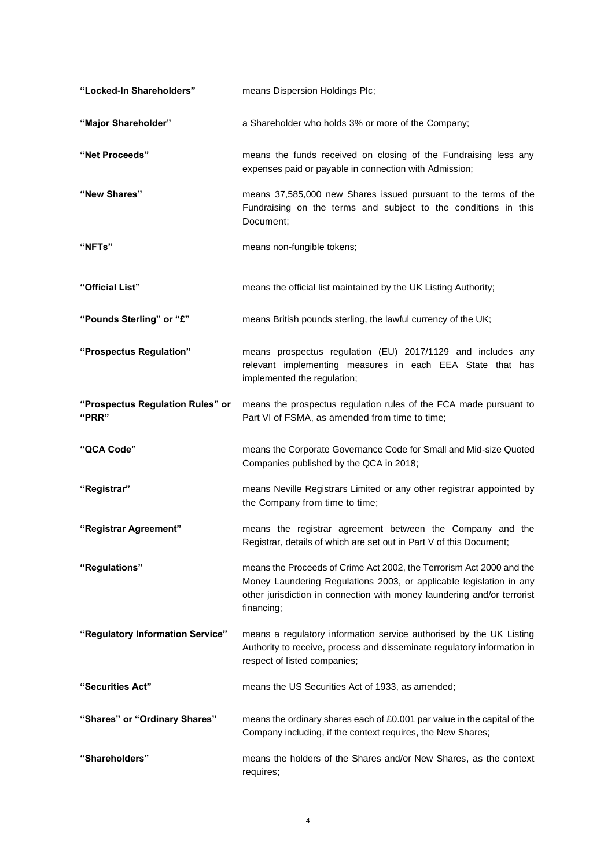| "Locked-In Shareholders"                  | means Dispersion Holdings Plc;                                                                                                                                                                                                       |
|-------------------------------------------|--------------------------------------------------------------------------------------------------------------------------------------------------------------------------------------------------------------------------------------|
| "Major Shareholder"                       | a Shareholder who holds 3% or more of the Company;                                                                                                                                                                                   |
| "Net Proceeds"                            | means the funds received on closing of the Fundraising less any<br>expenses paid or payable in connection with Admission;                                                                                                            |
| "New Shares"                              | means 37,585,000 new Shares issued pursuant to the terms of the<br>Fundraising on the terms and subject to the conditions in this<br>Document;                                                                                       |
| "NFTs"                                    | means non-fungible tokens;                                                                                                                                                                                                           |
| "Official List"                           | means the official list maintained by the UK Listing Authority;                                                                                                                                                                      |
| "Pounds Sterling" or "£"                  | means British pounds sterling, the lawful currency of the UK;                                                                                                                                                                        |
| "Prospectus Regulation"                   | means prospectus regulation (EU) 2017/1129 and includes any<br>relevant implementing measures in each EEA State that has<br>implemented the regulation;                                                                              |
| "Prospectus Regulation Rules" or<br>"PRR" | means the prospectus regulation rules of the FCA made pursuant to<br>Part VI of FSMA, as amended from time to time;                                                                                                                  |
| "QCA Code"                                | means the Corporate Governance Code for Small and Mid-size Quoted<br>Companies published by the QCA in 2018;                                                                                                                         |
| "Registrar"                               | means Neville Registrars Limited or any other registrar appointed by<br>the Company from time to time;                                                                                                                               |
| "Registrar Agreement"                     | means the registrar agreement between the Company and the<br>Registrar, details of which are set out in Part V of this Document;                                                                                                     |
| "Regulations"                             | means the Proceeds of Crime Act 2002, the Terrorism Act 2000 and the<br>Money Laundering Regulations 2003, or applicable legislation in any<br>other jurisdiction in connection with money laundering and/or terrorist<br>financing; |
| "Regulatory Information Service"          | means a regulatory information service authorised by the UK Listing<br>Authority to receive, process and disseminate regulatory information in<br>respect of listed companies;                                                       |
| "Securities Act"                          | means the US Securities Act of 1933, as amended;                                                                                                                                                                                     |
| "Shares" or "Ordinary Shares"             | means the ordinary shares each of £0.001 par value in the capital of the<br>Company including, if the context requires, the New Shares;                                                                                              |
| "Shareholders"                            | means the holders of the Shares and/or New Shares, as the context<br>requires;                                                                                                                                                       |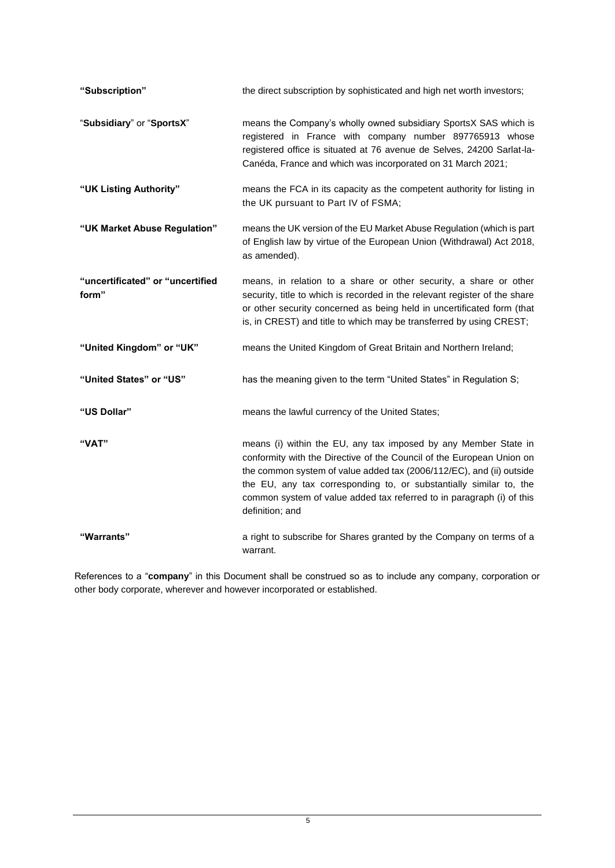| "Subscription"                            | the direct subscription by sophisticated and high net worth investors;                                                                                                                                                                                                                                                                                                             |
|-------------------------------------------|------------------------------------------------------------------------------------------------------------------------------------------------------------------------------------------------------------------------------------------------------------------------------------------------------------------------------------------------------------------------------------|
| "Subsidiary" or "SportsX"                 | means the Company's wholly owned subsidiary SportsX SAS which is<br>registered in France with company number 897765913 whose<br>registered office is situated at 76 avenue de Selves, 24200 Sarlat-la-<br>Canéda, France and which was incorporated on 31 March 2021;                                                                                                              |
| "UK Listing Authority"                    | means the FCA in its capacity as the competent authority for listing in<br>the UK pursuant to Part IV of FSMA;                                                                                                                                                                                                                                                                     |
| "UK Market Abuse Regulation"              | means the UK version of the EU Market Abuse Regulation (which is part<br>of English law by virtue of the European Union (Withdrawal) Act 2018,<br>as amended).                                                                                                                                                                                                                     |
| "uncertificated" or "uncertified<br>form" | means, in relation to a share or other security, a share or other<br>security, title to which is recorded in the relevant register of the share<br>or other security concerned as being held in uncertificated form (that<br>is, in CREST) and title to which may be transferred by using CREST;                                                                                   |
| "United Kingdom" or "UK"                  | means the United Kingdom of Great Britain and Northern Ireland;                                                                                                                                                                                                                                                                                                                    |
| "United States" or "US"                   | has the meaning given to the term "United States" in Regulation S;                                                                                                                                                                                                                                                                                                                 |
| "US Dollar"                               | means the lawful currency of the United States;                                                                                                                                                                                                                                                                                                                                    |
| "VAT"                                     | means (i) within the EU, any tax imposed by any Member State in<br>conformity with the Directive of the Council of the European Union on<br>the common system of value added tax (2006/112/EC), and (ii) outside<br>the EU, any tax corresponding to, or substantially similar to, the<br>common system of value added tax referred to in paragraph (i) of this<br>definition; and |
| "Warrants"                                | a right to subscribe for Shares granted by the Company on terms of a<br>warrant.                                                                                                                                                                                                                                                                                                   |

References to a "**company**" in this Document shall be construed so as to include any company, corporation or other body corporate, wherever and however incorporated or established.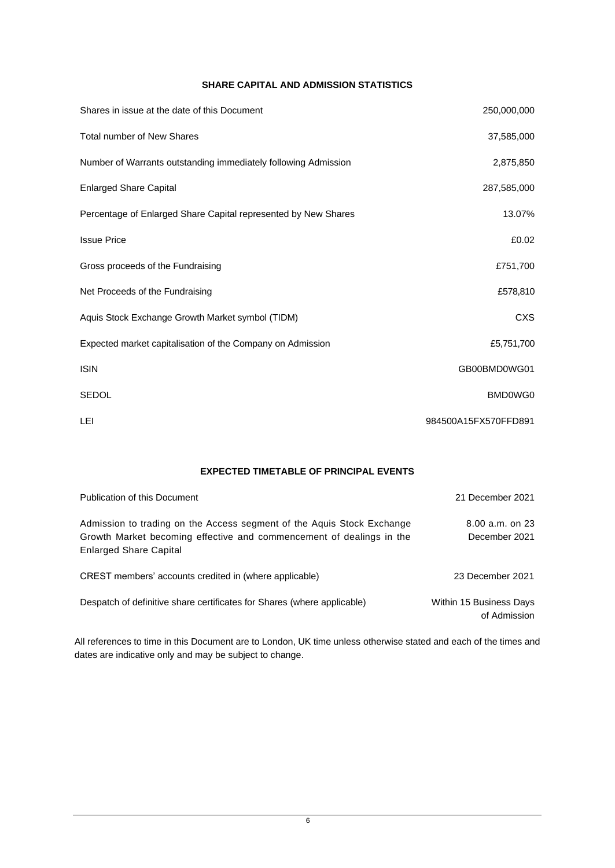# **SHARE CAPITAL AND ADMISSION STATISTICS**

<span id="page-10-0"></span>

| Shares in issue at the date of this Document                   | 250,000,000          |
|----------------------------------------------------------------|----------------------|
| <b>Total number of New Shares</b>                              | 37,585,000           |
| Number of Warrants outstanding immediately following Admission | 2,875,850            |
| <b>Enlarged Share Capital</b>                                  | 287,585,000          |
| Percentage of Enlarged Share Capital represented by New Shares | 13.07%               |
| <b>Issue Price</b>                                             | £0.02                |
| Gross proceeds of the Fundraising                              | £751,700             |
| Net Proceeds of the Fundraising                                | £578,810             |
| Aquis Stock Exchange Growth Market symbol (TIDM)               | <b>CXS</b>           |
| Expected market capitalisation of the Company on Admission     | £5,751,700           |
| <b>ISIN</b>                                                    | GB00BMD0WG01         |
| <b>SEDOL</b>                                                   | BMD0WG0              |
| <b>LEI</b>                                                     | 984500A15FX570FFD891 |

# **EXPECTED TIMETABLE OF PRINCIPAL EVENTS**

<span id="page-10-1"></span>

| Publication of this Document                                                                                                                                                    | 21 December 2021                        |
|---------------------------------------------------------------------------------------------------------------------------------------------------------------------------------|-----------------------------------------|
| Admission to trading on the Access segment of the Aguis Stock Exchange<br>Growth Market becoming effective and commencement of dealings in the<br><b>Enlarged Share Capital</b> | $8.00$ a.m. on 23<br>December 2021      |
| CREST members' accounts credited in (where applicable)                                                                                                                          | 23 December 2021                        |
| Despatch of definitive share certificates for Shares (where applicable)                                                                                                         | Within 15 Business Days<br>of Admission |

All references to time in this Document are to London, UK time unless otherwise stated and each of the times and dates are indicative only and may be subject to change.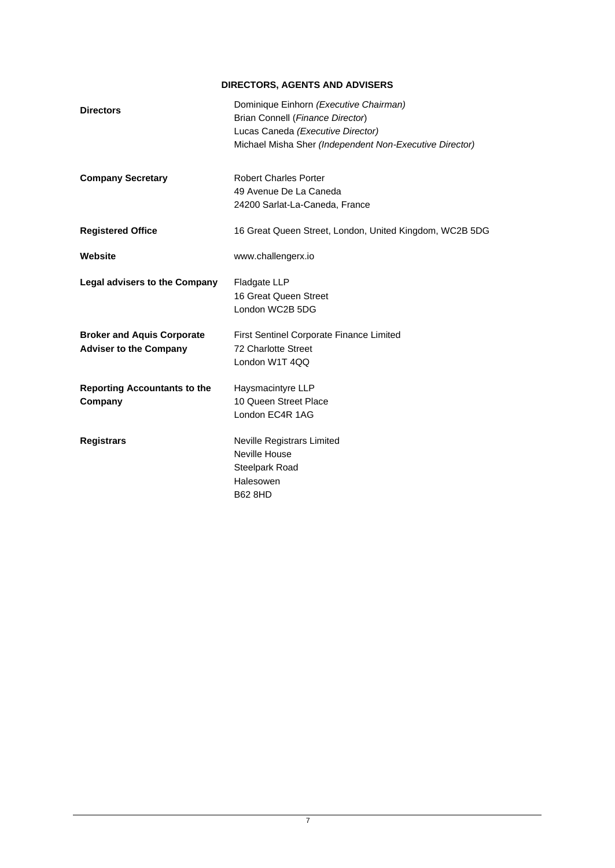# **DIRECTORS, AGENTS AND ADVISERS**

<span id="page-11-0"></span>

| <b>Directors</b>                                                   | Dominique Einhorn (Executive Chairman)<br>Brian Connell (Finance Director)<br>Lucas Caneda (Executive Director)<br>Michael Misha Sher (Independent Non-Executive Director) |
|--------------------------------------------------------------------|----------------------------------------------------------------------------------------------------------------------------------------------------------------------------|
| <b>Company Secretary</b>                                           | <b>Robert Charles Porter</b><br>49 Avenue De La Caneda<br>24200 Sarlat-La-Caneda, France                                                                                   |
| <b>Registered Office</b>                                           | 16 Great Queen Street, London, United Kingdom, WC2B 5DG                                                                                                                    |
| Website                                                            | www.challengerx.io                                                                                                                                                         |
| <b>Legal advisers to the Company</b>                               | Fladgate LLP<br>16 Great Queen Street<br>London WC2B 5DG                                                                                                                   |
| <b>Broker and Aquis Corporate</b><br><b>Adviser to the Company</b> | First Sentinel Corporate Finance Limited<br>72 Charlotte Street<br>London W1T 4QQ                                                                                          |
| <b>Reporting Accountants to the</b><br>Company                     | Haysmacintyre LLP<br>10 Queen Street Place<br>London EC4R 1AG                                                                                                              |
| <b>Registrars</b>                                                  | <b>Neville Registrars Limited</b><br>Neville House<br>Steelpark Road<br>Halesowen<br><b>B62 8HD</b>                                                                        |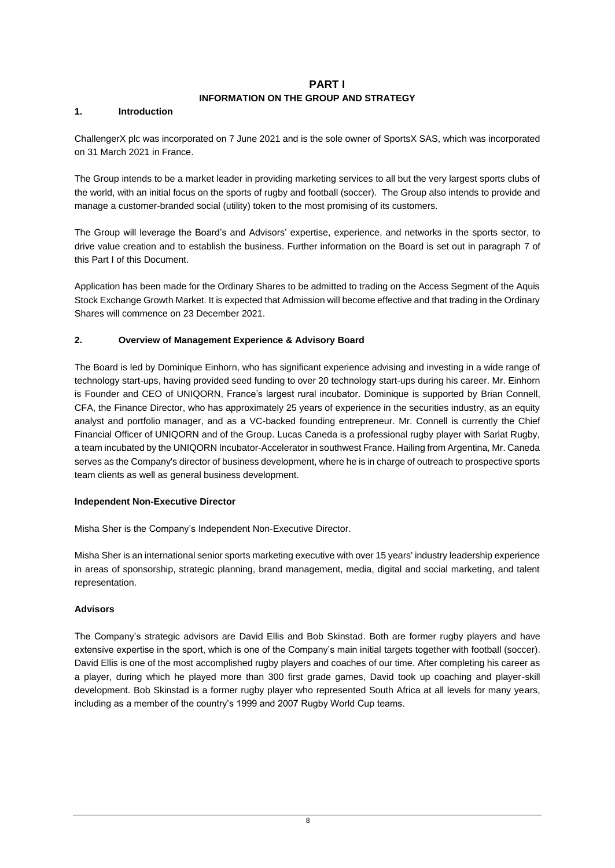# <span id="page-12-0"></span>**PART I**

# **INFORMATION ON THE GROUP AND STRATEGY**

## <span id="page-12-1"></span>**1. Introduction**

ChallengerX plc was incorporated on 7 June 2021 and is the sole owner of SportsX SAS, which was incorporated on 31 March 2021 in France.

The Group intends to be a market leader in providing marketing services to all but the very largest sports clubs of the world, with an initial focus on the sports of rugby and football (soccer). The Group also intends to provide and manage a customer-branded social (utility) token to the most promising of its customers.

The Group will leverage the Board's and Advisors' expertise, experience, and networks in the sports sector, to drive value creation and to establish the business. Further information on the Board is set out in paragraph 7 of this Part I of this Document.

Application has been made for the Ordinary Shares to be admitted to trading on the Access Segment of the Aquis Stock Exchange Growth Market. It is expected that Admission will become effective and that trading in the Ordinary Shares will commence on 23 December 2021.

# **2. Overview of Management Experience & Advisory Board**

The Board is led by Dominique Einhorn, who has significant experience advising and investing in a wide range of technology start-ups, having provided seed funding to over 20 technology start-ups during his career. Mr. Einhorn is Founder and CEO of UNIQORN, France's largest rural incubator. Dominique is supported by Brian Connell, CFA, the Finance Director, who has approximately 25 years of experience in the securities industry, as an equity analyst and portfolio manager, and as a VC-backed founding entrepreneur. Mr. Connell is currently the Chief Financial Officer of UNIQORN and of the Group. Lucas Caneda is a professional rugby player with Sarlat Rugby, a team incubated by the UNIQORN Incubator-Accelerator in southwest France. Hailing from Argentina, Mr. Caneda serves as the Company's director of business development, where he is in charge of outreach to prospective sports team clients as well as general business development.

# **Independent Non-Executive Director**

Misha Sher is the Company's Independent Non-Executive Director.

Misha Sher is an international senior sports marketing executive with over 15 years' industry leadership experience in areas of sponsorship, strategic planning, brand management, media, digital and social marketing, and talent representation.

# **Advisors**

The Company's strategic advisors are David Ellis and Bob Skinstad. Both are former rugby players and have extensive expertise in the sport, which is one of the Company's main initial targets together with football (soccer). David Ellis is one of the most accomplished rugby players and coaches of our time. After completing his career as a player, during which he played more than 300 first grade games, David took up coaching and player-skill development. Bob Skinstad is a former rugby player who represented South Africa at all levels for many years, including as a member of the country's 1999 and 2007 Rugby World Cup teams.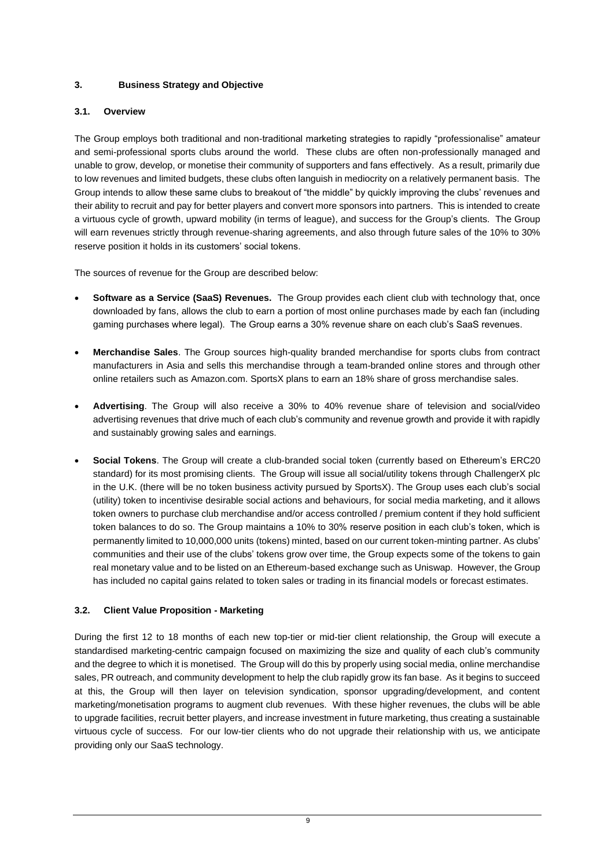# **3. Business Strategy and Objective**

# **3.1. Overview**

The Group employs both traditional and non-traditional marketing strategies to rapidly "professionalise" amateur and semi-professional sports clubs around the world. These clubs are often non-professionally managed and unable to grow, develop, or monetise their community of supporters and fans effectively. As a result, primarily due to low revenues and limited budgets, these clubs often languish in mediocrity on a relatively permanent basis. The Group intends to allow these same clubs to breakout of "the middle" by quickly improving the clubs' revenues and their ability to recruit and pay for better players and convert more sponsors into partners. This is intended to create a virtuous cycle of growth, upward mobility (in terms of league), and success for the Group's clients. The Group will earn revenues strictly through revenue-sharing agreements, and also through future sales of the 10% to 30% reserve position it holds in its customers' social tokens.

The sources of revenue for the Group are described below:

- **Software as a Service (SaaS) Revenues.** The Group provides each client club with technology that, once downloaded by fans, allows the club to earn a portion of most online purchases made by each fan (including gaming purchases where legal). The Group earns a 30% revenue share on each club's SaaS revenues.
- **Merchandise Sales**. The Group sources high-quality branded merchandise for sports clubs from contract manufacturers in Asia and sells this merchandise through a team-branded online stores and through other online retailers such as Amazon.com. SportsX plans to earn an 18% share of gross merchandise sales.
- **Advertising**. The Group will also receive a 30% to 40% revenue share of television and social/video advertising revenues that drive much of each club's community and revenue growth and provide it with rapidly and sustainably growing sales and earnings.
- **Social Tokens**. The Group will create a club-branded social token (currently based on Ethereum's ERC20 standard) for its most promising clients. The Group will issue all social/utility tokens through ChallengerX plc in the U.K. (there will be no token business activity pursued by SportsX). The Group uses each club's social (utility) token to incentivise desirable social actions and behaviours, for social media marketing, and it allows token owners to purchase club merchandise and/or access controlled / premium content if they hold sufficient token balances to do so. The Group maintains a 10% to 30% reserve position in each club's token, which is permanently limited to 10,000,000 units (tokens) minted, based on our current token-minting partner. As clubs' communities and their use of the clubs' tokens grow over time, the Group expects some of the tokens to gain real monetary value and to be listed on an Ethereum-based exchange such as Uniswap. However, the Group has included no capital gains related to token sales or trading in its financial models or forecast estimates.

# **3.2. Client Value Proposition - Marketing**

During the first 12 to 18 months of each new top-tier or mid-tier client relationship, the Group will execute a standardised marketing-centric campaign focused on maximizing the size and quality of each club's community and the degree to which it is monetised. The Group will do this by properly using social media, online merchandise sales, PR outreach, and community development to help the club rapidly grow its fan base. As it begins to succeed at this, the Group will then layer on television syndication, sponsor upgrading/development, and content marketing/monetisation programs to augment club revenues. With these higher revenues, the clubs will be able to upgrade facilities, recruit better players, and increase investment in future marketing, thus creating a sustainable virtuous cycle of success. For our low-tier clients who do not upgrade their relationship with us, we anticipate providing only our SaaS technology.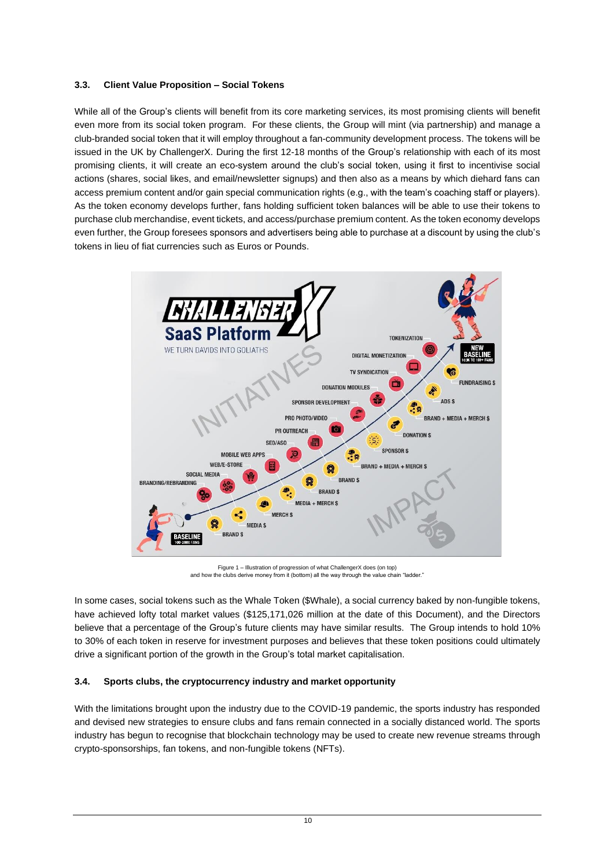## **3.3. Client Value Proposition – Social Tokens**

While all of the Group's clients will benefit from its core marketing services, its most promising clients will benefit even more from its social token program. For these clients, the Group will mint (via partnership) and manage a club-branded social token that it will employ throughout a fan-community development process. The tokens will be issued in the UK by ChallengerX. During the first 12-18 months of the Group's relationship with each of its most promising clients, it will create an eco-system around the club's social token, using it first to incentivise social actions (shares, social likes, and email/newsletter signups) and then also as a means by which diehard fans can access premium content and/or gain special communication rights (e.g., with the team's coaching staff or players). As the token economy develops further, fans holding sufficient token balances will be able to use their tokens to purchase club merchandise, event tickets, and access/purchase premium content. As the token economy develops even further, the Group foresees sponsors and advertisers being able to purchase at a discount by using the club's tokens in lieu of fiat currencies such as Euros or Pounds.



Figure 1 – Illustration of progression of what ChallengerX does (on top) and how the clubs derive money from it (bottom) all the way through the value chain "ladder."

In some cases, social tokens such as the Whale Token (\$Whale), a social currency baked by non-fungible tokens, have achieved lofty total market values (\$125,171,026 million at the date of this Document), and the Directors believe that a percentage of the Group's future clients may have similar results. The Group intends to hold 10% to 30% of each token in reserve for investment purposes and believes that these token positions could ultimately drive a significant portion of the growth in the Group's total market capitalisation.

# **3.4. Sports clubs, the cryptocurrency industry and market opportunity**

With the limitations brought upon the industry due to the COVID-19 pandemic, the sports industry has responded and devised new strategies to ensure clubs and fans remain connected in a socially distanced world. The sports industry has begun to recognise that blockchain technology may be used to create new revenue streams through crypto-sponsorships, fan tokens, and non-fungible tokens (NFTs).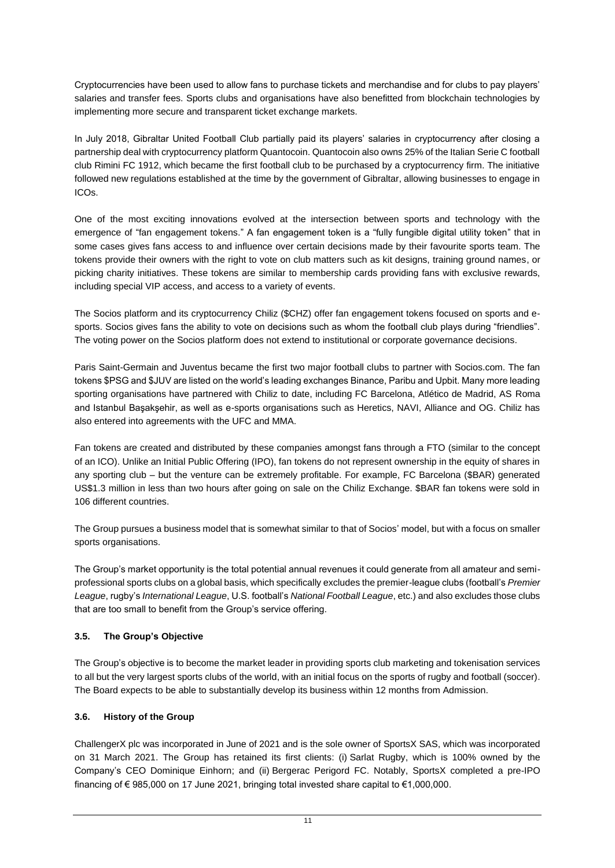Cryptocurrencies have been used to allow fans to purchase tickets and merchandise and for clubs to pay players' salaries and transfer fees. Sports clubs and organisations have also benefitted from blockchain technologies by implementing more secure and transparent ticket exchange markets.

In July 2018, Gibraltar United Football Club partially paid its players' salaries in cryptocurrency after closing a partnership deal with cryptocurrency platform Quantocoin. Quantocoin also owns 25% of the Italian Serie C football club Rimini FC 1912, which became the first football club to be purchased by a cryptocurrency firm. The initiative followed new regulations established at the time by the government of Gibraltar, allowing businesses to engage in ICOs.

One of the most exciting innovations evolved at the intersection between sports and technology with the emergence of "fan engagement tokens." A fan engagement token is a "fully fungible digital utility token" that in some cases gives fans access to and influence over certain decisions made by their favourite sports team. The tokens provide their owners with the right to vote on club matters such as kit designs, training ground names, or picking charity initiatives. These tokens are similar to membership cards providing fans with exclusive rewards, including special VIP access, and access to a variety of events.

The Socios platform and its cryptocurrency Chiliz (\$CHZ) offer fan engagement tokens focused on sports and esports. Socios gives fans the ability to vote on decisions such as whom the football club plays during "friendlies". The voting power on the Socios platform does not extend to institutional or corporate governance decisions.

Paris Saint-Germain and Juventus became the first two major football clubs to partner with Socios.com. The fan tokens \$PSG and \$JUV are listed on the world's leading exchanges Binance, Paribu and Upbit. Many more leading sporting organisations have partnered with Chiliz to date, including FC Barcelona, Atlético de Madrid, AS Roma and Istanbul Başakşehir, as well as e-sports organisations such as Heretics, NAVI, Alliance and OG. Chiliz has also entered into agreements with the UFC and MMA.

Fan tokens are created and distributed by these companies amongst fans through a FTO (similar to the concept of an ICO). Unlike an Initial Public Offering (IPO), fan tokens do not represent ownership in the equity of shares in any sporting club – but the venture can be extremely profitable. For example, FC Barcelona (\$BAR) generated US\$1.3 million in less than two hours after going on sale on the Chiliz Exchange. \$BAR fan tokens were sold in 106 different countries.

The Group pursues a business model that is somewhat similar to that of Socios' model, but with a focus on smaller sports organisations.

The Group's market opportunity is the total potential annual revenues it could generate from all amateur and semiprofessional sports clubs on a global basis, which specifically excludes the premier-league clubs (football's *Premier League*, rugby's *International League*, U.S. football's *National Football League*, etc.) and also excludes those clubs that are too small to benefit from the Group's service offering.

# **3.5. The Group's Objective**

The Group's objective is to become the market leader in providing sports club marketing and tokenisation services to all but the very largest sports clubs of the world, with an initial focus on the sports of rugby and football (soccer). The Board expects to be able to substantially develop its business within 12 months from Admission.

# **3.6. History of the Group**

ChallengerX plc was incorporated in June of 2021 and is the sole owner of SportsX SAS, which was incorporated on 31 March 2021. The Group has retained its first clients: (i) Sarlat Rugby, which is 100% owned by the Company's CEO Dominique Einhorn; and (ii) Bergerac Perigord FC. Notably, SportsX completed a pre-IPO financing of € 985,000 on 17 June 2021, bringing total invested share capital to €1,000,000.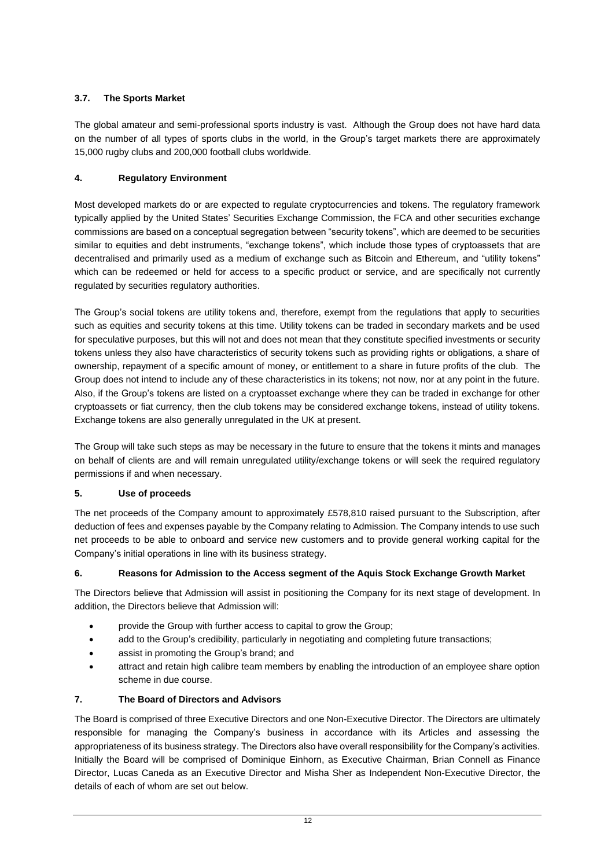# **3.7. The Sports Market**

The global amateur and semi-professional sports industry is vast. Although the Group does not have hard data on the number of all types of sports clubs in the world, in the Group's target markets there are approximately 15,000 rugby clubs and 200,000 football clubs worldwide.

# **4. Regulatory Environment**

Most developed markets do or are expected to regulate cryptocurrencies and tokens. The regulatory framework typically applied by the United States' Securities Exchange Commission, the FCA and other securities exchange commissions are based on a conceptual segregation between "security tokens", which are deemed to be securities similar to equities and debt instruments, "exchange tokens", which include those types of cryptoassets that are decentralised and primarily used as a medium of exchange such as Bitcoin and Ethereum, and "utility tokens" which can be redeemed or held for access to a specific product or service, and are specifically not currently regulated by securities regulatory authorities.

The Group's social tokens are utility tokens and, therefore, exempt from the regulations that apply to securities such as equities and security tokens at this time. Utility tokens can be traded in secondary markets and be used for speculative purposes, but this will not and does not mean that they constitute specified investments or security tokens unless they also have characteristics of security tokens such as providing rights or obligations, a share of ownership, repayment of a specific amount of money, or entitlement to a share in future profits of the club. The Group does not intend to include any of these characteristics in its tokens; not now, nor at any point in the future. Also, if the Group's tokens are listed on a cryptoasset exchange where they can be traded in exchange for other cryptoassets or fiat currency, then the club tokens may be considered exchange tokens, instead of utility tokens. Exchange tokens are also generally unregulated in the UK at present.

The Group will take such steps as may be necessary in the future to ensure that the tokens it mints and manages on behalf of clients are and will remain unregulated utility/exchange tokens or will seek the required regulatory permissions if and when necessary.

# **5. Use of proceeds**

The net proceeds of the Company amount to approximately £578,810 raised pursuant to the Subscription, after deduction of fees and expenses payable by the Company relating to Admission. The Company intends to use such net proceeds to be able to onboard and service new customers and to provide general working capital for the Company's initial operations in line with its business strategy.

# **6. Reasons for Admission to the Access segment of the Aquis Stock Exchange Growth Market**

The Directors believe that Admission will assist in positioning the Company for its next stage of development. In addition, the Directors believe that Admission will:

- provide the Group with further access to capital to grow the Group;
- add to the Group's credibility, particularly in negotiating and completing future transactions;
- assist in promoting the Group's brand; and
- attract and retain high calibre team members by enabling the introduction of an employee share option scheme in due course.

# **7. The Board of Directors and Advisors**

The Board is comprised of three Executive Directors and one Non-Executive Director. The Directors are ultimately responsible for managing the Company's business in accordance with its Articles and assessing the appropriateness of its business strategy. The Directors also have overall responsibility for the Company's activities. Initially the Board will be comprised of Dominique Einhorn, as Executive Chairman, Brian Connell as Finance Director, Lucas Caneda as an Executive Director and Misha Sher as Independent Non-Executive Director, the details of each of whom are set out below.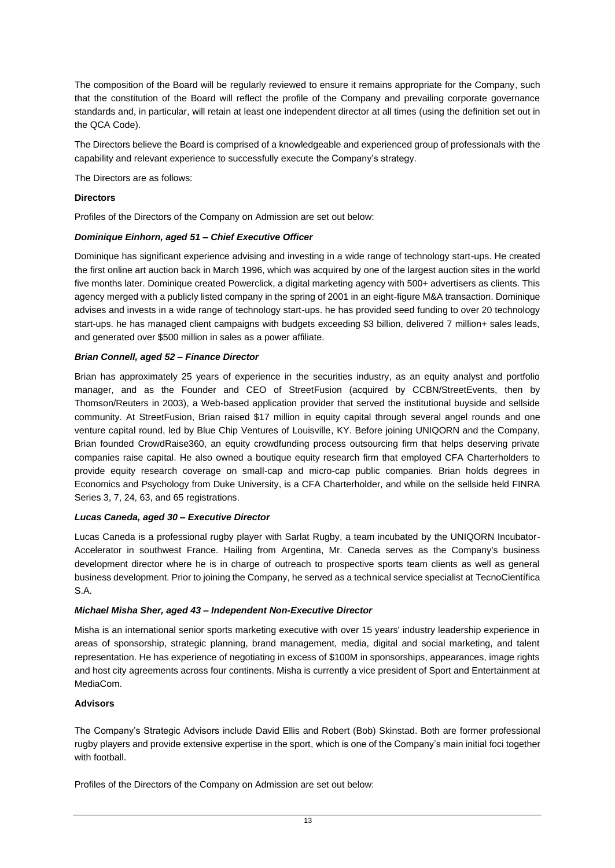The composition of the Board will be regularly reviewed to ensure it remains appropriate for the Company, such that the constitution of the Board will reflect the profile of the Company and prevailing corporate governance standards and, in particular, will retain at least one independent director at all times (using the definition set out in the QCA Code).

The Directors believe the Board is comprised of a knowledgeable and experienced group of professionals with the capability and relevant experience to successfully execute the Company's strategy.

The Directors are as follows:

## **Directors**

Profiles of the Directors of the Company on Admission are set out below:

## *Dominique Einhorn, aged 51 – Chief Executive Officer*

Dominique has significant experience advising and investing in a wide range of technology start-ups. He created the first online art auction back in March 1996, which was acquired by one of the largest auction sites in the world five months later. Dominique created Powerclick, a digital marketing agency with 500+ advertisers as clients. This agency merged with a publicly listed company in the spring of 2001 in an eight-figure M&A transaction. Dominique advises and invests in a wide range of technology start-ups. he has provided seed funding to over 20 technology start-ups. he has managed client campaigns with budgets exceeding \$3 billion, delivered 7 million+ sales leads, and generated over \$500 million in sales as a power affiliate.

## *Brian Connell, aged 52 – Finance Director*

Brian has approximately 25 years of experience in the securities industry, as an equity analyst and portfolio manager, and as the Founder and CEO of StreetFusion (acquired by CCBN/StreetEvents, then by Thomson/Reuters in 2003), a Web-based application provider that served the institutional buyside and sellside community. At StreetFusion, Brian raised \$17 million in equity capital through several angel rounds and one venture capital round, led by Blue Chip Ventures of Louisville, KY. Before joining UNIQORN and the Company, Brian founded CrowdRaise360, an equity crowdfunding process outsourcing firm that helps deserving private companies raise capital. He also owned a boutique equity research firm that employed CFA Charterholders to provide equity research coverage on small-cap and micro-cap public companies. Brian holds degrees in Economics and Psychology from Duke University, is a CFA Charterholder, and while on the sellside held FINRA Series 3, 7, 24, 63, and 65 registrations.

# *Lucas Caneda, aged 30 – Executive Director*

Lucas Caneda is a professional rugby player with Sarlat Rugby, a team incubated by the UNIQORN Incubator-Accelerator in southwest France. Hailing from Argentina, Mr. Caneda serves as the Company's business development director where he is in charge of outreach to prospective sports team clients as well as general business development. Prior to joining the Company, he served as a technical service specialist at TecnoCientífica S.A.

#### *Michael Misha Sher, aged 43 – Independent Non-Executive Director*

Misha is an international senior sports marketing executive with over 15 years' industry leadership experience in areas of sponsorship, strategic planning, brand management, media, digital and social marketing, and talent representation. He has experience of negotiating in excess of \$100M in sponsorships, appearances, image rights and host city agreements across four continents. Misha is currently a vice president of Sport and Entertainment at MediaCom.

# **Advisors**

The Company's Strategic Advisors include David Ellis and Robert (Bob) Skinstad. Both are former professional rugby players and provide extensive expertise in the sport, which is one of the Company's main initial foci together with football.

Profiles of the Directors of the Company on Admission are set out below: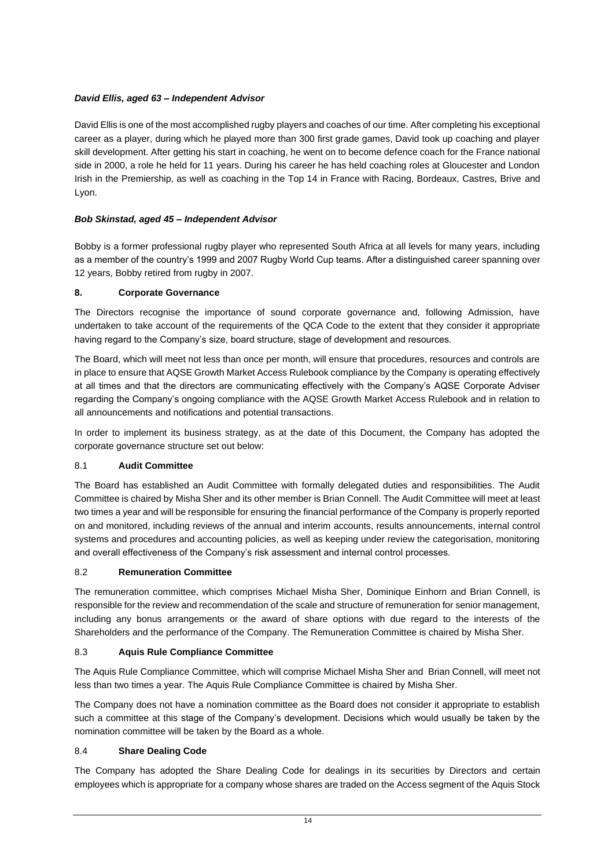# *David Ellis, aged 63 – Independent Advisor*

David Ellis is one of the most accomplished rugby players and coaches of our time. After completing his exceptional career as a player, during which he played more than 300 first grade games, David took up coaching and player skill development. After getting his start in coaching, he went on to become defence coach for the France national side in 2000, a role he held for 11 years. During his career he has held coaching roles at Gloucester and London Irish in the Premiership, as well as coaching in the Top 14 in France with Racing, Bordeaux, Castres, Brive and Lyon.

# *Bob Skinstad, aged 45 – Independent Advisor*

Bobby is a former professional rugby player who represented South Africa at all levels for many years, including as a member of the country's 1999 and 2007 Rugby World Cup teams. After a distinguished career spanning over 12 years, Bobby retired from rugby in 2007.

# **8. Corporate Governance**

The Directors recognise the importance of sound corporate governance and, following Admission, have undertaken to take account of the requirements of the QCA Code to the extent that they consider it appropriate having regard to the Company's size, board structure, stage of development and resources.

The Board, which will meet not less than once per month, will ensure that procedures, resources and controls are in place to ensure that AQSE Growth Market Access Rulebook compliance by the Company is operating effectively at all times and that the directors are communicating effectively with the Company's AQSE Corporate Adviser regarding the Company's ongoing compliance with the AQSE Growth Market Access Rulebook and in relation to all announcements and notifications and potential transactions.

In order to implement its business strategy, as at the date of this Document, the Company has adopted the corporate governance structure set out below:

# 8.1 **Audit Committee**

The Board has established an Audit Committee with formally delegated duties and responsibilities. The Audit Committee is chaired by Misha Sher and its other member is Brian Connell. The Audit Committee will meet at least two times a year and will be responsible for ensuring the financial performance of the Company is properly reported on and monitored, including reviews of the annual and interim accounts, results announcements, internal control systems and procedures and accounting policies, as well as keeping under review the categorisation, monitoring and overall effectiveness of the Company's risk assessment and internal control processes.

# 8.2 **Remuneration Committee**

The remuneration committee, which comprises Michael Misha Sher, Dominique Einhorn and Brian Connell, is responsible for the review and recommendation of the scale and structure of remuneration for senior management, including any bonus arrangements or the award of share options with due regard to the interests of the Shareholders and the performance of the Company. The Remuneration Committee is chaired by Misha Sher.

# 8.3 **Aquis Rule Compliance Committee**

The Aquis Rule Compliance Committee, which will comprise Michael Misha Sher and Brian Connell, will meet not less than two times a year. The Aquis Rule Compliance Committee is chaired by Misha Sher.

The Company does not have a nomination committee as the Board does not consider it appropriate to establish such a committee at this stage of the Company's development. Decisions which would usually be taken by the nomination committee will be taken by the Board as a whole.

# 8.4 **Share Dealing Code**

The Company has adopted the Share Dealing Code for dealings in its securities by Directors and certain employees which is appropriate for a company whose shares are traded on the Access segment of the Aquis Stock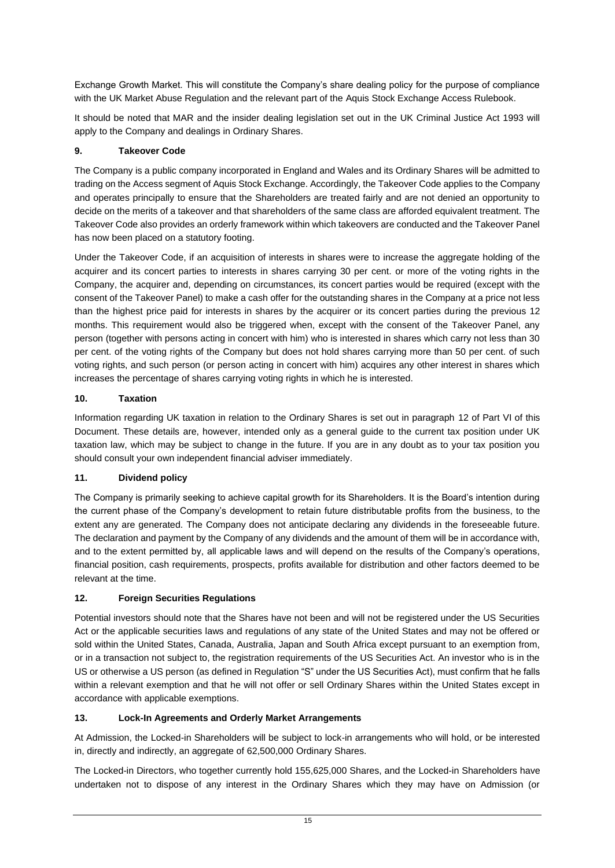Exchange Growth Market. This will constitute the Company's share dealing policy for the purpose of compliance with the UK Market Abuse Regulation and the relevant part of the Aquis Stock Exchange Access Rulebook.

It should be noted that MAR and the insider dealing legislation set out in the UK Criminal Justice Act 1993 will apply to the Company and dealings in Ordinary Shares.

# **9. Takeover Code**

The Company is a public company incorporated in England and Wales and its Ordinary Shares will be admitted to trading on the Access segment of Aquis Stock Exchange. Accordingly, the Takeover Code applies to the Company and operates principally to ensure that the Shareholders are treated fairly and are not denied an opportunity to decide on the merits of a takeover and that shareholders of the same class are afforded equivalent treatment. The Takeover Code also provides an orderly framework within which takeovers are conducted and the Takeover Panel has now been placed on a statutory footing.

Under the Takeover Code, if an acquisition of interests in shares were to increase the aggregate holding of the acquirer and its concert parties to interests in shares carrying 30 per cent. or more of the voting rights in the Company, the acquirer and, depending on circumstances, its concert parties would be required (except with the consent of the Takeover Panel) to make a cash offer for the outstanding shares in the Company at a price not less than the highest price paid for interests in shares by the acquirer or its concert parties during the previous 12 months. This requirement would also be triggered when, except with the consent of the Takeover Panel, any person (together with persons acting in concert with him) who is interested in shares which carry not less than 30 per cent. of the voting rights of the Company but does not hold shares carrying more than 50 per cent. of such voting rights, and such person (or person acting in concert with him) acquires any other interest in shares which increases the percentage of shares carrying voting rights in which he is interested.

# **10. Taxation**

Information regarding UK taxation in relation to the Ordinary Shares is set out in paragraph [12](#page-52-0) of Part VI of this Document. These details are, however, intended only as a general guide to the current tax position under UK taxation law, which may be subject to change in the future. If you are in any doubt as to your tax position you should consult your own independent financial adviser immediately.

# **11. Dividend policy**

The Company is primarily seeking to achieve capital growth for its Shareholders. It is the Board's intention during the current phase of the Company's development to retain future distributable profits from the business, to the extent any are generated. The Company does not anticipate declaring any dividends in the foreseeable future. The declaration and payment by the Company of any dividends and the amount of them will be in accordance with, and to the extent permitted by, all applicable laws and will depend on the results of the Company's operations, financial position, cash requirements, prospects, profits available for distribution and other factors deemed to be relevant at the time.

# **12. Foreign Securities Regulations**

Potential investors should note that the Shares have not been and will not be registered under the US Securities Act or the applicable securities laws and regulations of any state of the United States and may not be offered or sold within the United States, Canada, Australia, Japan and South Africa except pursuant to an exemption from, or in a transaction not subject to, the registration requirements of the US Securities Act. An investor who is in the US or otherwise a US person (as defined in Regulation "S" under the US Securities Act), must confirm that he falls within a relevant exemption and that he will not offer or sell Ordinary Shares within the United States except in accordance with applicable exemptions.

# **13. Lock-In Agreements and Orderly Market Arrangements**

At Admission, the Locked-in Shareholders will be subject to lock-in arrangements who will hold, or be interested in, directly and indirectly, an aggregate of 62,500,000 Ordinary Shares.

The Locked-in Directors, who together currently hold 155,625,000 Shares, and the Locked-in Shareholders have undertaken not to dispose of any interest in the Ordinary Shares which they may have on Admission (or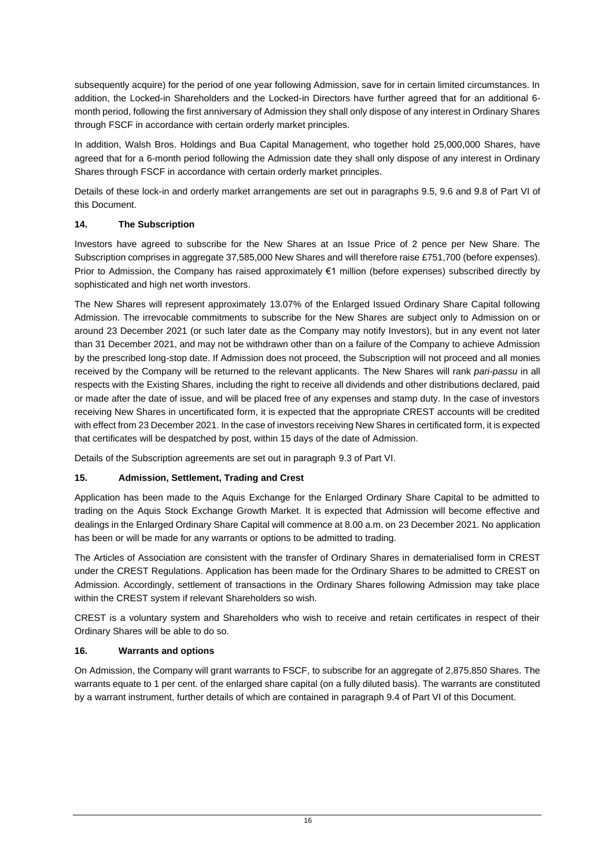subsequently acquire) for the period of one year following Admission, save for in certain limited circumstances. In addition, the Locked-in Shareholders and the Locked-in Directors have further agreed that for an additional 6 month period, following the first anniversary of Admission they shall only dispose of any interest in Ordinary Shares through FSCF in accordance with certain orderly market principles.

In addition, Walsh Bros. Holdings and Bua Capital Management, who together hold 25,000,000 Shares, have agreed that for a 6-month period following the Admission date they shall only dispose of any interest in Ordinary Shares through FSCF in accordance with certain orderly market principles.

Details of these lock-in and orderly market arrangements are set out in paragraphs [9.5,](#page-50-0) [9.6](#page-51-1) and [9.8](#page-51-0) of Part VI of this Document.

# **14. The Subscription**

Investors have agreed to subscribe for the New Shares at an Issue Price of 2 pence per New Share. The Subscription comprises in aggregate 37,585,000 New Shares and will therefore raise £751,700 (before expenses). Prior to Admission, the Company has raised approximately €1 million (before expenses) subscribed directly by sophisticated and high net worth investors.

The New Shares will represent approximately 13.07% of the Enlarged Issued Ordinary Share Capital following Admission. The irrevocable commitments to subscribe for the New Shares are subject only to Admission on or around 23 December 2021 (or such later date as the Company may notify Investors), but in any event not later than 31 December 2021, and may not be withdrawn other than on a failure of the Company to achieve Admission by the prescribed long-stop date. If Admission does not proceed, the Subscription will not proceed and all monies received by the Company will be returned to the relevant applicants. The New Shares will rank *pari-passu* in all respects with the Existing Shares, including the right to receive all dividends and other distributions declared, paid or made after the date of issue, and will be placed free of any expenses and stamp duty. In the case of investors receiving New Shares in uncertificated form, it is expected that the appropriate CREST accounts will be credited with effect from 23 December 2021. In the case of investors receiving New Shares in certificated form, it is expected that certificates will be despatched by post, within 15 days of the date of Admission.

Details of the Subscription agreements are set out in paragraph [9.3](#page-50-1) of Part VI.

# **15. Admission, Settlement, Trading and Crest**

Application has been made to the Aquis Exchange for the Enlarged Ordinary Share Capital to be admitted to trading on the Aquis Stock Exchange Growth Market. It is expected that Admission will become effective and dealings in the Enlarged Ordinary Share Capital will commence at 8.00 a.m. on 23 December 2021. No application has been or will be made for any warrants or options to be admitted to trading.

The Articles of Association are consistent with the transfer of Ordinary Shares in dematerialised form in CREST under the CREST Regulations. Application has been made for the Ordinary Shares to be admitted to CREST on Admission. Accordingly, settlement of transactions in the Ordinary Shares following Admission may take place within the CREST system if relevant Shareholders so wish.

CREST is a voluntary system and Shareholders who wish to receive and retain certificates in respect of their Ordinary Shares will be able to do so.

# **16. Warrants and options**

On Admission, the Company will grant warrants to FSCF, to subscribe for an aggregate of 2,875,850 Shares. The warrants equate to 1 per cent. of the enlarged share capital (on a fully diluted basis). The warrants are constituted by a warrant instrument, further details of which are contained in paragrap[h 9.4](#page-50-2) of Part VI of this Document.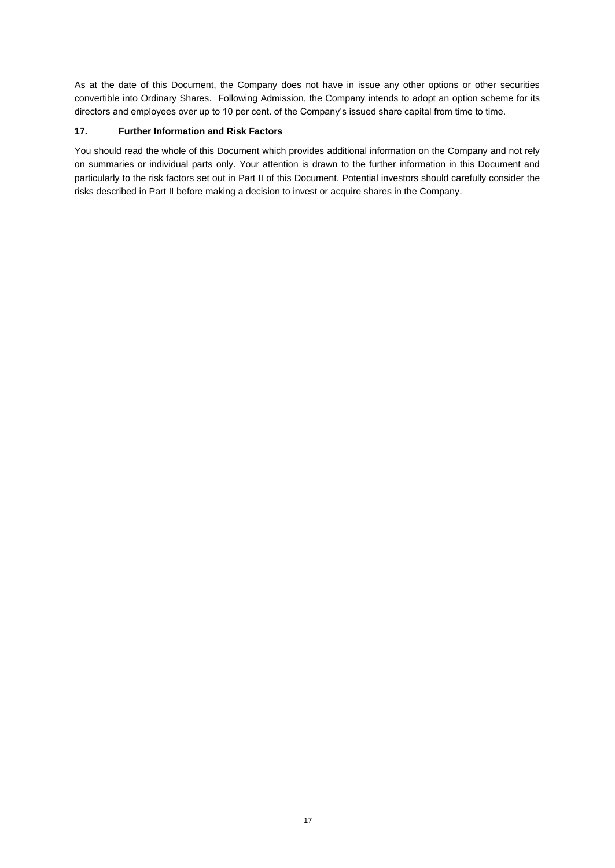As at the date of this Document, the Company does not have in issue any other options or other securities convertible into Ordinary Shares. Following Admission, the Company intends to adopt an option scheme for its directors and employees over up to 10 per cent. of the Company's issued share capital from time to time.

# **17. Further Information and Risk Factors**

You should read the whole of this Document which provides additional information on the Company and not rely on summaries or individual parts only. Your attention is drawn to the further information in this Document and particularly to the risk factors set out in Part II of this Document. Potential investors should carefully consider the risks described in Part II before making a decision to invest or acquire shares in the Company.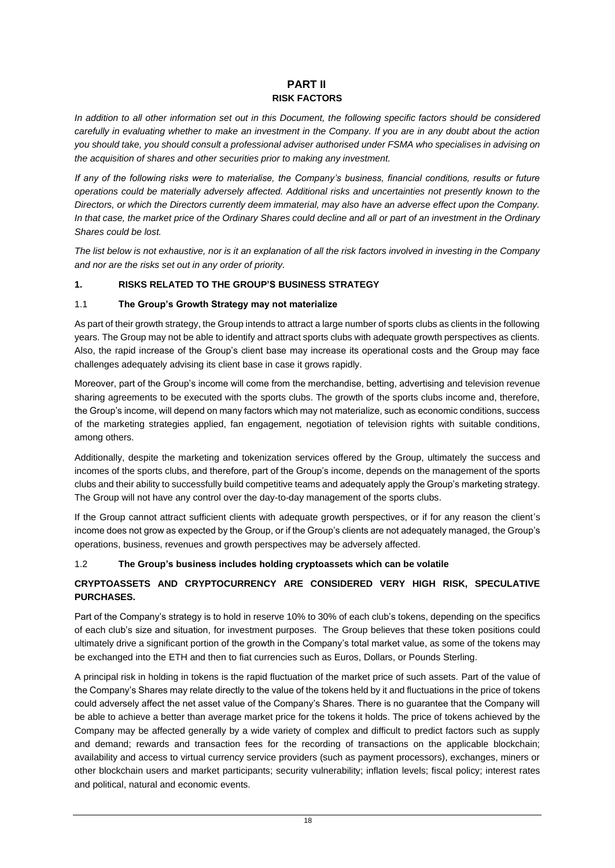# **PART II RISK FACTORS**

<span id="page-22-1"></span><span id="page-22-0"></span>*In addition to all other information set out in this Document, the following specific factors should be considered carefully in evaluating whether to make an investment in the Company. If you are in any doubt about the action you should take, you should consult a professional adviser authorised under FSMA who specialises in advising on the acquisition of shares and other securities prior to making any investment.*

*If any of the following risks were to materialise, the Company's business, financial conditions, results or future operations could be materially adversely affected. Additional risks and uncertainties not presently known to the Directors, or which the Directors currently deem immaterial, may also have an adverse effect upon the Company. In that case, the market price of the Ordinary Shares could decline and all or part of an investment in the Ordinary Shares could be lost.*

*The list below is not exhaustive, nor is it an explanation of all the risk factors involved in investing in the Company and nor are the risks set out in any order of priority.*

# **1. RISKS RELATED TO THE GROUP'S BUSINESS STRATEGY**

# 1.1 **The Group's Growth Strategy may not materialize**

As part of their growth strategy, the Group intends to attract a large number of sports clubs as clients in the following years. The Group may not be able to identify and attract sports clubs with adequate growth perspectives as clients. Also, the rapid increase of the Group's client base may increase its operational costs and the Group may face challenges adequately advising its client base in case it grows rapidly.

Moreover, part of the Group's income will come from the merchandise, betting, advertising and television revenue sharing agreements to be executed with the sports clubs. The growth of the sports clubs income and, therefore, the Group's income, will depend on many factors which may not materialize, such as economic conditions, success of the marketing strategies applied, fan engagement, negotiation of television rights with suitable conditions, among others.

Additionally, despite the marketing and tokenization services offered by the Group, ultimately the success and incomes of the sports clubs, and therefore, part of the Group's income, depends on the management of the sports clubs and their ability to successfully build competitive teams and adequately apply the Group's marketing strategy. The Group will not have any control over the day-to-day management of the sports clubs.

If the Group cannot attract sufficient clients with adequate growth perspectives, or if for any reason the client's income does not grow as expected by the Group, or if the Group's clients are not adequately managed, the Group's operations, business, revenues and growth perspectives may be adversely affected.

# 1.2 **The Group's business includes holding cryptoassets which can be volatile**

# **CRYPTOASSETS AND CRYPTOCURRENCY ARE CONSIDERED VERY HIGH RISK, SPECULATIVE PURCHASES.**

Part of the Company's strategy is to hold in reserve 10% to 30% of each club's tokens, depending on the specifics of each club's size and situation, for investment purposes. The Group believes that these token positions could ultimately drive a significant portion of the growth in the Company's total market value, as some of the tokens may be exchanged into the ETH and then to fiat currencies such as Euros, Dollars, or Pounds Sterling.

A principal risk in holding in tokens is the rapid fluctuation of the market price of such assets. Part of the value of the Company's Shares may relate directly to the value of the tokens held by it and fluctuations in the price of tokens could adversely affect the net asset value of the Company's Shares. There is no guarantee that the Company will be able to achieve a better than average market price for the tokens it holds. The price of tokens achieved by the Company may be affected generally by a wide variety of complex and difficult to predict factors such as supply and demand; rewards and transaction fees for the recording of transactions on the applicable blockchain; availability and access to virtual currency service providers (such as payment processors), exchanges, miners or other blockchain users and market participants; security vulnerability; inflation levels; fiscal policy; interest rates and political, natural and economic events.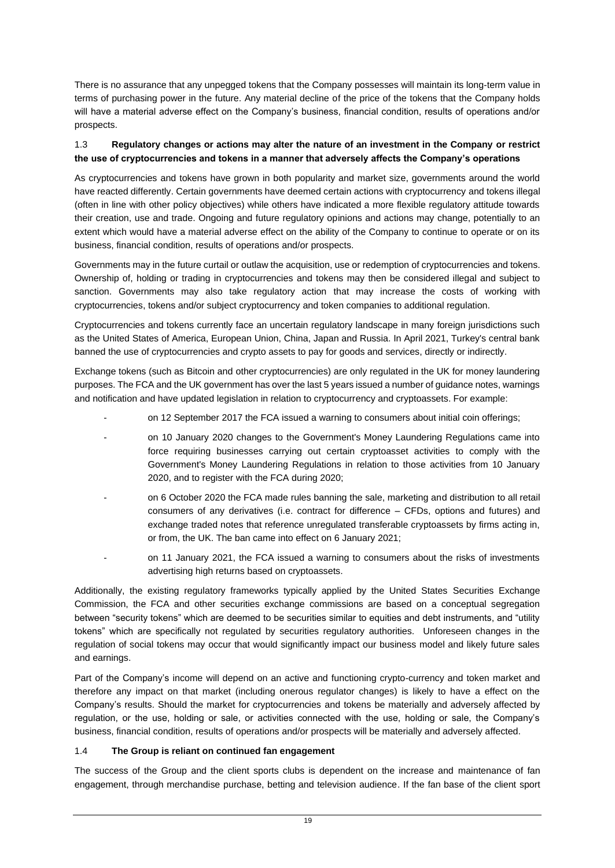There is no assurance that any unpegged tokens that the Company possesses will maintain its long-term value in terms of purchasing power in the future. Any material decline of the price of the tokens that the Company holds will have a material adverse effect on the Company's business, financial condition, results of operations and/or prospects.

# 1.3 **Regulatory changes or actions may alter the nature of an investment in the Company or restrict the use of cryptocurrencies and tokens in a manner that adversely affects the Company's operations**

As cryptocurrencies and tokens have grown in both popularity and market size, governments around the world have reacted differently. Certain governments have deemed certain actions with cryptocurrency and tokens illegal (often in line with other policy objectives) while others have indicated a more flexible regulatory attitude towards their creation, use and trade. Ongoing and future regulatory opinions and actions may change, potentially to an extent which would have a material adverse effect on the ability of the Company to continue to operate or on its business, financial condition, results of operations and/or prospects.

Governments may in the future curtail or outlaw the acquisition, use or redemption of cryptocurrencies and tokens. Ownership of, holding or trading in cryptocurrencies and tokens may then be considered illegal and subject to sanction. Governments may also take regulatory action that may increase the costs of working with cryptocurrencies, tokens and/or subject cryptocurrency and token companies to additional regulation.

Cryptocurrencies and tokens currently face an uncertain regulatory landscape in many foreign jurisdictions such as the United States of America, European Union, China, Japan and Russia. In April 2021, Turkey's central bank banned the use of cryptocurrencies and crypto assets to pay for goods and services, directly or indirectly.

Exchange tokens (such as Bitcoin and other cryptocurrencies) are only regulated in the UK for money laundering purposes. The FCA and the UK government has over the last 5 years issued a number of guidance notes, warnings and notification and have updated legislation in relation to cryptocurrency and cryptoassets. For example:

- on 12 September 2017 the FCA issued a warning to consumers about initial coin offerings;
- on 10 January 2020 changes to the Government's Money Laundering Regulations came into force requiring businesses carrying out certain cryptoasset activities to comply with the Government's Money Laundering Regulations in relation to those activities from 10 January 2020, and to register with the FCA during 2020;
- on 6 October 2020 the FCA made rules banning the sale, marketing and distribution to all retail consumers of any derivatives (i.e. contract for difference – CFDs, options and futures) and exchange traded notes that reference unregulated transferable cryptoassets by firms acting in, or from, the UK. The ban came into effect on 6 January 2021;
- on 11 January 2021, the FCA issued a warning to consumers about the risks of investments advertising high returns based on cryptoassets.

Additionally, the existing regulatory frameworks typically applied by the United States Securities Exchange Commission, the FCA and other securities exchange commissions are based on a conceptual segregation between "security tokens" which are deemed to be securities similar to equities and debt instruments, and "utility tokens" which are specifically not regulated by securities regulatory authorities. Unforeseen changes in the regulation of social tokens may occur that would significantly impact our business model and likely future sales and earnings.

Part of the Company's income will depend on an active and functioning crypto-currency and token market and therefore any impact on that market (including onerous regulator changes) is likely to have a effect on the Company's results. Should the market for cryptocurrencies and tokens be materially and adversely affected by regulation, or the use, holding or sale, or activities connected with the use, holding or sale, the Company's business, financial condition, results of operations and/or prospects will be materially and adversely affected.

# 1.4 **The Group is reliant on continued fan engagement**

The success of the Group and the client sports clubs is dependent on the increase and maintenance of fan engagement, through merchandise purchase, betting and television audience. If the fan base of the client sport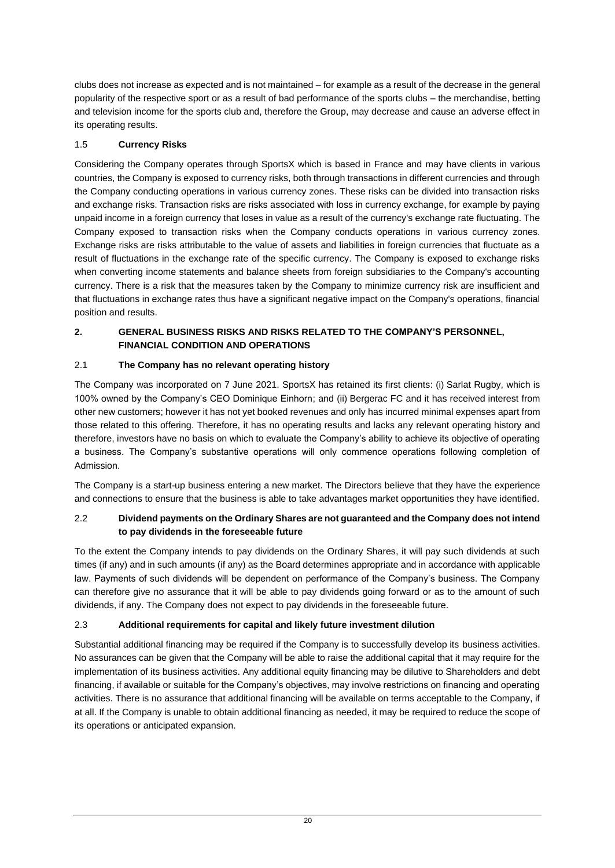clubs does not increase as expected and is not maintained – for example as a result of the decrease in the general popularity of the respective sport or as a result of bad performance of the sports clubs – the merchandise, betting and television income for the sports club and, therefore the Group, may decrease and cause an adverse effect in its operating results.

# 1.5 **Currency Risks**

Considering the Company operates through SportsX which is based in France and may have clients in various countries, the Company is exposed to currency risks, both through transactions in different currencies and through the Company conducting operations in various currency zones. These risks can be divided into transaction risks and exchange risks. Transaction risks are risks associated with loss in currency exchange, for example by paying unpaid income in a foreign currency that loses in value as a result of the currency's exchange rate fluctuating. The Company exposed to transaction risks when the Company conducts operations in various currency zones. Exchange risks are risks attributable to the value of assets and liabilities in foreign currencies that fluctuate as a result of fluctuations in the exchange rate of the specific currency. The Company is exposed to exchange risks when converting income statements and balance sheets from foreign subsidiaries to the Company's accounting currency. There is a risk that the measures taken by the Company to minimize currency risk are insufficient and that fluctuations in exchange rates thus have a significant negative impact on the Company's operations, financial position and results.

# **2. GENERAL BUSINESS RISKS AND RISKS RELATED TO THE COMPANY'S PERSONNEL, FINANCIAL CONDITION AND OPERATIONS**

# 2.1 **The Company has no relevant operating history**

The Company was incorporated on 7 June 2021. SportsX has retained its first clients: (i) Sarlat Rugby, which is 100% owned by the Company's CEO Dominique Einhorn; and (ii) Bergerac FC and it has received interest from other new customers; however it has not yet booked revenues and only has incurred minimal expenses apart from those related to this offering. Therefore, it has no operating results and lacks any relevant operating history and therefore, investors have no basis on which to evaluate the Company's ability to achieve its objective of operating a business. The Company's substantive operations will only commence operations following completion of Admission.

The Company is a start-up business entering a new market. The Directors believe that they have the experience and connections to ensure that the business is able to take advantages market opportunities they have identified.

# 2.2 **Dividend payments on the Ordinary Shares are not guaranteed and the Company does not intend to pay dividends in the foreseeable future**

To the extent the Company intends to pay dividends on the Ordinary Shares, it will pay such dividends at such times (if any) and in such amounts (if any) as the Board determines appropriate and in accordance with applicable law. Payments of such dividends will be dependent on performance of the Company's business. The Company can therefore give no assurance that it will be able to pay dividends going forward or as to the amount of such dividends, if any. The Company does not expect to pay dividends in the foreseeable future.

# 2.3 **Additional requirements for capital and likely future investment dilution**

Substantial additional financing may be required if the Company is to successfully develop its business activities. No assurances can be given that the Company will be able to raise the additional capital that it may require for the implementation of its business activities. Any additional equity financing may be dilutive to Shareholders and debt financing, if available or suitable for the Company's objectives, may involve restrictions on financing and operating activities. There is no assurance that additional financing will be available on terms acceptable to the Company, if at all. If the Company is unable to obtain additional financing as needed, it may be required to reduce the scope of its operations or anticipated expansion.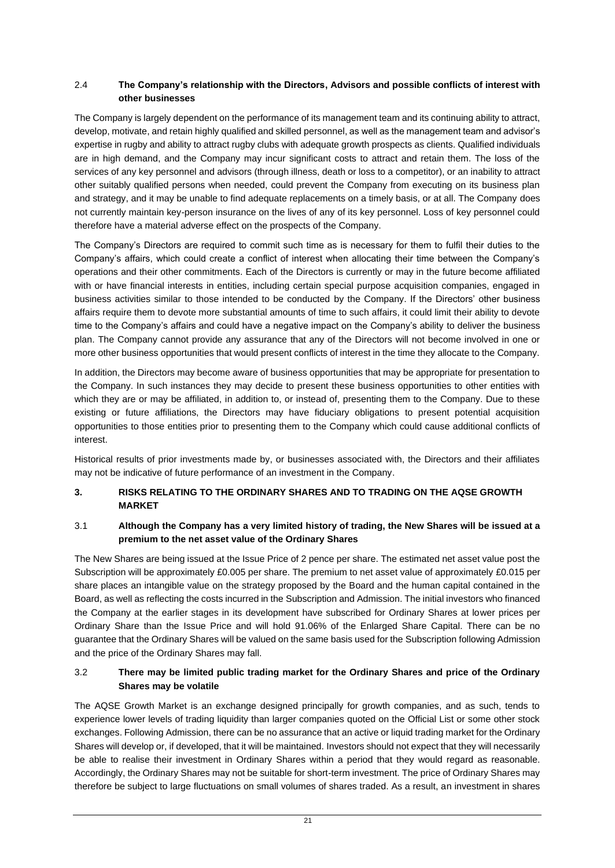# 2.4 **The Company's relationship with the Directors, Advisors and possible conflicts of interest with other businesses**

The Company is largely dependent on the performance of its management team and its continuing ability to attract, develop, motivate, and retain highly qualified and skilled personnel, as well as the management team and advisor's expertise in rugby and ability to attract rugby clubs with adequate growth prospects as clients. Qualified individuals are in high demand, and the Company may incur significant costs to attract and retain them. The loss of the services of any key personnel and advisors (through illness, death or loss to a competitor), or an inability to attract other suitably qualified persons when needed, could prevent the Company from executing on its business plan and strategy, and it may be unable to find adequate replacements on a timely basis, or at all. The Company does not currently maintain key-person insurance on the lives of any of its key personnel. Loss of key personnel could therefore have a material adverse effect on the prospects of the Company.

The Company's Directors are required to commit such time as is necessary for them to fulfil their duties to the Company's affairs, which could create a conflict of interest when allocating their time between the Company's operations and their other commitments. Each of the Directors is currently or may in the future become affiliated with or have financial interests in entities, including certain special purpose acquisition companies, engaged in business activities similar to those intended to be conducted by the Company. If the Directors' other business affairs require them to devote more substantial amounts of time to such affairs, it could limit their ability to devote time to the Company's affairs and could have a negative impact on the Company's ability to deliver the business plan. The Company cannot provide any assurance that any of the Directors will not become involved in one or more other business opportunities that would present conflicts of interest in the time they allocate to the Company.

In addition, the Directors may become aware of business opportunities that may be appropriate for presentation to the Company. In such instances they may decide to present these business opportunities to other entities with which they are or may be affiliated, in addition to, or instead of, presenting them to the Company. Due to these existing or future affiliations, the Directors may have fiduciary obligations to present potential acquisition opportunities to those entities prior to presenting them to the Company which could cause additional conflicts of interest.

Historical results of prior investments made by, or businesses associated with, the Directors and their affiliates may not be indicative of future performance of an investment in the Company.

# **3. RISKS RELATING TO THE ORDINARY SHARES AND TO TRADING ON THE AQSE GROWTH MARKET**

# 3.1 **Although the Company has a very limited history of trading, the New Shares will be issued at a premium to the net asset value of the Ordinary Shares**

The New Shares are being issued at the Issue Price of 2 pence per share. The estimated net asset value post the Subscription will be approximately £0.005 per share. The premium to net asset value of approximately £0.015 per share places an intangible value on the strategy proposed by the Board and the human capital contained in the Board, as well as reflecting the costs incurred in the Subscription and Admission. The initial investors who financed the Company at the earlier stages in its development have subscribed for Ordinary Shares at lower prices per Ordinary Share than the Issue Price and will hold 91.06% of the Enlarged Share Capital. There can be no guarantee that the Ordinary Shares will be valued on the same basis used for the Subscription following Admission and the price of the Ordinary Shares may fall.

# 3.2 **There may be limited public trading market for the Ordinary Shares and price of the Ordinary Shares may be volatile**

The AQSE Growth Market is an exchange designed principally for growth companies, and as such, tends to experience lower levels of trading liquidity than larger companies quoted on the Official List or some other stock exchanges. Following Admission, there can be no assurance that an active or liquid trading market for the Ordinary Shares will develop or, if developed, that it will be maintained. Investors should not expect that they will necessarily be able to realise their investment in Ordinary Shares within a period that they would regard as reasonable. Accordingly, the Ordinary Shares may not be suitable for short-term investment. The price of Ordinary Shares may therefore be subject to large fluctuations on small volumes of shares traded. As a result, an investment in shares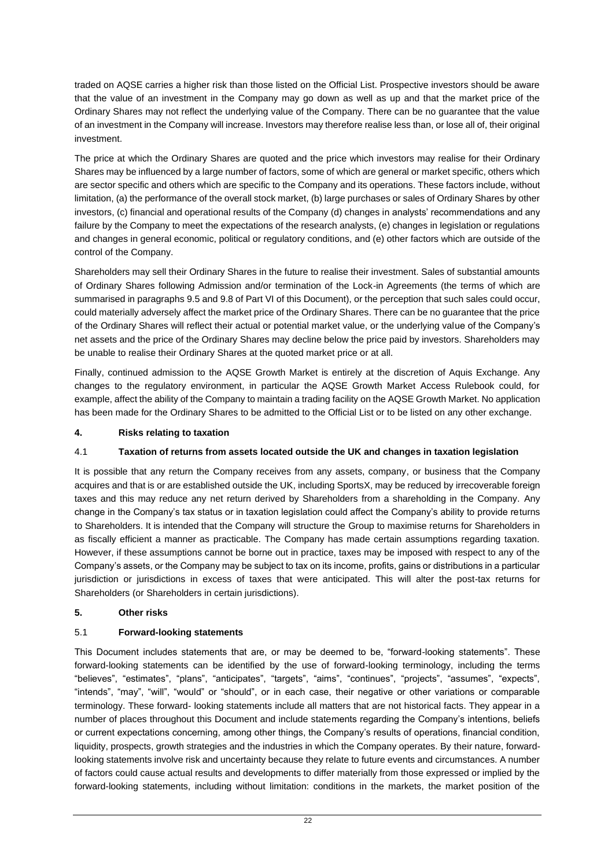traded on AQSE carries a higher risk than those listed on the Official List. Prospective investors should be aware that the value of an investment in the Company may go down as well as up and that the market price of the Ordinary Shares may not reflect the underlying value of the Company. There can be no guarantee that the value of an investment in the Company will increase. Investors may therefore realise less than, or lose all of, their original investment.

The price at which the Ordinary Shares are quoted and the price which investors may realise for their Ordinary Shares may be influenced by a large number of factors, some of which are general or market specific, others which are sector specific and others which are specific to the Company and its operations. These factors include, without limitation, (a) the performance of the overall stock market, (b) large purchases or sales of Ordinary Shares by other investors, (c) financial and operational results of the Company (d) changes in analysts' recommendations and any failure by the Company to meet the expectations of the research analysts, (e) changes in legislation or regulations and changes in general economic, political or regulatory conditions, and (e) other factors which are outside of the control of the Company.

Shareholders may sell their Ordinary Shares in the future to realise their investment. Sales of substantial amounts of Ordinary Shares following Admission and/or termination of the Lock-in Agreements (the terms of which are summarised in paragraphs [9.5](#page-50-0) an[d 9.8](#page-51-0) of Part VI of this Document), or the perception that such sales could occur, could materially adversely affect the market price of the Ordinary Shares. There can be no guarantee that the price of the Ordinary Shares will reflect their actual or potential market value, or the underlying value of the Company's net assets and the price of the Ordinary Shares may decline below the price paid by investors. Shareholders may be unable to realise their Ordinary Shares at the quoted market price or at all.

Finally, continued admission to the AQSE Growth Market is entirely at the discretion of Aquis Exchange. Any changes to the regulatory environment, in particular the AQSE Growth Market Access Rulebook could, for example, affect the ability of the Company to maintain a trading facility on the AQSE Growth Market. No application has been made for the Ordinary Shares to be admitted to the Official List or to be listed on any other exchange.

# **4. Risks relating to taxation**

# 4.1 **Taxation of returns from assets located outside the UK and changes in taxation legislation**

It is possible that any return the Company receives from any assets, company, or business that the Company acquires and that is or are established outside the UK, including SportsX, may be reduced by irrecoverable foreign taxes and this may reduce any net return derived by Shareholders from a shareholding in the Company. Any change in the Company's tax status or in taxation legislation could affect the Company's ability to provide returns to Shareholders. It is intended that the Company will structure the Group to maximise returns for Shareholders in as fiscally efficient a manner as practicable. The Company has made certain assumptions regarding taxation. However, if these assumptions cannot be borne out in practice, taxes may be imposed with respect to any of the Company's assets, or the Company may be subject to tax on its income, profits, gains or distributions in a particular jurisdiction or jurisdictions in excess of taxes that were anticipated. This will alter the post-tax returns for Shareholders (or Shareholders in certain jurisdictions).

# **5. Other risks**

# 5.1 **Forward-looking statements**

This Document includes statements that are, or may be deemed to be, "forward-looking statements". These forward-looking statements can be identified by the use of forward-looking terminology, including the terms "believes", "estimates", "plans", "anticipates", "targets", "aims", "continues", "projects", "assumes", "expects", "intends", "may", "will", "would" or "should", or in each case, their negative or other variations or comparable terminology. These forward- looking statements include all matters that are not historical facts. They appear in a number of places throughout this Document and include statements regarding the Company's intentions, beliefs or current expectations concerning, among other things, the Company's results of operations, financial condition, liquidity, prospects, growth strategies and the industries in which the Company operates. By their nature, forwardlooking statements involve risk and uncertainty because they relate to future events and circumstances. A number of factors could cause actual results and developments to differ materially from those expressed or implied by the forward-looking statements, including without limitation: conditions in the markets, the market position of the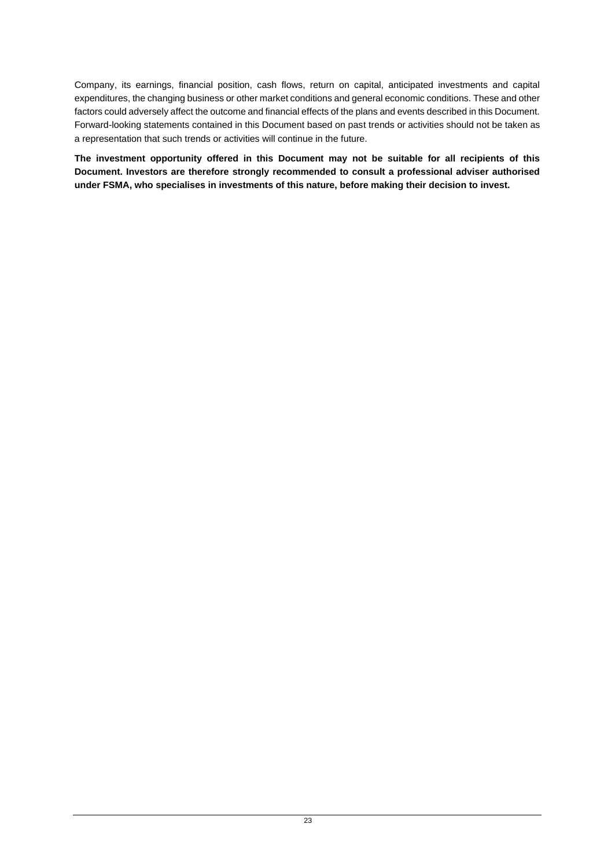Company, its earnings, financial position, cash flows, return on capital, anticipated investments and capital expenditures, the changing business or other market conditions and general economic conditions. These and other factors could adversely affect the outcome and financial effects of the plans and events described in this Document. Forward-looking statements contained in this Document based on past trends or activities should not be taken as a representation that such trends or activities will continue in the future.

**The investment opportunity offered in this Document may not be suitable for all recipients of this Document. Investors are therefore strongly recommended to consult a professional adviser authorised under FSMA, who specialises in investments of this nature, before making their decision to invest.**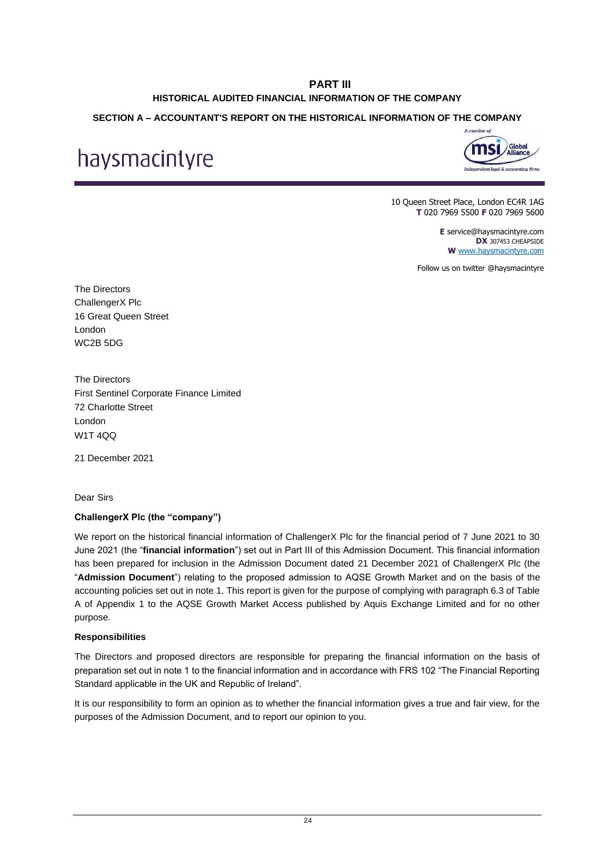# **PART III HISTORICAL AUDITED FINANCIAL INFORMATION OF THE COMPANY**

# <span id="page-28-1"></span><span id="page-28-0"></span>**SECTION A – ACCOUNTANT'S REPORT ON THE HISTORICAL INFORMATION OF THE COMPANY**

# haysmacintyre



10 Queen Street Place, London EC4R 1AG **T** 020 7969 5500 **F** 020 7969 5600

> **E** service@haysmacintyre.com **DX** 307453 CHEAPSIDE **W** [www.haysmacintyre.com](http://www.haysmacintyre.com/)

Follow us on twitter @haysmacintyre

The Directors ChallengerX Plc 16 Great Queen Street London WC2B 5DG

The Directors First Sentinel Corporate Finance Limited 72 Charlotte Street London W1T 4QQ

21 December 2021

Dear Sirs

# **ChallengerX Plc (the "company")**

We report on the historical financial information of ChallengerX Plc for the financial period of 7 June 2021 to 30 June 2021 (the "**financial information**") set out in Part III of this Admission Document. This financial information has been prepared for inclusion in the Admission Document dated 21 December 2021 of ChallengerX Plc (the "**Admission Document**") relating to the proposed admission to AQSE Growth Market and on the basis of the accounting policies set out in note 1. This report is given for the purpose of complying with paragraph 6.3 of Table A of Appendix 1 to the AQSE Growth Market Access published by Aquis Exchange Limited and for no other purpose.

# **Responsibilities**

The Directors and proposed directors are responsible for preparing the financial information on the basis of preparation set out in note 1 to the financial information and in accordance with FRS 102 "The Financial Reporting Standard applicable in the UK and Republic of Ireland".

It is our responsibility to form an opinion as to whether the financial information gives a true and fair view, for the purposes of the Admission Document, and to report our opinion to you.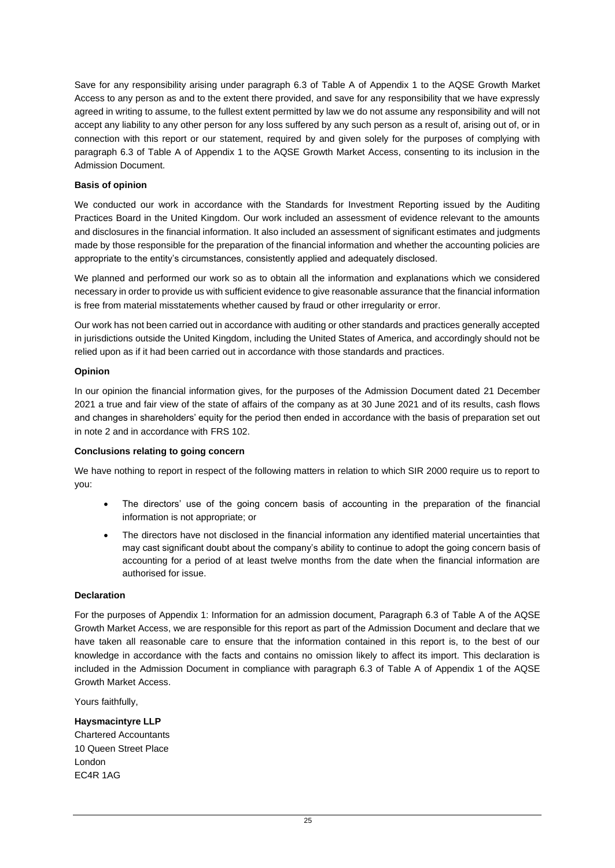Save for any responsibility arising under paragraph 6.3 of Table A of Appendix 1 to the AQSE Growth Market Access to any person as and to the extent there provided, and save for any responsibility that we have expressly agreed in writing to assume, to the fullest extent permitted by law we do not assume any responsibility and will not accept any liability to any other person for any loss suffered by any such person as a result of, arising out of, or in connection with this report or our statement, required by and given solely for the purposes of complying with paragraph 6.3 of Table A of Appendix 1 to the AQSE Growth Market Access, consenting to its inclusion in the Admission Document.

## **Basis of opinion**

We conducted our work in accordance with the Standards for Investment Reporting issued by the Auditing Practices Board in the United Kingdom. Our work included an assessment of evidence relevant to the amounts and disclosures in the financial information. It also included an assessment of significant estimates and judgments made by those responsible for the preparation of the financial information and whether the accounting policies are appropriate to the entity's circumstances, consistently applied and adequately disclosed.

We planned and performed our work so as to obtain all the information and explanations which we considered necessary in order to provide us with sufficient evidence to give reasonable assurance that the financial information is free from material misstatements whether caused by fraud or other irregularity or error.

Our work has not been carried out in accordance with auditing or other standards and practices generally accepted in jurisdictions outside the United Kingdom, including the United States of America, and accordingly should not be relied upon as if it had been carried out in accordance with those standards and practices.

#### **Opinion**

In our opinion the financial information gives, for the purposes of the Admission Document dated 21 December 2021 a true and fair view of the state of affairs of the company as at 30 June 2021 and of its results, cash flows and changes in shareholders' equity for the period then ended in accordance with the basis of preparation set out in note 2 and in accordance with FRS 102.

#### **Conclusions relating to going concern**

We have nothing to report in respect of the following matters in relation to which SIR 2000 require us to report to you:

- The directors' use of the going concern basis of accounting in the preparation of the financial information is not appropriate; or
- The directors have not disclosed in the financial information any identified material uncertainties that may cast significant doubt about the company's ability to continue to adopt the going concern basis of accounting for a period of at least twelve months from the date when the financial information are authorised for issue.

#### **Declaration**

For the purposes of Appendix 1: Information for an admission document, Paragraph 6.3 of Table A of the AQSE Growth Market Access, we are responsible for this report as part of the Admission Document and declare that we have taken all reasonable care to ensure that the information contained in this report is, to the best of our knowledge in accordance with the facts and contains no omission likely to affect its import. This declaration is included in the Admission Document in compliance with paragraph 6.3 of Table A of Appendix 1 of the AQSE Growth Market Access.

Yours faithfully,

**Haysmacintyre LLP** Chartered Accountants 10 Queen Street Place London EC4R 1AG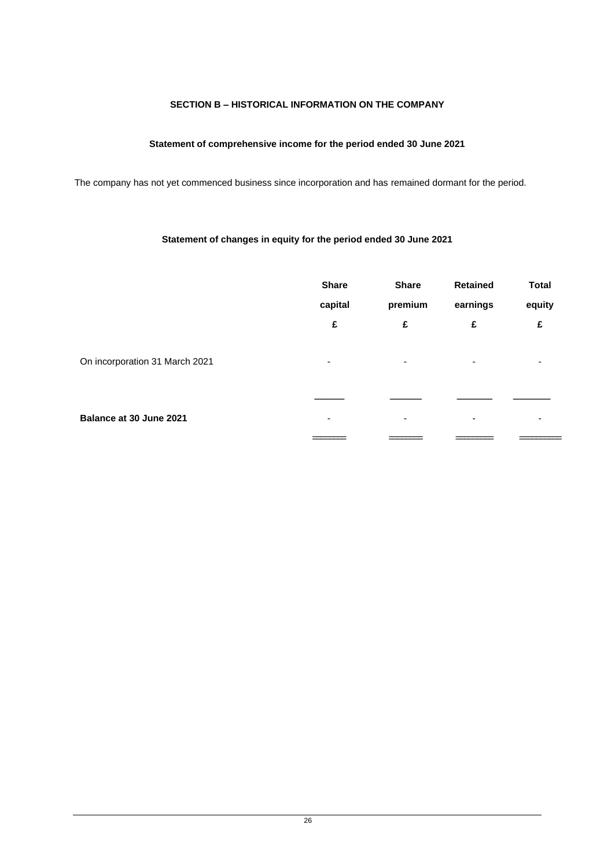# **SECTION B – HISTORICAL INFORMATION ON THE COMPANY**

# **Statement of comprehensive income for the period ended 30 June 2021**

The company has not yet commenced business since incorporation and has remained dormant for the period.

# **Statement of changes in equity for the period ended 30 June 2021**

|                                | <b>Share</b><br>capital<br>£ | <b>Share</b><br>premium<br>£ | <b>Retained</b><br>earnings<br>£ | <b>Total</b><br>equity<br>£ |
|--------------------------------|------------------------------|------------------------------|----------------------------------|-----------------------------|
| On incorporation 31 March 2021 | ۰                            | $\overline{\phantom{a}}$     | ۰                                | $\overline{\phantom{a}}$    |
| Balance at 30 June 2021        | -                            | $\overline{\phantom{0}}$     |                                  |                             |
|                                |                              |                              |                                  |                             |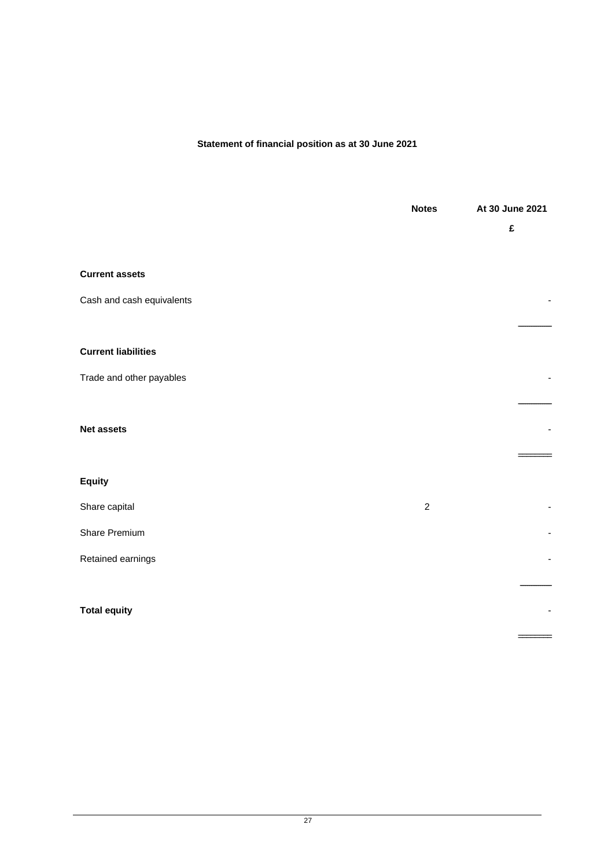## **Statement of financial position as at 30 June 2021**

|                            | <b>Notes</b> | At 30 June 2021 |
|----------------------------|--------------|-----------------|
|                            |              | £               |
|                            |              |                 |
| <b>Current assets</b>      |              |                 |
| Cash and cash equivalents  |              |                 |
|                            |              |                 |
| <b>Current liabilities</b> |              |                 |
| Trade and other payables   |              |                 |
|                            |              |                 |
| <b>Net assets</b>          |              |                 |
|                            |              |                 |
| <b>Equity</b>              |              |                 |
| Share capital              | $\sqrt{2}$   |                 |
| Share Premium              |              |                 |
| Retained earnings          |              |                 |
|                            |              |                 |
| <b>Total equity</b>        |              |                 |
|                            |              |                 |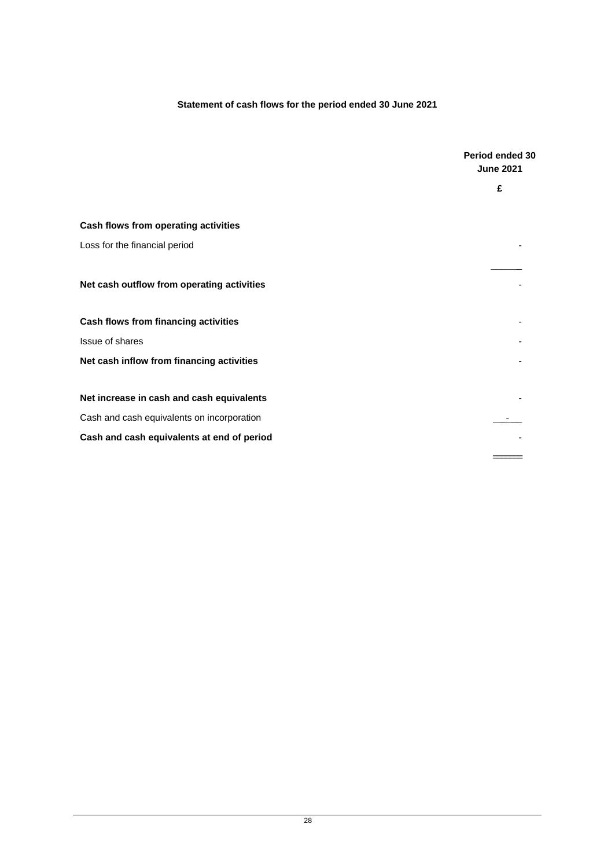# **Statement of cash flows for the period ended 30 June 2021**

|                                            | Period ended 30<br><b>June 2021</b> |
|--------------------------------------------|-------------------------------------|
|                                            | £                                   |
| Cash flows from operating activities       |                                     |
| Loss for the financial period              |                                     |
|                                            |                                     |
| Net cash outflow from operating activities |                                     |
| Cash flows from financing activities       |                                     |
| Issue of shares                            |                                     |
| Net cash inflow from financing activities  |                                     |
| Net increase in cash and cash equivalents  |                                     |
| Cash and cash equivalents on incorporation |                                     |
| Cash and cash equivalents at end of period |                                     |
|                                            |                                     |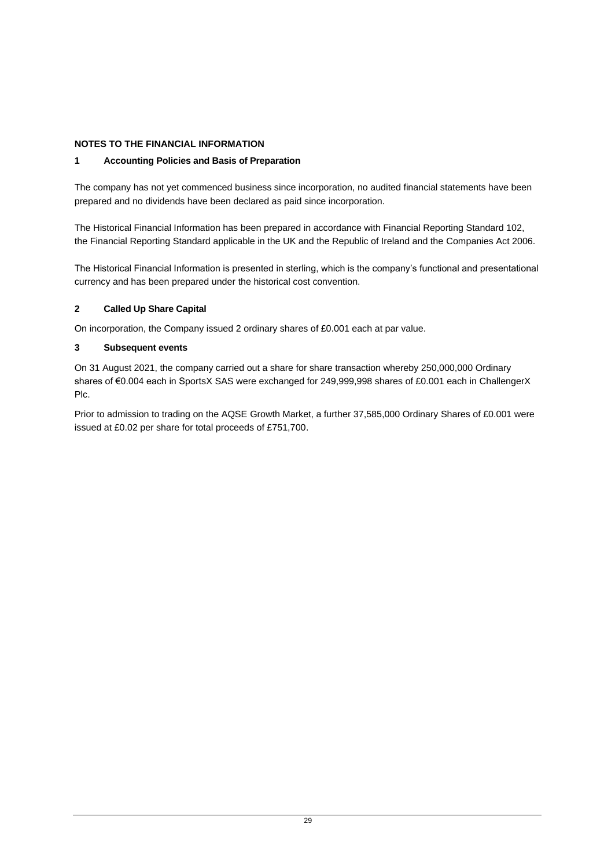# **NOTES TO THE FINANCIAL INFORMATION**

# **1 Accounting Policies and Basis of Preparation**

The company has not yet commenced business since incorporation, no audited financial statements have been prepared and no dividends have been declared as paid since incorporation.

The Historical Financial Information has been prepared in accordance with Financial Reporting Standard 102, the Financial Reporting Standard applicable in the UK and the Republic of Ireland and the Companies Act 2006.

The Historical Financial Information is presented in sterling, which is the company's functional and presentational currency and has been prepared under the historical cost convention.

## **2 Called Up Share Capital**

On incorporation, the Company issued 2 ordinary shares of £0.001 each at par value.

## **3 Subsequent events**

On 31 August 2021, the company carried out a share for share transaction whereby 250,000,000 Ordinary shares of €0.004 each in SportsX SAS were exchanged for 249,999,998 shares of £0.001 each in ChallengerX Plc.

Prior to admission to trading on the AQSE Growth Market, a further 37,585,000 Ordinary Shares of £0.001 were issued at £0.02 per share for total proceeds of £751,700.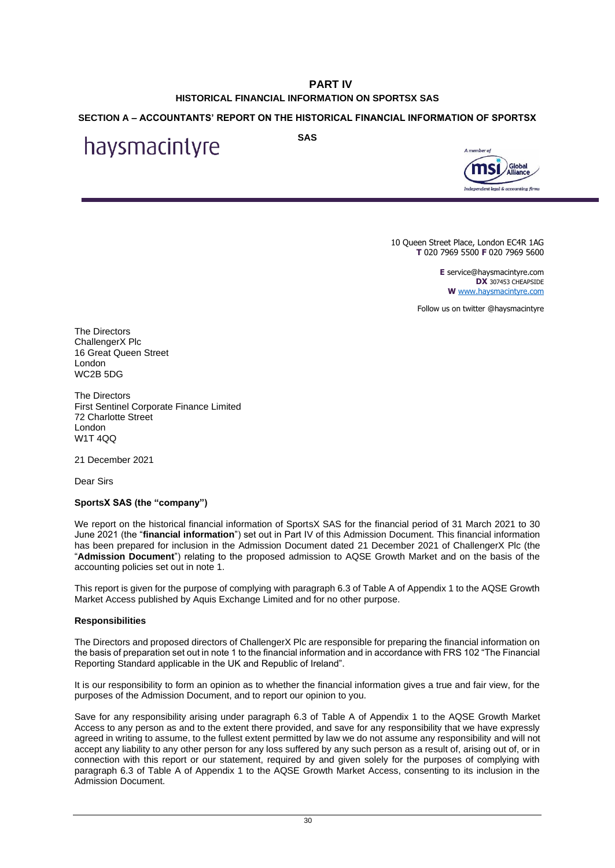# **PART IV HISTORICAL FINANCIAL INFORMATION ON SPORTSX SAS**

# <span id="page-34-1"></span><span id="page-34-0"></span>**SECTION A – ACCOUNTANTS' REPORT ON THE HISTORICAL FINANCIAL INFORMATION OF SPORTSX**

haysmacintyre

**SAS**



10 Queen Street Place, London EC4R 1AG **T** 020 7969 5500 **F** 020 7969 5600

> **E** service@haysmacintyre.com **DX** 307453 CHEAPSIDE **W** [www.haysmacintyre.com](http://www.haysmacintyre.com/)

Follow us on twitter @haysmacintyre

The Directors ChallengerX Plc 16 Great Queen Street London WC2B 5DG

The Directors First Sentinel Corporate Finance Limited 72 Charlotte Street London W1T 4QQ

21 December 2021

Dear Sirs

#### **SportsX SAS (the "company")**

We report on the historical financial information of SportsX SAS for the financial period of 31 March 2021 to 30 June 2021 (the "**financial information**") set out in Part IV of this Admission Document. This financial information has been prepared for inclusion in the Admission Document dated 21 December 2021 of ChallengerX Plc (the "**Admission Document**") relating to the proposed admission to AQSE Growth Market and on the basis of the accounting policies set out in note 1.

This report is given for the purpose of complying with paragraph 6.3 of Table A of Appendix 1 to the AQSE Growth Market Access published by Aquis Exchange Limited and for no other purpose.

#### **Responsibilities**

The Directors and proposed directors of ChallengerX Plc are responsible for preparing the financial information on the basis of preparation set out in note 1 to the financial information and in accordance with FRS 102 "The Financial Reporting Standard applicable in the UK and Republic of Ireland".

It is our responsibility to form an opinion as to whether the financial information gives a true and fair view, for the purposes of the Admission Document, and to report our opinion to you.

Save for any responsibility arising under paragraph 6.3 of Table A of Appendix 1 to the AQSE Growth Market Access to any person as and to the extent there provided, and save for any responsibility that we have expressly agreed in writing to assume, to the fullest extent permitted by law we do not assume any responsibility and will not accept any liability to any other person for any loss suffered by any such person as a result of, arising out of, or in connection with this report or our statement, required by and given solely for the purposes of complying with paragraph 6.3 of Table A of Appendix 1 to the AQSE Growth Market Access, consenting to its inclusion in the Admission Document.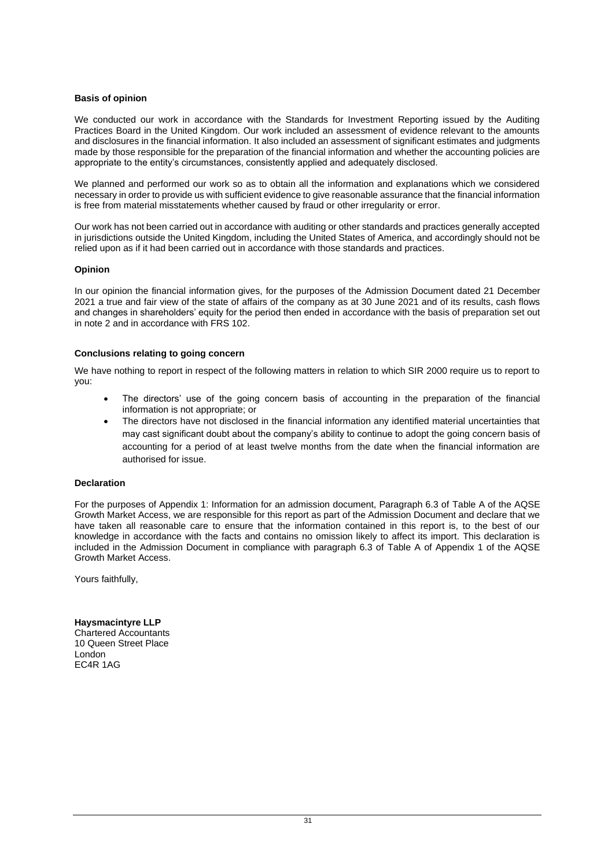#### **Basis of opinion**

We conducted our work in accordance with the Standards for Investment Reporting issued by the Auditing Practices Board in the United Kingdom. Our work included an assessment of evidence relevant to the amounts and disclosures in the financial information. It also included an assessment of significant estimates and judgments made by those responsible for the preparation of the financial information and whether the accounting policies are appropriate to the entity's circumstances, consistently applied and adequately disclosed.

We planned and performed our work so as to obtain all the information and explanations which we considered necessary in order to provide us with sufficient evidence to give reasonable assurance that the financial information is free from material misstatements whether caused by fraud or other irregularity or error.

Our work has not been carried out in accordance with auditing or other standards and practices generally accepted in jurisdictions outside the United Kingdom, including the United States of America, and accordingly should not be relied upon as if it had been carried out in accordance with those standards and practices.

#### **Opinion**

In our opinion the financial information gives, for the purposes of the Admission Document dated 21 December 2021 a true and fair view of the state of affairs of the company as at 30 June 2021 and of its results, cash flows and changes in shareholders' equity for the period then ended in accordance with the basis of preparation set out in note 2 and in accordance with FRS 102.

#### **Conclusions relating to going concern**

We have nothing to report in respect of the following matters in relation to which SIR 2000 require us to report to you:

- The directors' use of the going concern basis of accounting in the preparation of the financial information is not appropriate; or
- The directors have not disclosed in the financial information any identified material uncertainties that may cast significant doubt about the company's ability to continue to adopt the going concern basis of accounting for a period of at least twelve months from the date when the financial information are authorised for issue.

#### **Declaration**

For the purposes of Appendix 1: Information for an admission document, Paragraph 6.3 of Table A of the AQSE Growth Market Access, we are responsible for this report as part of the Admission Document and declare that we have taken all reasonable care to ensure that the information contained in this report is, to the best of our knowledge in accordance with the facts and contains no omission likely to affect its import. This declaration is included in the Admission Document in compliance with paragraph 6.3 of Table A of Appendix 1 of the AQSE Growth Market Access.

Yours faithfully,

**Haysmacintyre LLP** Chartered Accountants 10 Queen Street Place London EC4R 1AG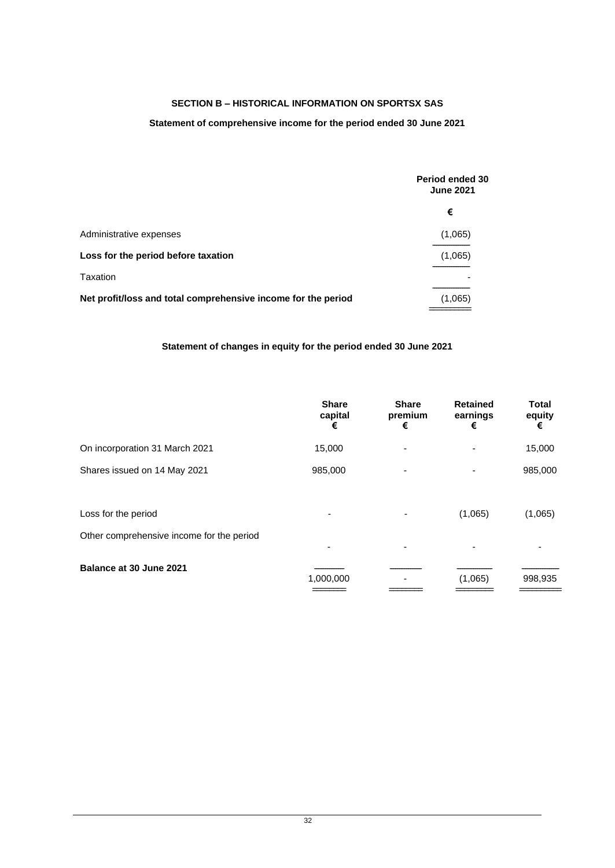# **SECTION B – HISTORICAL INFORMATION ON SPORTSX SAS**

## **Statement of comprehensive income for the period ended 30 June 2021**

|                                                               | Period ended 30<br><b>June 2021</b> |
|---------------------------------------------------------------|-------------------------------------|
|                                                               | €                                   |
| Administrative expenses                                       | (1,065)                             |
| Loss for the period before taxation                           | (1,065)                             |
| Taxation                                                      |                                     |
| Net profit/loss and total comprehensive income for the period | (1,065)                             |

## **Statement of changes in equity for the period ended 30 June 2021**

|                                           | <b>Share</b><br>capital<br>€ | <b>Share</b><br>premium<br>€ | <b>Retained</b><br>earnings<br>€ | <b>Total</b><br>equity<br>€ |
|-------------------------------------------|------------------------------|------------------------------|----------------------------------|-----------------------------|
| On incorporation 31 March 2021            | 15,000                       | -                            |                                  | 15,000                      |
| Shares issued on 14 May 2021              | 985,000                      | ٠                            |                                  | 985,000                     |
|                                           |                              |                              |                                  |                             |
| Loss for the period                       |                              |                              | (1,065)                          | (1,065)                     |
| Other comprehensive income for the period |                              |                              |                                  |                             |
|                                           |                              | ٠                            |                                  |                             |
| Balance at 30 June 2021                   | 1,000,000                    |                              | (1,065)                          | 998,935                     |
|                                           |                              |                              |                                  |                             |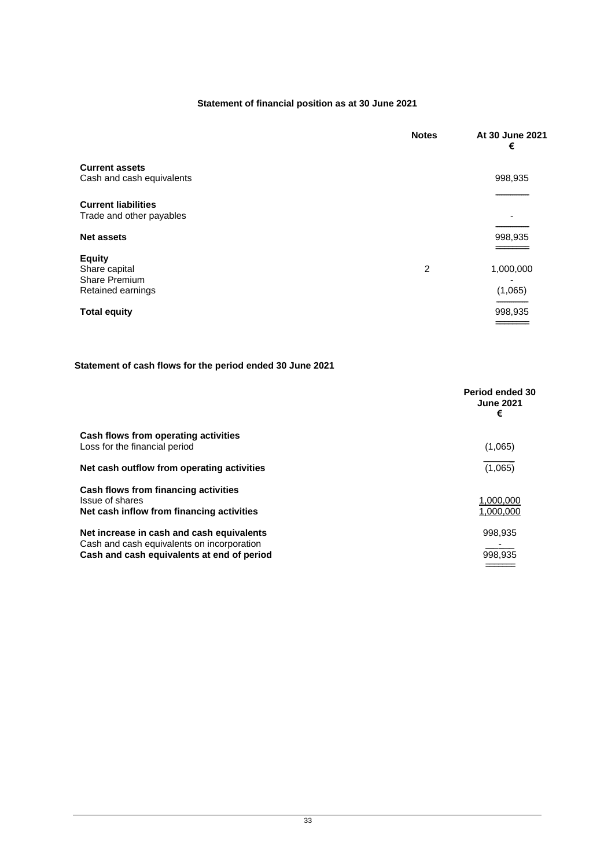# **Statement of financial position as at 30 June 2021**

|                                                        | <b>Notes</b> | At 30 June 2021<br>€ |
|--------------------------------------------------------|--------------|----------------------|
| <b>Current assets</b><br>Cash and cash equivalents     |              | 998,935              |
|                                                        |              |                      |
| <b>Current liabilities</b><br>Trade and other payables |              |                      |
|                                                        |              |                      |
| <b>Net assets</b>                                      |              | 998,935              |
| <b>Equity</b>                                          |              |                      |
| Share capital<br>Share Premium                         | 2            | 1,000,000            |
| Retained earnings                                      |              | (1,065)              |
| <b>Total equity</b>                                    |              | 998,935              |
|                                                        |              |                      |

# **Statement of cash flows for the period ended 30 June 2021**

|                                                                                                                                       | Period ended 30<br><b>June 2021</b><br>€ |
|---------------------------------------------------------------------------------------------------------------------------------------|------------------------------------------|
| Cash flows from operating activities<br>Loss for the financial period                                                                 | (1,065)                                  |
| Net cash outflow from operating activities                                                                                            | (1,065)                                  |
| Cash flows from financing activities<br>Issue of shares<br>Net cash inflow from financing activities                                  | 1.000.000<br>1.000.000                   |
| Net increase in cash and cash equivalents<br>Cash and cash equivalents on incorporation<br>Cash and cash equivalents at end of period | 998,935<br>998,935                       |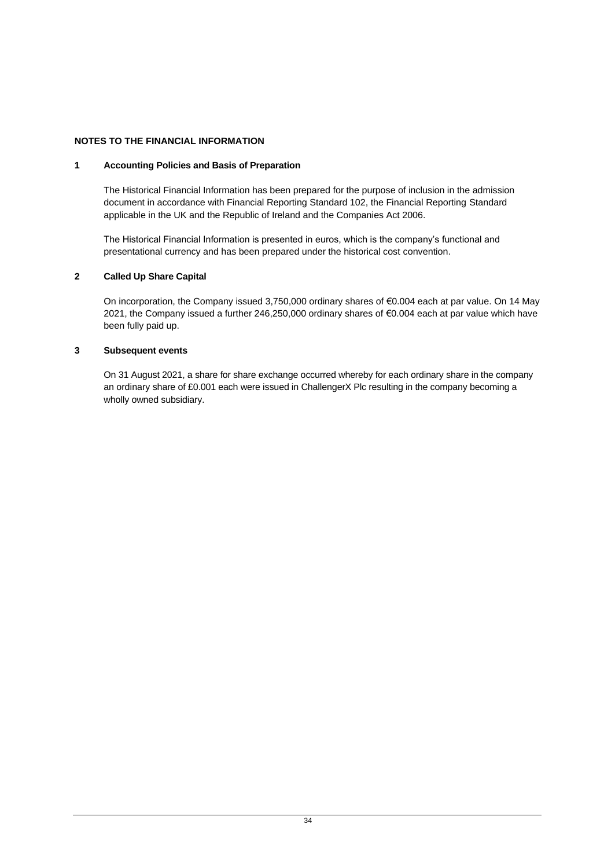# **NOTES TO THE FINANCIAL INFORMATION**

## **1 Accounting Policies and Basis of Preparation**

The Historical Financial Information has been prepared for the purpose of inclusion in the admission document in accordance with Financial Reporting Standard 102, the Financial Reporting Standard applicable in the UK and the Republic of Ireland and the Companies Act 2006.

The Historical Financial Information is presented in euros, which is the company's functional and presentational currency and has been prepared under the historical cost convention.

## **2 Called Up Share Capital**

On incorporation, the Company issued 3,750,000 ordinary shares of €0.004 each at par value. On 14 May 2021, the Company issued a further 246,250,000 ordinary shares of €0.004 each at par value which have been fully paid up.

#### **3 Subsequent events**

On 31 August 2021, a share for share exchange occurred whereby for each ordinary share in the company an ordinary share of £0.001 each were issued in ChallengerX Plc resulting in the company becoming a wholly owned subsidiary.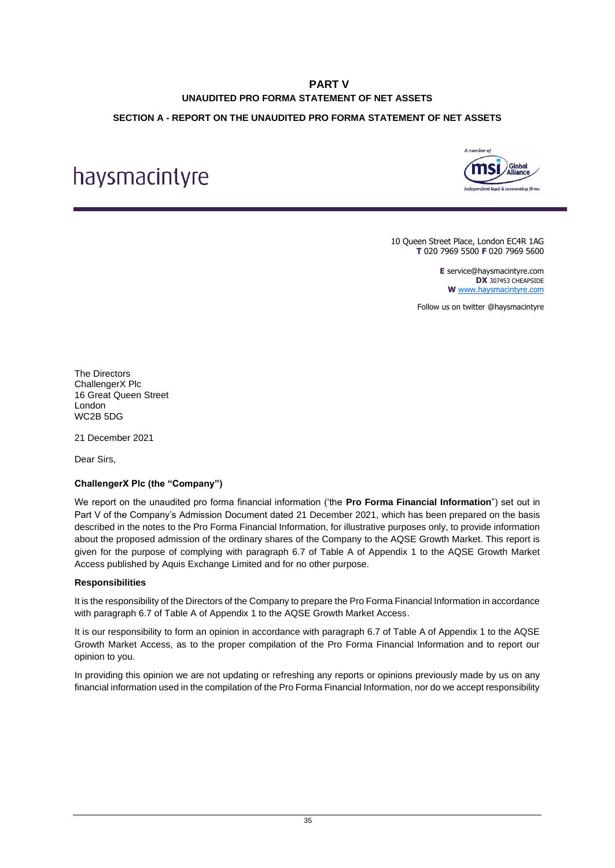# **PART V UNAUDITED PRO FORMA STATEMENT OF NET ASSETS**

## <span id="page-39-1"></span><span id="page-39-0"></span>**SECTION A - REPORT ON THE UNAUDITED PRO FORMA STATEMENT OF NET ASSETS**

# haysmacintyre



10 Queen Street Place, London EC4R 1AG **T** 020 7969 5500 **F** 020 7969 5600

> **E** service@haysmacintyre.com **DX** 307453 CHEAPSIDE **W** [www.haysmacintyre.com](http://www.haysmacintyre.com/)

Follow us on twitter @haysmacintyre

The Directors ChallengerX Plc 16 Great Queen Street London WC2B 5DG

21 December 2021

Dear Sirs,

# **ChallengerX Plc (the "Company")**

We report on the unaudited pro forma financial information ('the **Pro Forma Financial Information**") set out in Part V of the Company's Admission Document dated 21 December 2021, which has been prepared on the basis described in the notes to the Pro Forma Financial Information, for illustrative purposes only, to provide information about the proposed admission of the ordinary shares of the Company to the AQSE Growth Market. This report is given for the purpose of complying with paragraph 6.7 of Table A of Appendix 1 to the AQSE Growth Market Access published by Aquis Exchange Limited and for no other purpose.

#### **Responsibilities**

It is the responsibility of the Directors of the Company to prepare the Pro Forma Financial Information in accordance with paragraph 6.7 of Table A of Appendix 1 to the AQSE Growth Market Access.

It is our responsibility to form an opinion in accordance with paragraph 6.7 of Table A of Appendix 1 to the AQSE Growth Market Access, as to the proper compilation of the Pro Forma Financial Information and to report our opinion to you.

In providing this opinion we are not updating or refreshing any reports or opinions previously made by us on any financial information used in the compilation of the Pro Forma Financial Information, nor do we accept responsibility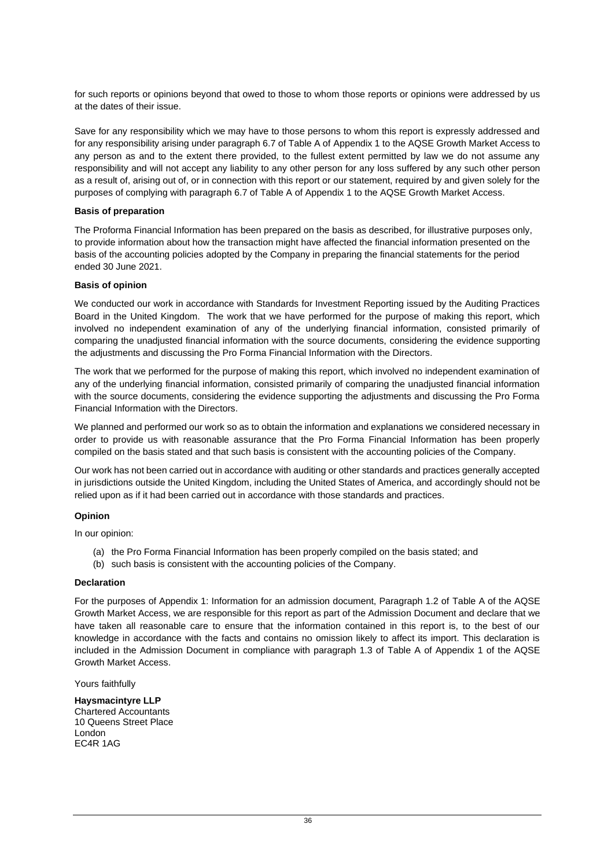for such reports or opinions beyond that owed to those to whom those reports or opinions were addressed by us at the dates of their issue.

Save for any responsibility which we may have to those persons to whom this report is expressly addressed and for any responsibility arising under paragraph 6.7 of Table A of Appendix 1 to the AQSE Growth Market Access to any person as and to the extent there provided, to the fullest extent permitted by law we do not assume any responsibility and will not accept any liability to any other person for any loss suffered by any such other person as a result of, arising out of, or in connection with this report or our statement, required by and given solely for the purposes of complying with paragraph 6.7 of Table A of Appendix 1 to the AQSE Growth Market Access.

#### **Basis of preparation**

The Proforma Financial Information has been prepared on the basis as described, for illustrative purposes only, to provide information about how the transaction might have affected the financial information presented on the basis of the accounting policies adopted by the Company in preparing the financial statements for the period ended 30 June 2021.

#### **Basis of opinion**

We conducted our work in accordance with Standards for Investment Reporting issued by the Auditing Practices Board in the United Kingdom. The work that we have performed for the purpose of making this report, which involved no independent examination of any of the underlying financial information, consisted primarily of comparing the unadjusted financial information with the source documents, considering the evidence supporting the adjustments and discussing the Pro Forma Financial Information with the Directors.

The work that we performed for the purpose of making this report, which involved no independent examination of any of the underlying financial information, consisted primarily of comparing the unadjusted financial information with the source documents, considering the evidence supporting the adjustments and discussing the Pro Forma Financial Information with the Directors.

We planned and performed our work so as to obtain the information and explanations we considered necessary in order to provide us with reasonable assurance that the Pro Forma Financial Information has been properly compiled on the basis stated and that such basis is consistent with the accounting policies of the Company.

Our work has not been carried out in accordance with auditing or other standards and practices generally accepted in jurisdictions outside the United Kingdom, including the United States of America, and accordingly should not be relied upon as if it had been carried out in accordance with those standards and practices.

#### **Opinion**

In our opinion:

- (a) the Pro Forma Financial Information has been properly compiled on the basis stated; and
- (b) such basis is consistent with the accounting policies of the Company.

#### **Declaration**

For the purposes of Appendix 1: Information for an admission document, Paragraph 1.2 of Table A of the AQSE Growth Market Access, we are responsible for this report as part of the Admission Document and declare that we have taken all reasonable care to ensure that the information contained in this report is, to the best of our knowledge in accordance with the facts and contains no omission likely to affect its import. This declaration is included in the Admission Document in compliance with paragraph 1.3 of Table A of Appendix 1 of the AQSE Growth Market Access.

Yours faithfully

**Haysmacintyre LLP** Chartered Accountants 10 Queens Street Place London EC4R 1AG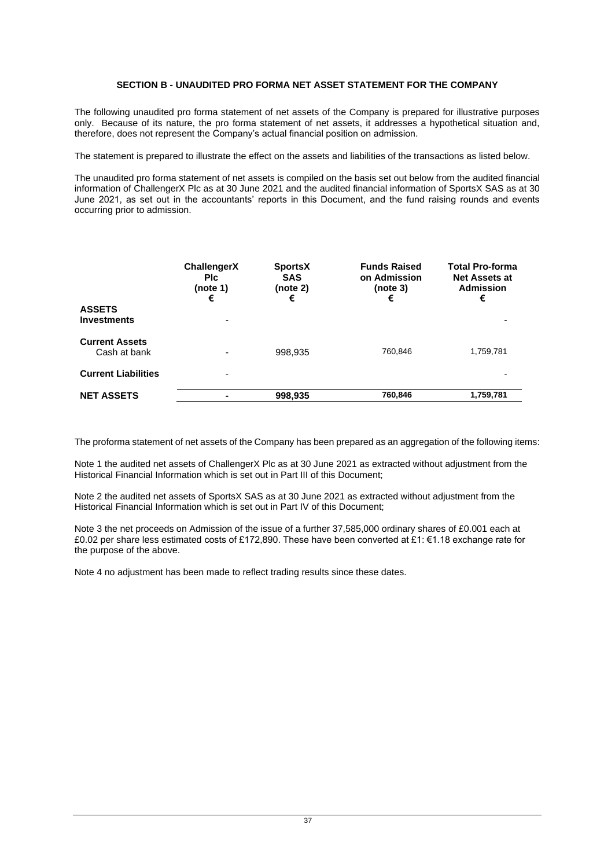## **SECTION B - UNAUDITED PRO FORMA NET ASSET STATEMENT FOR THE COMPANY**

The following unaudited pro forma statement of net assets of the Company is prepared for illustrative purposes only. Because of its nature, the pro forma statement of net assets, it addresses a hypothetical situation and, therefore, does not represent the Company's actual financial position on admission.

The statement is prepared to illustrate the effect on the assets and liabilities of the transactions as listed below.

The unaudited pro forma statement of net assets is compiled on the basis set out below from the audited financial information of ChallengerX Plc as at 30 June 2021 and the audited financial information of SportsX SAS as at 30 June 2021, as set out in the accountants' reports in this Document, and the fund raising rounds and events occurring prior to admission.

| <b>ASSETS</b><br><b>Investments</b>   | ChallengerX<br><b>PIC</b><br>(note 1)<br>€ | <b>SportsX</b><br><b>SAS</b><br>(note 2)<br>€ | <b>Funds Raised</b><br>on Admission<br>(note 3)<br>€ | <b>Total Pro-forma</b><br><b>Net Assets at</b><br><b>Admission</b><br>€ |
|---------------------------------------|--------------------------------------------|-----------------------------------------------|------------------------------------------------------|-------------------------------------------------------------------------|
| <b>Current Assets</b><br>Cash at bank |                                            | 998,935                                       | 760.846                                              | 1,759,781                                                               |
| <b>Current Liabilities</b>            |                                            |                                               |                                                      |                                                                         |
| <b>NET ASSETS</b>                     |                                            | 998,935                                       | 760,846                                              | 1,759,781                                                               |

The proforma statement of net assets of the Company has been prepared as an aggregation of the following items:

Note 1 the audited net assets of ChallengerX Plc as at 30 June 2021 as extracted without adjustment from the Historical Financial Information which is set out in Part III of this Document;

Note 2 the audited net assets of SportsX SAS as at 30 June 2021 as extracted without adjustment from the Historical Financial Information which is set out in Part IV of this Document;

Note 3 the net proceeds on Admission of the issue of a further 37,585,000 ordinary shares of £0.001 each at £0.02 per share less estimated costs of £172,890. These have been converted at £1: €1.18 exchange rate for the purpose of the above.

Note 4 no adjustment has been made to reflect trading results since these dates.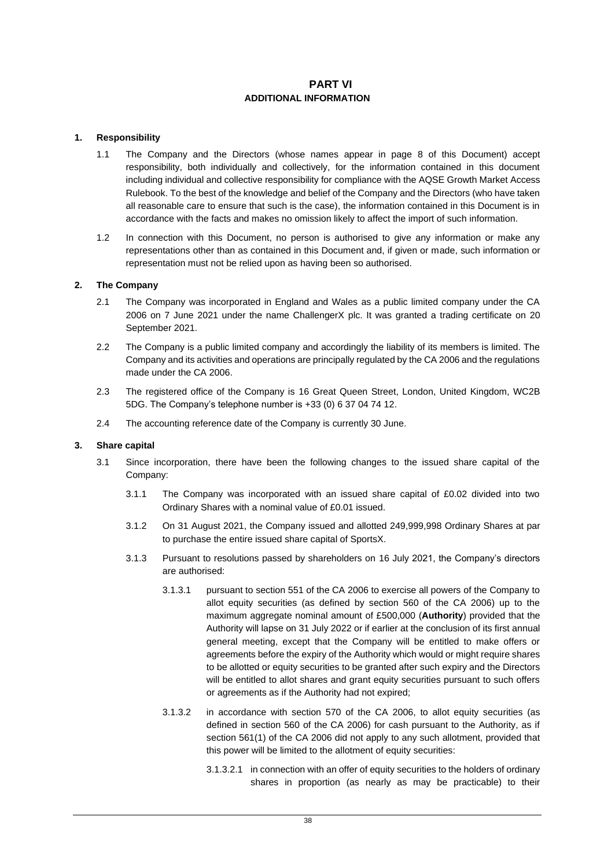# **PART VI ADDITIONAL INFORMATION**

#### <span id="page-42-3"></span><span id="page-42-1"></span><span id="page-42-0"></span>**1. Responsibility**

- 1.1 The Company and the Directors (whose names appear in page 8 of this Document) accept responsibility, both individually and collectively, for the information contained in this document including individual and collective responsibility for compliance with the AQSE Growth Market Access Rulebook. To the best of the knowledge and belief of the Company and the Directors (who have taken all reasonable care to ensure that such is the case), the information contained in this Document is in accordance with the facts and makes no omission likely to affect the import of such information.
- 1.2 In connection with this Document, no person is authorised to give any information or make any representations other than as contained in this Document and, if given or made, such information or representation must not be relied upon as having been so authorised.

#### **2. The Company**

- 2.1 The Company was incorporated in England and Wales as a public limited company under the CA 2006 on 7 June 2021 under the name ChallengerX plc. It was granted a trading certificate on 20 September 2021.
- 2.2 The Company is a public limited company and accordingly the liability of its members is limited. The Company and its activities and operations are principally regulated by the CA 2006 and the regulations made under the CA 2006.
- 2.3 The registered office of the Company is 16 Great Queen Street, London, United Kingdom, WC2B 5DG. The Company's telephone number is +33 (0) 6 37 04 74 12.
- 2.4 The accounting reference date of the Company is currently 30 June.

#### **3. Share capital**

- <span id="page-42-2"></span>3.1 Since incorporation, there have been the following changes to the issued share capital of the Company:
	- 3.1.1 The Company was incorporated with an issued share capital of £0.02 divided into two Ordinary Shares with a nominal value of £0.01 issued.
	- 3.1.2 On 31 August 2021, the Company issued and allotted 249,999,998 Ordinary Shares at par to purchase the entire issued share capital of SportsX.
	- 3.1.3 Pursuant to resolutions passed by shareholders on 16 July 2021, the Company's directors are authorised:
		- 3.1.3.1 pursuant to section 551 of the CA 2006 to exercise all powers of the Company to allot equity securities (as defined by section 560 of the CA 2006) up to the maximum aggregate nominal amount of £500,000 (**Authority**) provided that the Authority will lapse on 31 July 2022 or if earlier at the conclusion of its first annual general meeting, except that the Company will be entitled to make offers or agreements before the expiry of the Authority which would or might require shares to be allotted or equity securities to be granted after such expiry and the Directors will be entitled to allot shares and grant equity securities pursuant to such offers or agreements as if the Authority had not expired;
		- 3.1.3.2 in accordance with section 570 of the CA 2006, to allot equity securities (as defined in section 560 of the CA 2006) for cash pursuant to the Authority, as if section 561(1) of the CA 2006 did not apply to any such allotment, provided that this power will be limited to the allotment of equity securities:
			- 3.1.3.2.1 in connection with an offer of equity securities to the holders of ordinary shares in proportion (as nearly as may be practicable) to their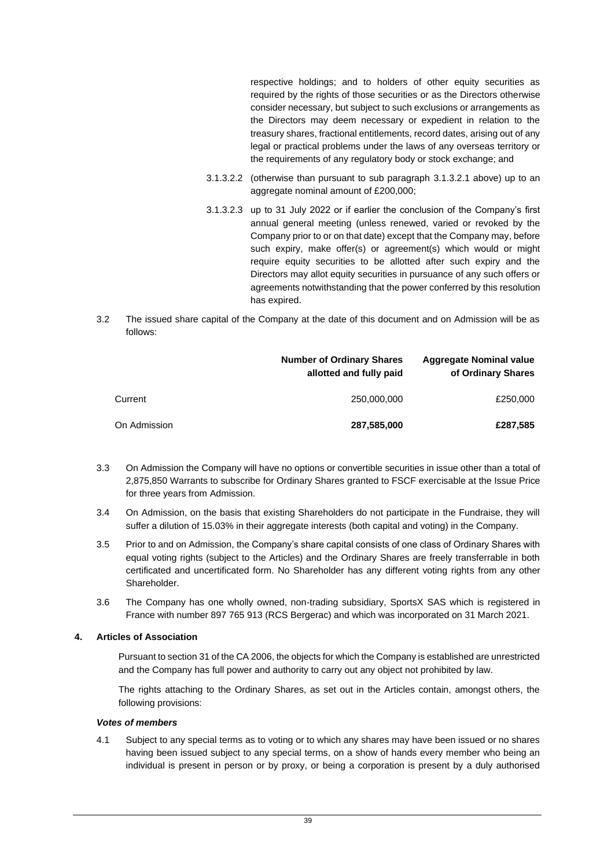respective holdings; and to holders of other equity securities as required by the rights of those securities or as the Directors otherwise consider necessary, but subject to such exclusions or arrangements as the Directors may deem necessary or expedient in relation to the treasury shares, fractional entitlements, record dates, arising out of any legal or practical problems under the laws of any overseas territory or the requirements of any regulatory body or stock exchange; and

- 3.1.3.2.2 (otherwise than pursuant to sub paragraph [3.1.3.2.1](#page-42-2) above) up to an aggregate nominal amount of £200,000;
- 3.1.3.2.3 up to 31 July 2022 or if earlier the conclusion of the Company's first annual general meeting (unless renewed, varied or revoked by the Company prior to or on that date) except that the Company may, before such expiry, make offer(s) or agreement(s) which would or might require equity securities to be allotted after such expiry and the Directors may allot equity securities in pursuance of any such offers or agreements notwithstanding that the power conferred by this resolution has expired.
- 3.2 The issued share capital of the Company at the date of this document and on Admission will be as follows:

|              | <b>Number of Ordinary Shares</b><br>allotted and fully paid | <b>Aggregate Nominal value</b><br>of Ordinary Shares |
|--------------|-------------------------------------------------------------|------------------------------------------------------|
| Current      | 250,000,000                                                 | £250,000                                             |
| On Admission | 287,585,000                                                 | £287,585                                             |

- 3.3 On Admission the Company will have no options or convertible securities in issue other than a total of 2,875,850 Warrants to subscribe for Ordinary Shares granted to FSCF exercisable at the Issue Price for three years from Admission.
- 3.4 On Admission, on the basis that existing Shareholders do not participate in the Fundraise, they will suffer a dilution of 15.03% in their aggregate interests (both capital and voting) in the Company.
- 3.5 Prior to and on Admission, the Company's share capital consists of one class of Ordinary Shares with equal voting rights (subject to the Articles) and the Ordinary Shares are freely transferrable in both certificated and uncertificated form. No Shareholder has any different voting rights from any other Shareholder.
- 3.6 The Company has one wholly owned, non-trading subsidiary, SportsX SAS which is registered in France with number 897 765 913 (RCS Bergerac) and which was incorporated on 31 March 2021.

#### **4. Articles of Association**

Pursuant to section 31 of the CA 2006, the objects for which the Company is established are unrestricted and the Company has full power and authority to carry out any object not prohibited by law.

The rights attaching to the Ordinary Shares, as set out in the Articles contain, amongst others, the following provisions:

#### *Votes of members*

4.1 Subject to any special terms as to voting or to which any shares may have been issued or no shares having been issued subject to any special terms, on a show of hands every member who being an individual is present in person or by proxy, or being a corporation is present by a duly authorised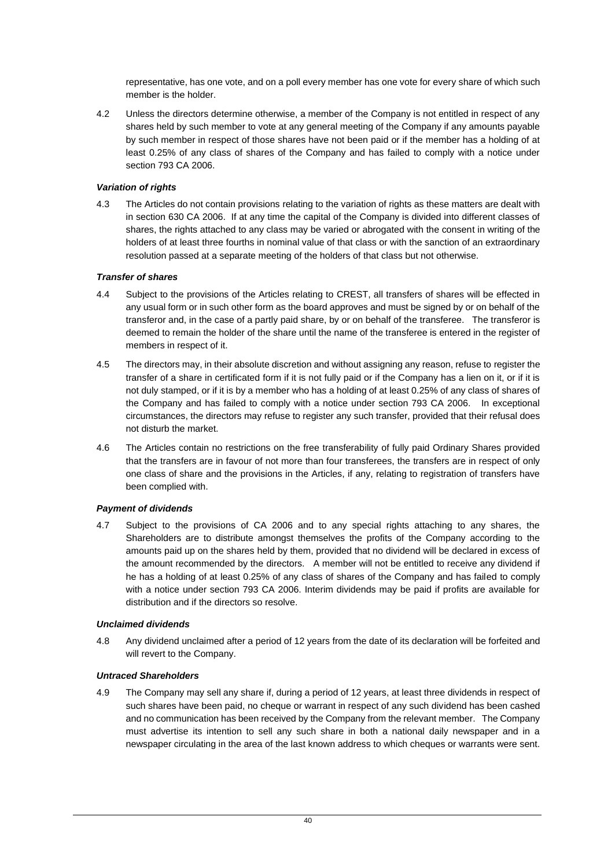representative, has one vote, and on a poll every member has one vote for every share of which such member is the holder.

4.2 Unless the directors determine otherwise, a member of the Company is not entitled in respect of any shares held by such member to vote at any general meeting of the Company if any amounts payable by such member in respect of those shares have not been paid or if the member has a holding of at least 0.25% of any class of shares of the Company and has failed to comply with a notice under section 793 CA 2006.

## *Variation of rights*

4.3 The Articles do not contain provisions relating to the variation of rights as these matters are dealt with in section 630 CA 2006. If at any time the capital of the Company is divided into different classes of shares, the rights attached to any class may be varied or abrogated with the consent in writing of the holders of at least three fourths in nominal value of that class or with the sanction of an extraordinary resolution passed at a separate meeting of the holders of that class but not otherwise.

## *Transfer of shares*

- 4.4 Subject to the provisions of the Articles relating to CREST, all transfers of shares will be effected in any usual form or in such other form as the board approves and must be signed by or on behalf of the transferor and, in the case of a partly paid share, by or on behalf of the transferee. The transferor is deemed to remain the holder of the share until the name of the transferee is entered in the register of members in respect of it.
- 4.5 The directors may, in their absolute discretion and without assigning any reason, refuse to register the transfer of a share in certificated form if it is not fully paid or if the Company has a lien on it, or if it is not duly stamped, or if it is by a member who has a holding of at least 0.25% of any class of shares of the Company and has failed to comply with a notice under section 793 CA 2006. In exceptional circumstances, the directors may refuse to register any such transfer, provided that their refusal does not disturb the market.
- 4.6 The Articles contain no restrictions on the free transferability of fully paid Ordinary Shares provided that the transfers are in favour of not more than four transferees, the transfers are in respect of only one class of share and the provisions in the Articles, if any, relating to registration of transfers have been complied with.

#### *Payment of dividends*

4.7 Subject to the provisions of CA 2006 and to any special rights attaching to any shares, the Shareholders are to distribute amongst themselves the profits of the Company according to the amounts paid up on the shares held by them, provided that no dividend will be declared in excess of the amount recommended by the directors. A member will not be entitled to receive any dividend if he has a holding of at least 0.25% of any class of shares of the Company and has failed to comply with a notice under section 793 CA 2006. Interim dividends may be paid if profits are available for distribution and if the directors so resolve.

#### *Unclaimed dividends*

4.8 Any dividend unclaimed after a period of 12 years from the date of its declaration will be forfeited and will revert to the Company.

#### *Untraced Shareholders*

4.9 The Company may sell any share if, during a period of 12 years, at least three dividends in respect of such shares have been paid, no cheque or warrant in respect of any such dividend has been cashed and no communication has been received by the Company from the relevant member. The Company must advertise its intention to sell any such share in both a national daily newspaper and in a newspaper circulating in the area of the last known address to which cheques or warrants were sent.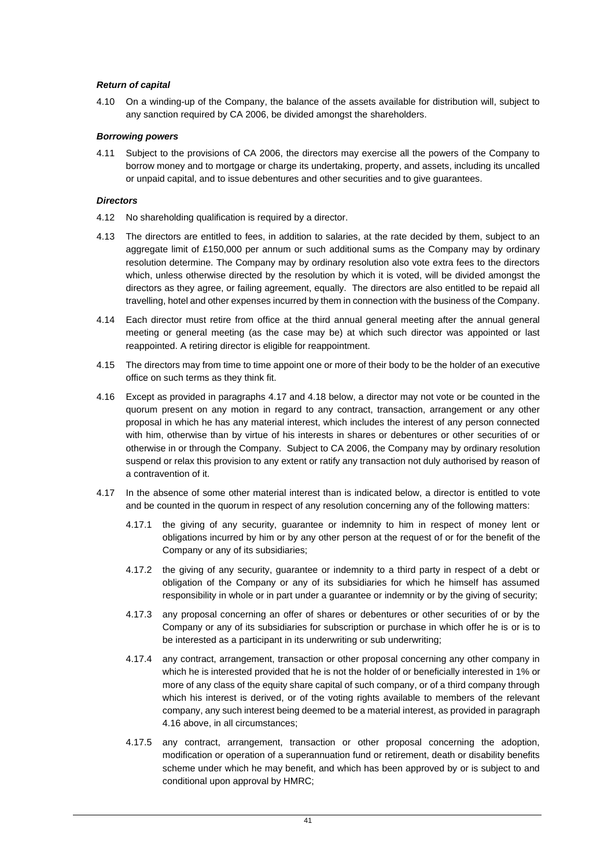#### *Return of capital*

4.10 On a winding-up of the Company, the balance of the assets available for distribution will, subject to any sanction required by CA 2006, be divided amongst the shareholders.

## *Borrowing powers*

4.11 Subject to the provisions of CA 2006, the directors may exercise all the powers of the Company to borrow money and to mortgage or charge its undertaking, property, and assets, including its uncalled or unpaid capital, and to issue debentures and other securities and to give guarantees.

#### *Directors*

- 4.12 No shareholding qualification is required by a director.
- 4.13 The directors are entitled to fees, in addition to salaries, at the rate decided by them, subject to an aggregate limit of £150,000 per annum or such additional sums as the Company may by ordinary resolution determine. The Company may by ordinary resolution also vote extra fees to the directors which, unless otherwise directed by the resolution by which it is voted, will be divided amongst the directors as they agree, or failing agreement, equally. The directors are also entitled to be repaid all travelling, hotel and other expenses incurred by them in connection with the business of the Company.
- 4.14 Each director must retire from office at the third annual general meeting after the annual general meeting or general meeting (as the case may be) at which such director was appointed or last reappointed. A retiring director is eligible for reappointment.
- 4.15 The directors may from time to time appoint one or more of their body to be the holder of an executive office on such terms as they think fit.
- <span id="page-45-1"></span>4.16 Except as provided in paragraphs [4.17](#page-45-0) and [4.18](#page-46-0) below, a director may not vote or be counted in the quorum present on any motion in regard to any contract, transaction, arrangement or any other proposal in which he has any material interest, which includes the interest of any person connected with him, otherwise than by virtue of his interests in shares or debentures or other securities of or otherwise in or through the Company. Subject to CA 2006, the Company may by ordinary resolution suspend or relax this provision to any extent or ratify any transaction not duly authorised by reason of a contravention of it.
- <span id="page-45-0"></span>4.17 In the absence of some other material interest than is indicated below, a director is entitled to vote and be counted in the quorum in respect of any resolution concerning any of the following matters:
	- 4.17.1 the giving of any security, guarantee or indemnity to him in respect of money lent or obligations incurred by him or by any other person at the request of or for the benefit of the Company or any of its subsidiaries;
	- 4.17.2 the giving of any security, guarantee or indemnity to a third party in respect of a debt or obligation of the Company or any of its subsidiaries for which he himself has assumed responsibility in whole or in part under a guarantee or indemnity or by the giving of security;
	- 4.17.3 any proposal concerning an offer of shares or debentures or other securities of or by the Company or any of its subsidiaries for subscription or purchase in which offer he is or is to be interested as a participant in its underwriting or sub underwriting;
	- 4.17.4 any contract, arrangement, transaction or other proposal concerning any other company in which he is interested provided that he is not the holder of or beneficially interested in 1% or more of any class of the equity share capital of such company, or of a third company through which his interest is derived, or of the voting rights available to members of the relevant company, any such interest being deemed to be a material interest, as provided in paragraph [4.16](#page-45-1) above, in all circumstances;
	- 4.17.5 any contract, arrangement, transaction or other proposal concerning the adoption, modification or operation of a superannuation fund or retirement, death or disability benefits scheme under which he may benefit, and which has been approved by or is subject to and conditional upon approval by HMRC;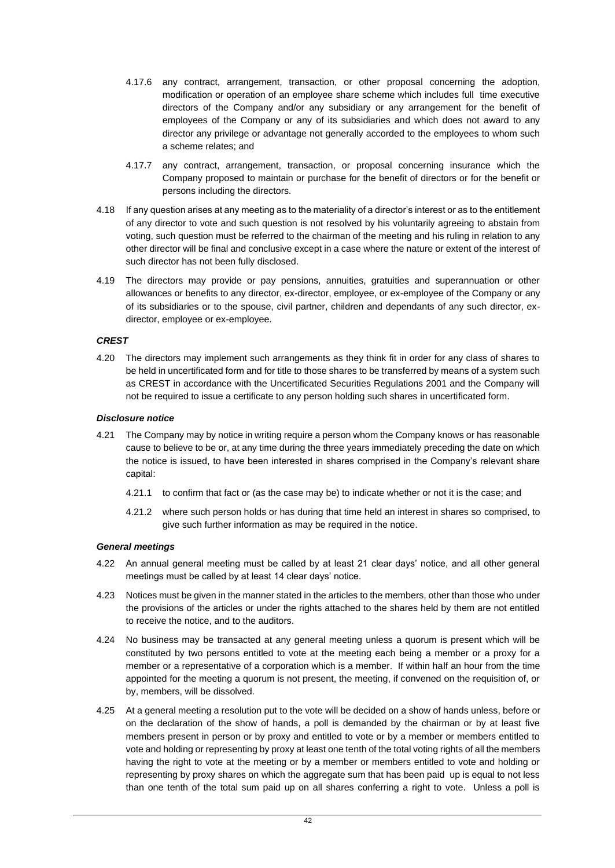- 4.17.6 any contract, arrangement, transaction, or other proposal concerning the adoption, modification or operation of an employee share scheme which includes full time executive directors of the Company and/or any subsidiary or any arrangement for the benefit of employees of the Company or any of its subsidiaries and which does not award to any director any privilege or advantage not generally accorded to the employees to whom such a scheme relates; and
- 4.17.7 any contract, arrangement, transaction, or proposal concerning insurance which the Company proposed to maintain or purchase for the benefit of directors or for the benefit or persons including the directors.
- <span id="page-46-0"></span>4.18 If any question arises at any meeting as to the materiality of a director's interest or as to the entitlement of any director to vote and such question is not resolved by his voluntarily agreeing to abstain from voting, such question must be referred to the chairman of the meeting and his ruling in relation to any other director will be final and conclusive except in a case where the nature or extent of the interest of such director has not been fully disclosed.
- 4.19 The directors may provide or pay pensions, annuities, gratuities and superannuation or other allowances or benefits to any director, ex-director, employee, or ex-employee of the Company or any of its subsidiaries or to the spouse, civil partner, children and dependants of any such director, exdirector, employee or ex-employee.

## *CREST*

4.20 The directors may implement such arrangements as they think fit in order for any class of shares to be held in uncertificated form and for title to those shares to be transferred by means of a system such as CREST in accordance with the Uncertificated Securities Regulations 2001 and the Company will not be required to issue a certificate to any person holding such shares in uncertificated form.

## *Disclosure notice*

- 4.21 The Company may by notice in writing require a person whom the Company knows or has reasonable cause to believe to be or, at any time during the three years immediately preceding the date on which the notice is issued, to have been interested in shares comprised in the Company's relevant share capital:
	- 4.21.1 to confirm that fact or (as the case may be) to indicate whether or not it is the case; and
	- 4.21.2 where such person holds or has during that time held an interest in shares so comprised, to give such further information as may be required in the notice.

#### *General meetings*

- 4.22 An annual general meeting must be called by at least 21 clear days' notice, and all other general meetings must be called by at least 14 clear days' notice.
- 4.23 Notices must be given in the manner stated in the articles to the members, other than those who under the provisions of the articles or under the rights attached to the shares held by them are not entitled to receive the notice, and to the auditors.
- 4.24 No business may be transacted at any general meeting unless a quorum is present which will be constituted by two persons entitled to vote at the meeting each being a member or a proxy for a member or a representative of a corporation which is a member. If within half an hour from the time appointed for the meeting a quorum is not present, the meeting, if convened on the requisition of, or by, members, will be dissolved.
- 4.25 At a general meeting a resolution put to the vote will be decided on a show of hands unless, before or on the declaration of the show of hands, a poll is demanded by the chairman or by at least five members present in person or by proxy and entitled to vote or by a member or members entitled to vote and holding or representing by proxy at least one tenth of the total voting rights of all the members having the right to vote at the meeting or by a member or members entitled to vote and holding or representing by proxy shares on which the aggregate sum that has been paid up is equal to not less than one tenth of the total sum paid up on all shares conferring a right to vote. Unless a poll is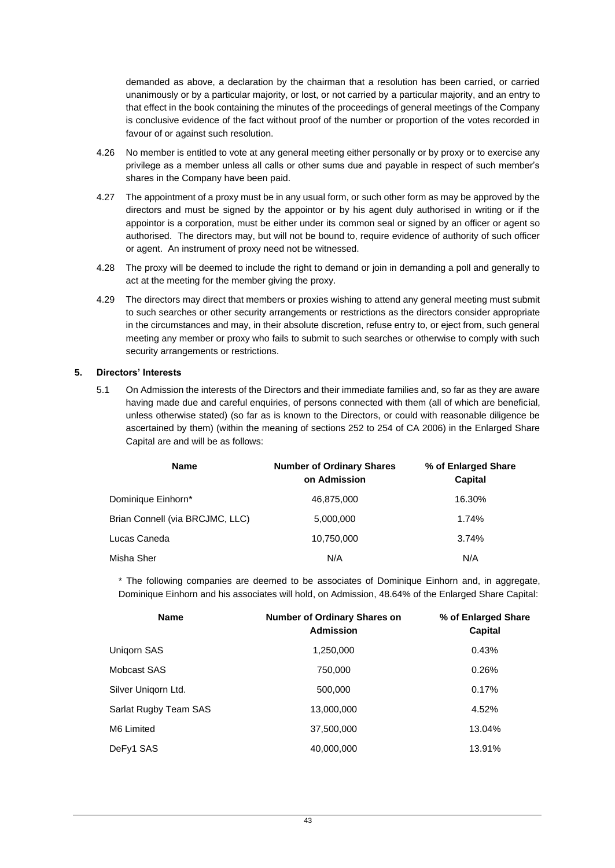demanded as above, a declaration by the chairman that a resolution has been carried, or carried unanimously or by a particular majority, or lost, or not carried by a particular majority, and an entry to that effect in the book containing the minutes of the proceedings of general meetings of the Company is conclusive evidence of the fact without proof of the number or proportion of the votes recorded in favour of or against such resolution.

- 4.26 No member is entitled to vote at any general meeting either personally or by proxy or to exercise any privilege as a member unless all calls or other sums due and payable in respect of such member's shares in the Company have been paid.
- 4.27 The appointment of a proxy must be in any usual form, or such other form as may be approved by the directors and must be signed by the appointor or by his agent duly authorised in writing or if the appointor is a corporation, must be either under its common seal or signed by an officer or agent so authorised. The directors may, but will not be bound to, require evidence of authority of such officer or agent. An instrument of proxy need not be witnessed.
- 4.28 The proxy will be deemed to include the right to demand or join in demanding a poll and generally to act at the meeting for the member giving the proxy.
- 4.29 The directors may direct that members or proxies wishing to attend any general meeting must submit to such searches or other security arrangements or restrictions as the directors consider appropriate in the circumstances and may, in their absolute discretion, refuse entry to, or eject from, such general meeting any member or proxy who fails to submit to such searches or otherwise to comply with such security arrangements or restrictions.

#### <span id="page-47-0"></span>**5. Directors' Interests**

5.1 On Admission the interests of the Directors and their immediate families and, so far as they are aware having made due and careful enquiries, of persons connected with them (all of which are beneficial, unless otherwise stated) (so far as is known to the Directors, or could with reasonable diligence be ascertained by them) (within the meaning of sections 252 to 254 of CA 2006) in the Enlarged Share Capital are and will be as follows:

| <b>Name</b>                     | <b>Number of Ordinary Shares</b><br>on Admission | % of Enlarged Share<br><b>Capital</b> |
|---------------------------------|--------------------------------------------------|---------------------------------------|
| Dominique Einhorn*              | 46,875,000                                       | 16.30%                                |
| Brian Connell (via BRCJMC, LLC) | 5,000,000                                        | 1.74%                                 |
| Lucas Caneda                    | 10.750.000                                       | 3.74%                                 |
| Misha Sher                      | N/A                                              | N/A                                   |

\* The following companies are deemed to be associates of Dominique Einhorn and, in aggregate, Dominique Einhorn and his associates will hold, on Admission, 48.64% of the Enlarged Share Capital:

| <b>Name</b>           | Number of Ordinary Shares on<br><b>Admission</b> | % of Enlarged Share<br>Capital |  |
|-----------------------|--------------------------------------------------|--------------------------------|--|
| Unigorn SAS           | 1,250,000                                        | 0.43%                          |  |
| Mobcast SAS           | 750,000                                          | 0.26%                          |  |
| Silver Unigorn Ltd.   | 500,000                                          | 0.17%                          |  |
| Sarlat Rugby Team SAS | 13,000,000                                       | 4.52%                          |  |
| M6 Limited            | 37,500,000                                       | 13.04%                         |  |
| DeFy1 SAS             | 40,000,000                                       | 13.91%                         |  |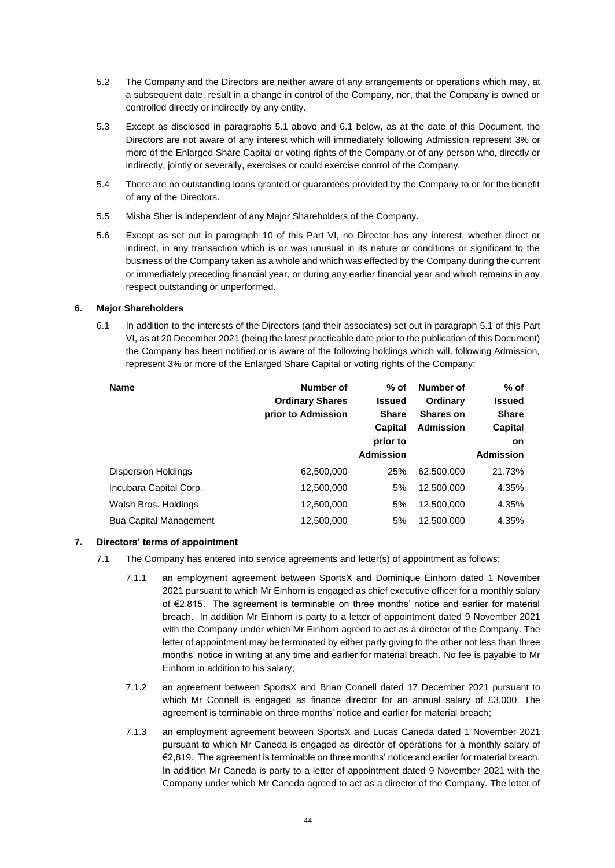- 5.2 The Company and the Directors are neither aware of any arrangements or operations which may, at a subsequent date, result in a change in control of the Company, nor, that the Company is owned or controlled directly or indirectly by any entity.
- 5.3 Except as disclosed in paragraphs [5.1](#page-47-0) above and [6.1](#page-48-0) below, as at the date of this Document, the Directors are not aware of any interest which will immediately following Admission represent 3% or more of the Enlarged Share Capital or voting rights of the Company or of any person who, directly or indirectly, jointly or severally, exercises or could exercise control of the Company.
- 5.4 There are no outstanding loans granted or guarantees provided by the Company to or for the benefit of any of the Directors.
- 5.5 Misha Sher is independent of any Major Shareholders of the Company*.*
- 5.6 Except as set out in paragraph [10](#page-51-2) of this [Part VI,](#page-42-3) no Director has any interest, whether direct or indirect, in any transaction which is or was unusual in its nature or conditions or significant to the business of the Company taken as a whole and which was effected by the Company during the current or immediately preceding financial year, or during any earlier financial year and which remains in any respect outstanding or unperformed.

## <span id="page-48-0"></span>**6. Major Shareholders**

6.1 In addition to the interests of the Directors (and their associates) set out in paragraph 5.1 of this Part VI, as at 20 December 2021 (being the latest practicable date prior to the publication of this Document) the Company has been notified or is aware of the following holdings which will, following Admission, represent 3% or more of the Enlarged Share Capital or voting rights of the Company:

| <b>Name</b>                   | Number of<br><b>Ordinary Shares</b><br>prior to Admission | % of<br><b>Issued</b><br><b>Share</b><br>Capital<br>prior to<br><b>Admission</b> | Number of<br>Ordinary<br><b>Shares on</b><br><b>Admission</b> | $%$ of<br><b>Issued</b><br><b>Share</b><br>Capital<br><b>on</b><br><b>Admission</b> |
|-------------------------------|-----------------------------------------------------------|----------------------------------------------------------------------------------|---------------------------------------------------------------|-------------------------------------------------------------------------------------|
| <b>Dispersion Holdings</b>    | 62,500,000                                                | 25%                                                                              | 62,500,000                                                    | 21.73%                                                                              |
| Incubara Capital Corp.        | 12,500,000                                                | 5%                                                                               | 12,500,000                                                    | 4.35%                                                                               |
| Walsh Bros. Holdings          | 12,500,000                                                | 5%                                                                               | 12,500,000                                                    | 4.35%                                                                               |
| <b>Bua Capital Management</b> | 12,500,000                                                | 5%                                                                               | 12,500,000                                                    | 4.35%                                                                               |

# **7. Directors' terms of appointment**

- 7.1 The Company has entered into service agreements and letter(s) of appointment as follows:
	- 7.1.1 an employment agreement between SportsX and Dominique Einhorn dated 1 November 2021 pursuant to which Mr Einhorn is engaged as chief executive officer for a monthly salary of €2,815. The agreement is terminable on three months' notice and earlier for material breach. In addition Mr Einhorn is party to a letter of appointment dated 9 November 2021 with the Company under which Mr Einhorn agreed to act as a director of the Company. The letter of appointment may be terminated by either party giving to the other not less than three months' notice in writing at any time and earlier for material breach. No fee is payable to Mr Einhorn in addition to his salary;
	- 7.1.2 an agreement between SportsX and Brian Connell dated 17 December 2021 pursuant to which Mr Connell is engaged as finance director for an annual salary of  $£3,000$ . The agreement is terminable on three months' notice and earlier for material breach;
	- 7.1.3 an employment agreement between SportsX and Lucas Caneda dated 1 November 2021 pursuant to which Mr Caneda is engaged as director of operations for a monthly salary of €2,819. The agreement is terminable on three months' notice and earlier for material breach. In addition Mr Caneda is party to a letter of appointment dated 9 November 2021 with the Company under which Mr Caneda agreed to act as a director of the Company. The letter of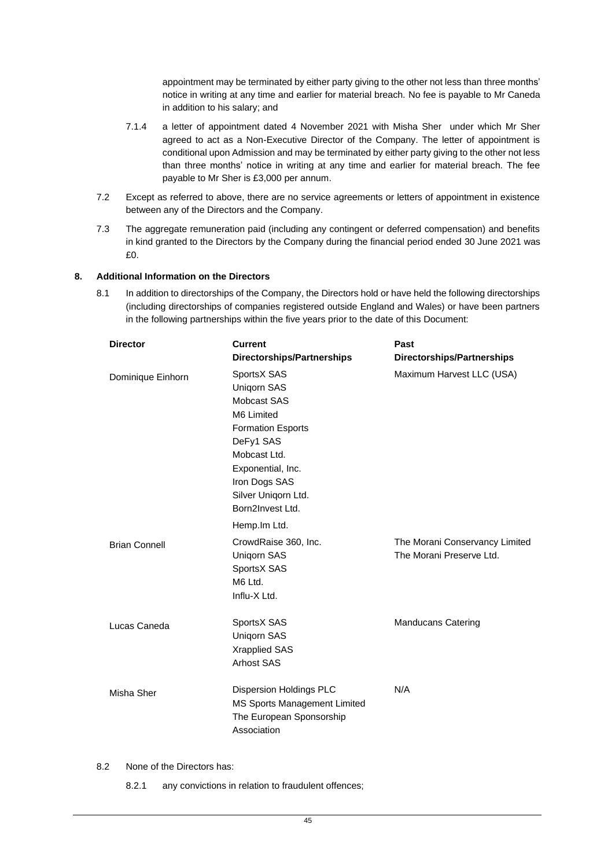appointment may be terminated by either party giving to the other not less than three months' notice in writing at any time and earlier for material breach. No fee is payable to Mr Caneda in addition to his salary; and

- 7.1.4 a letter of appointment dated 4 November 2021 with Misha Sher under which Mr Sher agreed to act as a Non-Executive Director of the Company. The letter of appointment is conditional upon Admission and may be terminated by either party giving to the other not less than three months' notice in writing at any time and earlier for material breach. The fee payable to Mr Sher is £3,000 per annum.
- 7.2 Except as referred to above, there are no service agreements or letters of appointment in existence between any of the Directors and the Company.
- 7.3 The aggregate remuneration paid (including any contingent or deferred compensation) and benefits in kind granted to the Directors by the Company during the financial period ended 30 June 2021 was £0.

#### **8. Additional Information on the Directors**

8.1 In addition to directorships of the Company, the Directors hold or have held the following directorships (including directorships of companies registered outside England and Wales) or have been partners in the following partnerships within the five years prior to the date of this Document:

| <b>Director</b>      | <b>Current</b>                                                                                                                                                                                           | Past                                                       |
|----------------------|----------------------------------------------------------------------------------------------------------------------------------------------------------------------------------------------------------|------------------------------------------------------------|
|                      | <b>Directorships/Partnerships</b>                                                                                                                                                                        | <b>Directorships/Partnerships</b>                          |
| Dominique Einhorn    | SportsX SAS<br><b>Unigorn SAS</b><br>Mobcast SAS<br>M6 Limited<br><b>Formation Esports</b><br>DeFy1 SAS<br>Mobcast Ltd.<br>Exponential, Inc.<br>Iron Dogs SAS<br>Silver Uniqorn Ltd.<br>Born2Invest Ltd. | Maximum Harvest LLC (USA)                                  |
|                      | Hemp. Im Ltd.                                                                                                                                                                                            |                                                            |
| <b>Brian Connell</b> | CrowdRaise 360, Inc.<br><b>Unigorn SAS</b><br>SportsX SAS<br>M6 Ltd.<br>Influ-X Ltd.                                                                                                                     | The Morani Conservancy Limited<br>The Morani Preserve Ltd. |
| Lucas Caneda         | SportsX SAS<br>Unigorn SAS<br><b>Xrapplied SAS</b><br><b>Arhost SAS</b>                                                                                                                                  | <b>Manducans Catering</b>                                  |
| Misha Sher           | Dispersion Holdings PLC<br>MS Sports Management Limited<br>The European Sponsorship<br>Association                                                                                                       | N/A                                                        |

8.2 None of the Directors has:

8.2.1 any convictions in relation to fraudulent offences;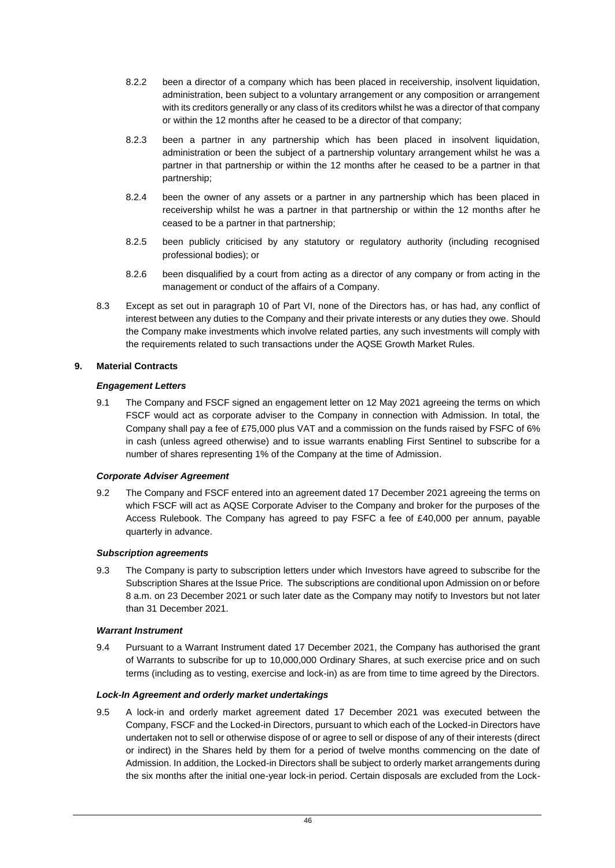- 8.2.2 been a director of a company which has been placed in receivership, insolvent liquidation, administration, been subject to a voluntary arrangement or any composition or arrangement with its creditors generally or any class of its creditors whilst he was a director of that company or within the 12 months after he ceased to be a director of that company;
- 8.2.3 been a partner in any partnership which has been placed in insolvent liquidation, administration or been the subject of a partnership voluntary arrangement whilst he was a partner in that partnership or within the 12 months after he ceased to be a partner in that partnership;
- 8.2.4 been the owner of any assets or a partner in any partnership which has been placed in receivership whilst he was a partner in that partnership or within the 12 months after he ceased to be a partner in that partnership;
- 8.2.5 been publicly criticised by any statutory or regulatory authority (including recognised professional bodies); or
- 8.2.6 been disqualified by a court from acting as a director of any company or from acting in the management or conduct of the affairs of a Company.
- 8.3 Except as set out in paragraph 10 of Part VI, none of the Directors has, or has had, any conflict of interest between any duties to the Company and their private interests or any duties they owe. Should the Company make investments which involve related parties, any such investments will comply with the requirements related to such transactions under the AQSE Growth Market Rules.

## **9. Material Contracts**

# *Engagement Letters*

9.1 The Company and FSCF signed an engagement letter on 12 May 2021 agreeing the terms on which FSCF would act as corporate adviser to the Company in connection with Admission. In total, the Company shall pay a fee of £75,000 plus VAT and a commission on the funds raised by FSFC of 6% in cash (unless agreed otherwise) and to issue warrants enabling First Sentinel to subscribe for a number of shares representing 1% of the Company at the time of Admission.

#### *Corporate Adviser Agreement*

9.2 The Company and FSCF entered into an agreement dated 17 December 2021 agreeing the terms on which FSCF will act as AQSE Corporate Adviser to the Company and broker for the purposes of the Access Rulebook. The Company has agreed to pay FSFC a fee of £40,000 per annum, payable quarterly in advance.

#### *Subscription agreements*

<span id="page-50-1"></span>9.3 The Company is party to subscription letters under which Investors have agreed to subscribe for the Subscription Shares at the Issue Price. The subscriptions are conditional upon Admission on or before 8 a.m. on 23 December 2021 or such later date as the Company may notify to Investors but not later than 31 December 2021.

# *Warrant Instrument*

<span id="page-50-2"></span>9.4 Pursuant to a Warrant Instrument dated 17 December 2021, the Company has authorised the grant of Warrants to subscribe for up to 10,000,000 Ordinary Shares, at such exercise price and on such terms (including as to vesting, exercise and lock-in) as are from time to time agreed by the Directors.

# *Lock-In Agreement and orderly market undertakings*

<span id="page-50-0"></span>9.5 A lock-in and orderly market agreement dated 17 December 2021 was executed between the Company, FSCF and the Locked-in Directors, pursuant to which each of the Locked-in Directors have undertaken not to sell or otherwise dispose of or agree to sell or dispose of any of their interests (direct or indirect) in the Shares held by them for a period of twelve months commencing on the date of Admission. In addition, the Locked-in Directors shall be subject to orderly market arrangements during the six months after the initial one-year lock-in period. Certain disposals are excluded from the Lock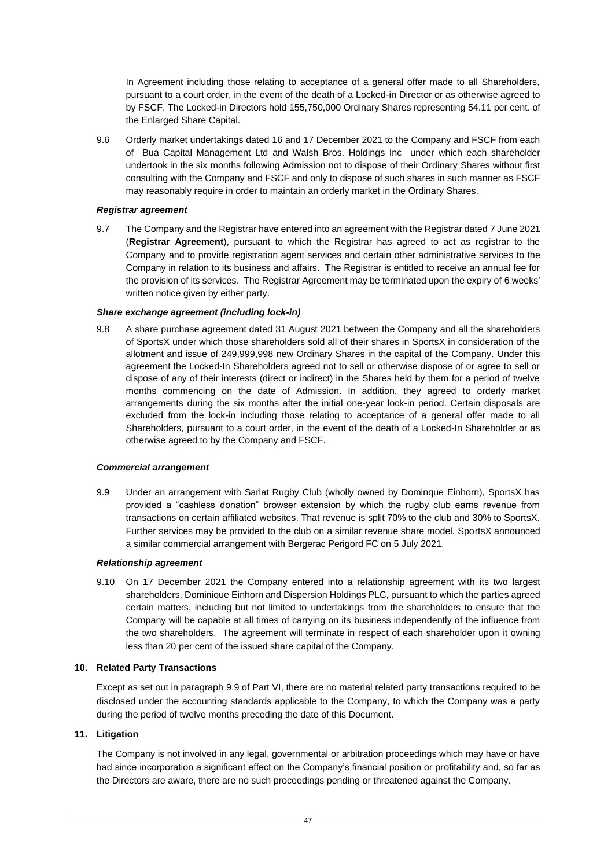In Agreement including those relating to acceptance of a general offer made to all Shareholders, pursuant to a court order, in the event of the death of a Locked-in Director or as otherwise agreed to by FSCF. The Locked-in Directors hold 155,750,000 Ordinary Shares representing 54.11 per cent. of the Enlarged Share Capital.

<span id="page-51-1"></span>9.6 Orderly market undertakings dated 16 and 17 December 2021 to the Company and FSCF from each of Bua Capital Management Ltd and Walsh Bros. Holdings Inc under which each shareholder undertook in the six months following Admission not to dispose of their Ordinary Shares without first consulting with the Company and FSCF and only to dispose of such shares in such manner as FSCF may reasonably require in order to maintain an orderly market in the Ordinary Shares.

## *Registrar agreement*

9.7 The Company and the Registrar have entered into an agreement with the Registrar dated 7 June 2021 (**Registrar Agreement**), pursuant to which the Registrar has agreed to act as registrar to the Company and to provide registration agent services and certain other administrative services to the Company in relation to its business and affairs. The Registrar is entitled to receive an annual fee for the provision of its services. The Registrar Agreement may be terminated upon the expiry of 6 weeks' written notice given by either party.

## *Share exchange agreement (including lock-in)*

<span id="page-51-0"></span>9.8 A share purchase agreement dated 31 August 2021 between the Company and all the shareholders of SportsX under which those shareholders sold all of their shares in SportsX in consideration of the allotment and issue of 249,999,998 new Ordinary Shares in the capital of the Company. Under this agreement the Locked-In Shareholders agreed not to sell or otherwise dispose of or agree to sell or dispose of any of their interests (direct or indirect) in the Shares held by them for a period of twelve months commencing on the date of Admission. In addition, they agreed to orderly market arrangements during the six months after the initial one-year lock-in period. Certain disposals are excluded from the lock-in including those relating to acceptance of a general offer made to all Shareholders, pursuant to a court order, in the event of the death of a Locked-In Shareholder or as otherwise agreed to by the Company and FSCF.

#### *Commercial arrangement*

<span id="page-51-3"></span>9.9 Under an arrangement with Sarlat Rugby Club (wholly owned by Dominque Einhorn), SportsX has provided a "cashless donation" browser extension by which the rugby club earns revenue from transactions on certain affiliated websites. That revenue is split 70% to the club and 30% to SportsX. Further services may be provided to the club on a similar revenue share model. SportsX announced a similar commercial arrangement with Bergerac Perigord FC on 5 July 2021.

#### *Relationship agreement*

9.10 On 17 December 2021 the Company entered into a relationship agreement with its two largest shareholders, Dominique Einhorn and Dispersion Holdings PLC, pursuant to which the parties agreed certain matters, including but not limited to undertakings from the shareholders to ensure that the Company will be capable at all times of carrying on its business independently of the influence from the two shareholders. The agreement will terminate in respect of each shareholder upon it owning less than 20 per cent of the issued share capital of the Company.

#### <span id="page-51-2"></span>**10. Related Party Transactions**

Except as set out in paragraph [9.9](#page-51-3) of Part VI, there are no material related party transactions required to be disclosed under the accounting standards applicable to the Company, to which the Company was a party during the period of twelve months preceding the date of this Document.

#### **11. Litigation**

The Company is not involved in any legal, governmental or arbitration proceedings which may have or have had since incorporation a significant effect on the Company's financial position or profitability and, so far as the Directors are aware, there are no such proceedings pending or threatened against the Company.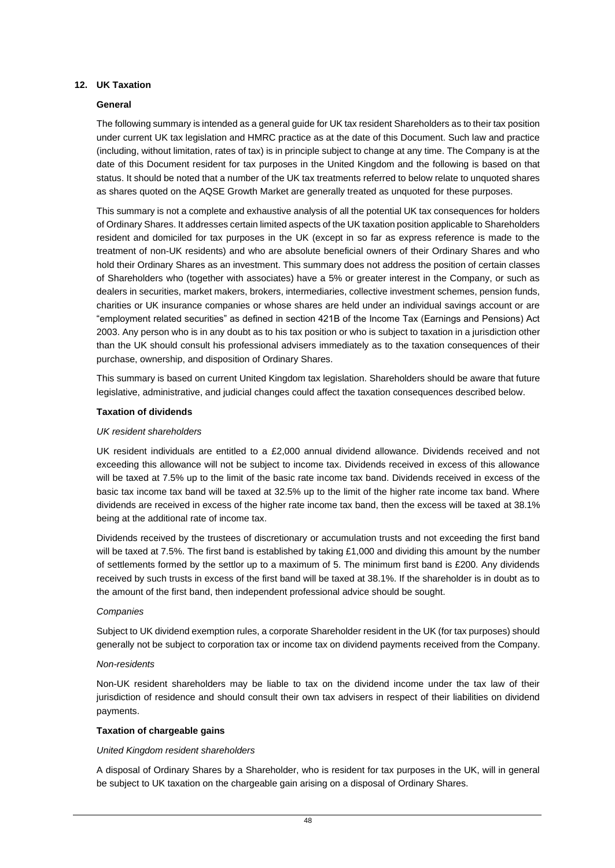#### <span id="page-52-0"></span>**12. UK Taxation**

#### **General**

The following summary is intended as a general guide for UK tax resident Shareholders as to their tax position under current UK tax legislation and HMRC practice as at the date of this Document. Such law and practice (including, without limitation, rates of tax) is in principle subject to change at any time. The Company is at the date of this Document resident for tax purposes in the United Kingdom and the following is based on that status. It should be noted that a number of the UK tax treatments referred to below relate to unquoted shares as shares quoted on the AQSE Growth Market are generally treated as unquoted for these purposes.

This summary is not a complete and exhaustive analysis of all the potential UK tax consequences for holders of Ordinary Shares. It addresses certain limited aspects of the UK taxation position applicable to Shareholders resident and domiciled for tax purposes in the UK (except in so far as express reference is made to the treatment of non-UK residents) and who are absolute beneficial owners of their Ordinary Shares and who hold their Ordinary Shares as an investment. This summary does not address the position of certain classes of Shareholders who (together with associates) have a 5% or greater interest in the Company, or such as dealers in securities, market makers, brokers, intermediaries, collective investment schemes, pension funds, charities or UK insurance companies or whose shares are held under an individual savings account or are "employment related securities" as defined in section 421B of the Income Tax (Earnings and Pensions) Act 2003. Any person who is in any doubt as to his tax position or who is subject to taxation in a jurisdiction other than the UK should consult his professional advisers immediately as to the taxation consequences of their purchase, ownership, and disposition of Ordinary Shares.

This summary is based on current United Kingdom tax legislation. Shareholders should be aware that future legislative, administrative, and judicial changes could affect the taxation consequences described below.

#### **Taxation of dividends**

#### *UK resident shareholders*

UK resident individuals are entitled to a £2,000 annual dividend allowance. Dividends received and not exceeding this allowance will not be subject to income tax. Dividends received in excess of this allowance will be taxed at 7.5% up to the limit of the basic rate income tax band. Dividends received in excess of the basic tax income tax band will be taxed at 32.5% up to the limit of the higher rate income tax band. Where dividends are received in excess of the higher rate income tax band, then the excess will be taxed at 38.1% being at the additional rate of income tax.

Dividends received by the trustees of discretionary or accumulation trusts and not exceeding the first band will be taxed at 7.5%. The first band is established by taking £1,000 and dividing this amount by the number of settlements formed by the settlor up to a maximum of 5. The minimum first band is £200. Any dividends received by such trusts in excess of the first band will be taxed at 38.1%. If the shareholder is in doubt as to the amount of the first band, then independent professional advice should be sought.

#### *Companies*

Subject to UK dividend exemption rules, a corporate Shareholder resident in the UK (for tax purposes) should generally not be subject to corporation tax or income tax on dividend payments received from the Company.

#### *Non-residents*

Non-UK resident shareholders may be liable to tax on the dividend income under the tax law of their jurisdiction of residence and should consult their own tax advisers in respect of their liabilities on dividend payments.

#### **Taxation of chargeable gains**

#### *United Kingdom resident shareholders*

A disposal of Ordinary Shares by a Shareholder, who is resident for tax purposes in the UK, will in general be subject to UK taxation on the chargeable gain arising on a disposal of Ordinary Shares.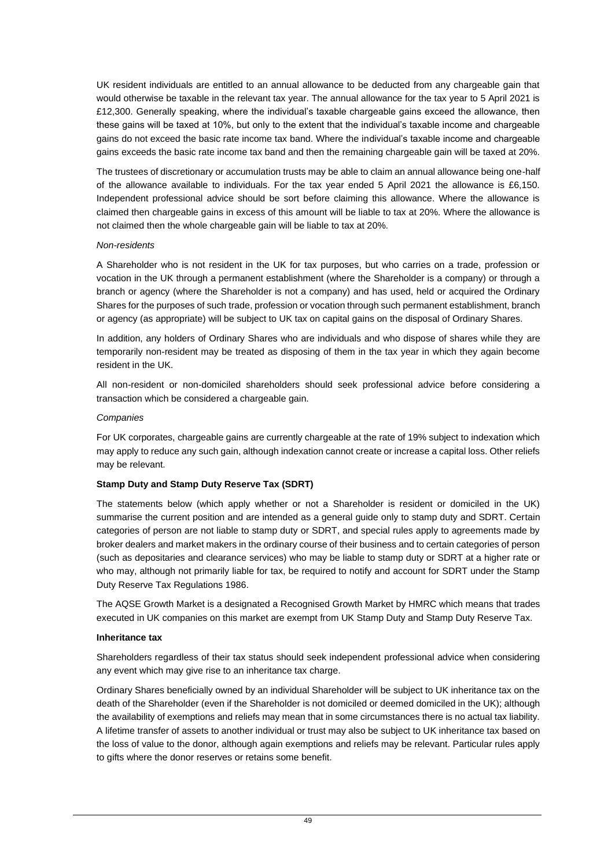UK resident individuals are entitled to an annual allowance to be deducted from any chargeable gain that would otherwise be taxable in the relevant tax year. The annual allowance for the tax year to 5 April 2021 is £12,300. Generally speaking, where the individual's taxable chargeable gains exceed the allowance, then these gains will be taxed at 10%, but only to the extent that the individual's taxable income and chargeable gains do not exceed the basic rate income tax band. Where the individual's taxable income and chargeable gains exceeds the basic rate income tax band and then the remaining chargeable gain will be taxed at 20%.

The trustees of discretionary or accumulation trusts may be able to claim an annual allowance being one-half of the allowance available to individuals. For the tax year ended 5 April 2021 the allowance is £6,150. Independent professional advice should be sort before claiming this allowance. Where the allowance is claimed then chargeable gains in excess of this amount will be liable to tax at 20%. Where the allowance is not claimed then the whole chargeable gain will be liable to tax at 20%.

## *Non-residents*

A Shareholder who is not resident in the UK for tax purposes, but who carries on a trade, profession or vocation in the UK through a permanent establishment (where the Shareholder is a company) or through a branch or agency (where the Shareholder is not a company) and has used, held or acquired the Ordinary Shares for the purposes of such trade, profession or vocation through such permanent establishment, branch or agency (as appropriate) will be subject to UK tax on capital gains on the disposal of Ordinary Shares.

In addition, any holders of Ordinary Shares who are individuals and who dispose of shares while they are temporarily non-resident may be treated as disposing of them in the tax year in which they again become resident in the UK.

All non-resident or non-domiciled shareholders should seek professional advice before considering a transaction which be considered a chargeable gain.

## *Companies*

For UK corporates, chargeable gains are currently chargeable at the rate of 19% subject to indexation which may apply to reduce any such gain, although indexation cannot create or increase a capital loss. Other reliefs may be relevant.

# **Stamp Duty and Stamp Duty Reserve Tax (SDRT)**

The statements below (which apply whether or not a Shareholder is resident or domiciled in the UK) summarise the current position and are intended as a general guide only to stamp duty and SDRT. Certain categories of person are not liable to stamp duty or SDRT, and special rules apply to agreements made by broker dealers and market makers in the ordinary course of their business and to certain categories of person (such as depositaries and clearance services) who may be liable to stamp duty or SDRT at a higher rate or who may, although not primarily liable for tax, be required to notify and account for SDRT under the Stamp Duty Reserve Tax Regulations 1986.

The AQSE Growth Market is a designated a Recognised Growth Market by HMRC which means that trades executed in UK companies on this market are exempt from UK Stamp Duty and Stamp Duty Reserve Tax.

#### **Inheritance tax**

Shareholders regardless of their tax status should seek independent professional advice when considering any event which may give rise to an inheritance tax charge.

Ordinary Shares beneficially owned by an individual Shareholder will be subject to UK inheritance tax on the death of the Shareholder (even if the Shareholder is not domiciled or deemed domiciled in the UK); although the availability of exemptions and reliefs may mean that in some circumstances there is no actual tax liability. A lifetime transfer of assets to another individual or trust may also be subject to UK inheritance tax based on the loss of value to the donor, although again exemptions and reliefs may be relevant. Particular rules apply to gifts where the donor reserves or retains some benefit.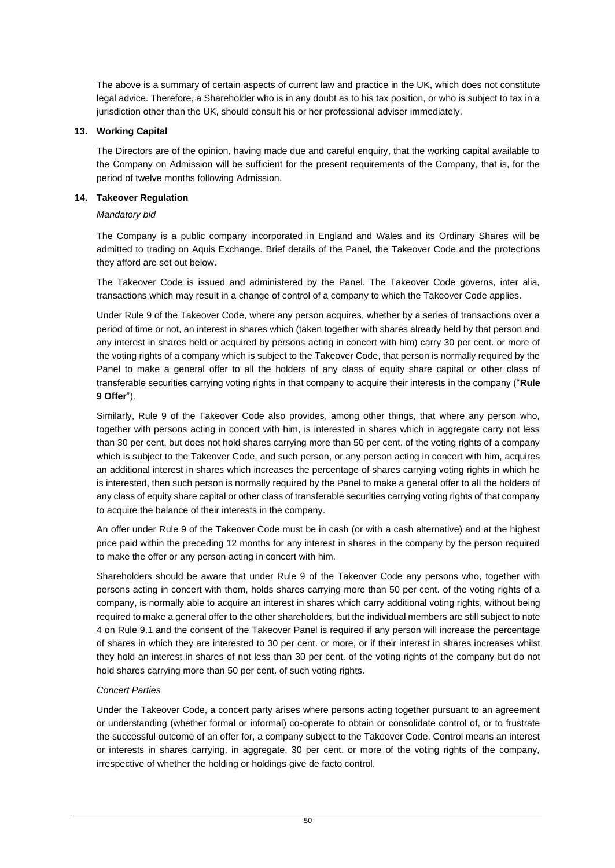The above is a summary of certain aspects of current law and practice in the UK, which does not constitute legal advice. Therefore, a Shareholder who is in any doubt as to his tax position, or who is subject to tax in a jurisdiction other than the UK, should consult his or her professional adviser immediately.

# **13. Working Capital**

The Directors are of the opinion, having made due and careful enquiry, that the working capital available to the Company on Admission will be sufficient for the present requirements of the Company, that is, for the period of twelve months following Admission.

# **14. Takeover Regulation**

# *Mandatory bid*

The Company is a public company incorporated in England and Wales and its Ordinary Shares will be admitted to trading on Aquis Exchange. Brief details of the Panel, the Takeover Code and the protections they afford are set out below.

The Takeover Code is issued and administered by the Panel. The Takeover Code governs, inter alia, transactions which may result in a change of control of a company to which the Takeover Code applies.

Under Rule 9 of the Takeover Code, where any person acquires, whether by a series of transactions over a period of time or not, an interest in shares which (taken together with shares already held by that person and any interest in shares held or acquired by persons acting in concert with him) carry 30 per cent. or more of the voting rights of a company which is subject to the Takeover Code, that person is normally required by the Panel to make a general offer to all the holders of any class of equity share capital or other class of transferable securities carrying voting rights in that company to acquire their interests in the company ("**Rule 9 Offer**").

Similarly, Rule 9 of the Takeover Code also provides, among other things, that where any person who, together with persons acting in concert with him, is interested in shares which in aggregate carry not less than 30 per cent. but does not hold shares carrying more than 50 per cent. of the voting rights of a company which is subject to the Takeover Code, and such person, or any person acting in concert with him, acquires an additional interest in shares which increases the percentage of shares carrying voting rights in which he is interested, then such person is normally required by the Panel to make a general offer to all the holders of any class of equity share capital or other class of transferable securities carrying voting rights of that company to acquire the balance of their interests in the company.

An offer under Rule 9 of the Takeover Code must be in cash (or with a cash alternative) and at the highest price paid within the preceding 12 months for any interest in shares in the company by the person required to make the offer or any person acting in concert with him.

Shareholders should be aware that under Rule 9 of the Takeover Code any persons who, together with persons acting in concert with them, holds shares carrying more than 50 per cent. of the voting rights of a company, is normally able to acquire an interest in shares which carry additional voting rights, without being required to make a general offer to the other shareholders, but the individual members are still subject to note 4 on Rule 9.1 and the consent of the Takeover Panel is required if any person will increase the percentage of shares in which they are interested to 30 per cent. or more, or if their interest in shares increases whilst they hold an interest in shares of not less than 30 per cent. of the voting rights of the company but do not hold shares carrying more than 50 per cent. of such voting rights.

# *Concert Parties*

Under the Takeover Code, a concert party arises where persons acting together pursuant to an agreement or understanding (whether formal or informal) co-operate to obtain or consolidate control of, or to frustrate the successful outcome of an offer for, a company subject to the Takeover Code. Control means an interest or interests in shares carrying, in aggregate, 30 per cent. or more of the voting rights of the company, irrespective of whether the holding or holdings give de facto control.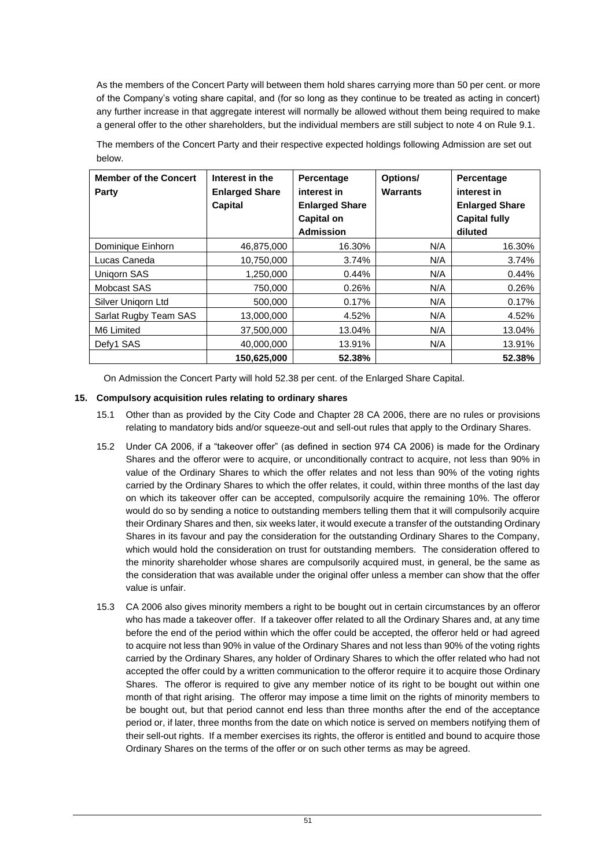As the members of the Concert Party will between them hold shares carrying more than 50 per cent. or more of the Company's voting share capital, and (for so long as they continue to be treated as acting in concert) any further increase in that aggregate interest will normally be allowed without them being required to make a general offer to the other shareholders, but the individual members are still subject to note 4 on Rule 9.1.

The members of the Concert Party and their respective expected holdings following Admission are set out below.

| <b>Member of the Concert</b><br>Party | Interest in the<br><b>Enlarged Share</b><br>Capital | Percentage<br>interest in<br><b>Enlarged Share</b><br><b>Capital on</b><br><b>Admission</b> | Options/<br><b>Warrants</b> | Percentage<br>interest in<br><b>Enlarged Share</b><br><b>Capital fully</b><br>diluted |
|---------------------------------------|-----------------------------------------------------|---------------------------------------------------------------------------------------------|-----------------------------|---------------------------------------------------------------------------------------|
| Dominique Einhorn                     | 46,875,000                                          | 16.30%                                                                                      | N/A                         | 16.30%                                                                                |
| Lucas Caneda                          | 10,750,000                                          | 3.74%                                                                                       | N/A                         | 3.74%                                                                                 |
| Unigorn SAS                           | 1,250,000                                           | 0.44%                                                                                       | N/A                         | 0.44%                                                                                 |
| Mobcast SAS                           | 750.000                                             | 0.26%                                                                                       | N/A                         | 0.26%                                                                                 |
| Silver Unigorn Ltd                    | 500.000                                             | 0.17%                                                                                       | N/A                         | 0.17%                                                                                 |
| Sarlat Rugby Team SAS                 | 13,000,000                                          | 4.52%                                                                                       | N/A                         | 4.52%                                                                                 |
| M6 Limited                            | 37,500,000                                          | 13.04%                                                                                      | N/A                         | 13.04%                                                                                |
| Defy1 SAS                             | 40.000.000                                          | 13.91%                                                                                      | N/A                         | 13.91%                                                                                |
|                                       | 150.625.000                                         | 52.38%                                                                                      |                             | 52.38%                                                                                |

On Admission the Concert Party will hold 52.38 per cent. of the Enlarged Share Capital.

## **15. Compulsory acquisition rules relating to ordinary shares**

- 15.1 Other than as provided by the City Code and Chapter 28 CA 2006, there are no rules or provisions relating to mandatory bids and/or squeeze-out and sell-out rules that apply to the Ordinary Shares.
- 15.2 Under CA 2006, if a "takeover offer" (as defined in section 974 CA 2006) is made for the Ordinary Shares and the offeror were to acquire, or unconditionally contract to acquire, not less than 90% in value of the Ordinary Shares to which the offer relates and not less than 90% of the voting rights carried by the Ordinary Shares to which the offer relates, it could, within three months of the last day on which its takeover offer can be accepted, compulsorily acquire the remaining 10%. The offeror would do so by sending a notice to outstanding members telling them that it will compulsorily acquire their Ordinary Shares and then, six weeks later, it would execute a transfer of the outstanding Ordinary Shares in its favour and pay the consideration for the outstanding Ordinary Shares to the Company, which would hold the consideration on trust for outstanding members. The consideration offered to the minority shareholder whose shares are compulsorily acquired must, in general, be the same as the consideration that was available under the original offer unless a member can show that the offer value is unfair.
- 15.3 CA 2006 also gives minority members a right to be bought out in certain circumstances by an offeror who has made a takeover offer. If a takeover offer related to all the Ordinary Shares and, at any time before the end of the period within which the offer could be accepted, the offeror held or had agreed to acquire not less than 90% in value of the Ordinary Shares and not less than 90% of the voting rights carried by the Ordinary Shares, any holder of Ordinary Shares to which the offer related who had not accepted the offer could by a written communication to the offeror require it to acquire those Ordinary Shares. The offeror is required to give any member notice of its right to be bought out within one month of that right arising. The offeror may impose a time limit on the rights of minority members to be bought out, but that period cannot end less than three months after the end of the acceptance period or, if later, three months from the date on which notice is served on members notifying them of their sell-out rights. If a member exercises its rights, the offeror is entitled and bound to acquire those Ordinary Shares on the terms of the offer or on such other terms as may be agreed.